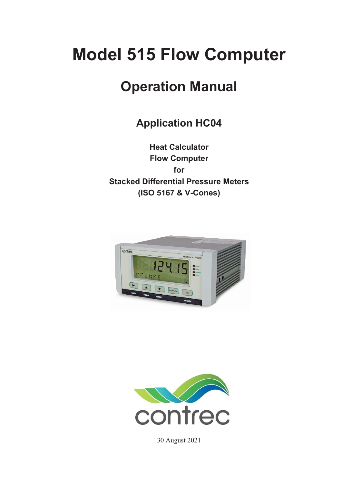# **Model 515 Flow Computer**

# **Operation Manual**

**Application HC04**

**Heat Calculator Flow Computer for Stacked Differential Pressure Meters (ISO 5167 & V-Cones)** 





30 August 2021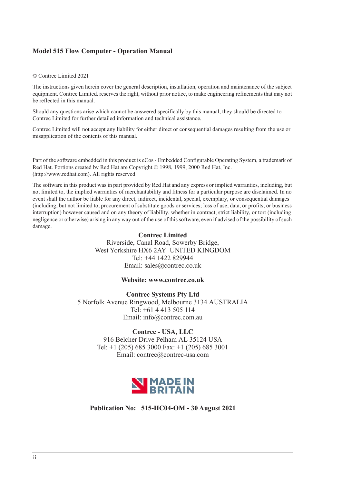### **Model 515 Flow Computer - Operation Manual**

#### © Contrec Limited 2021

The instructions given herein cover the general description, installation, operation and maintenance of the subject equipment. Contrec Limited. reserves the right, without prior notice, to make engineering refinements that may not be reflected in this manual.

Should any questions arise which cannot be answered specifically by this manual, they should be directed to Contrec Limited for further detailed information and technical assistance.

Contrec Limited will not accept any liability for either direct or consequential damages resulting from the use or misapplication of the contents of this manual.

Part of the software embedded in this product is eCos - Embedded Configurable Operating System, a trademark of Red Hat. Portions created by Red Hat are Copyright © 1998, 1999, 2000 Red Hat, Inc. (http://www.redhat.com). All rights reserved

The software in this product was in part provided by Red Hat and any express or implied warranties, including, but not limited to, the implied warranties of merchantability and fitness for a particular purpose are disclaimed. In no event shall the author be liable for any direct, indirect, incidental, special, exemplary, or consequential damages (including, but not limited to, procurement of substitute goods or services; loss of use, data, or profits; or business interruption) however caused and on any theory of liability, whether in contract, strict liability, or tort (including negligence or otherwise) arising in any way out of the use of this software, even if advised of the possibility of such damage.

#### **Contrec Limited**

Riverside, Canal Road, Sowerby Bridge, West Yorkshire HX6 2AY UNITED KINGDOM Tel: +44 1422 829944 Email: sales@contrec.co.uk

#### **Website: www.contrec.co.uk**

**Contrec Systems Pty Ltd** 5 Norfolk Avenue Ringwood, Melbourne 3134 AUSTRALIA Tel: +61 4 413 505 114 Email: info@contrec.com.au

#### **Contrec - USA, LLC**

916 Belcher Drive Pelham AL 35124 USA Tel: +1 (205) 685 3000 Fax: +1 (205) 685 3001 Email: contrec@contrec-usa.com



**Publication No: 515-HC04-OM - 30 August 2021**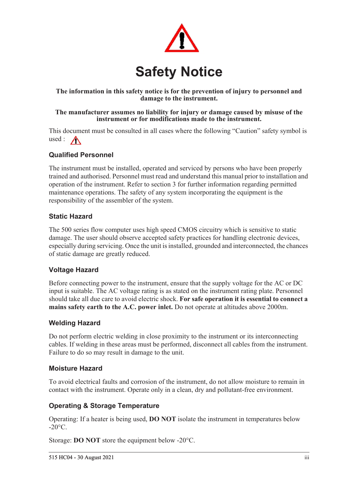

### **The information in this safety notice is for the prevention of injury to personnel and damage to the instrument.**

### **The manufacturer assumes no liability for injury or damage caused by misuse of the instrument or for modifications made to the instrument.**

This document must be consulted in all cases where the following "Caution" safety symbol is used :  $\bigwedge$ 

### **Qualified Personnel**

The instrument must be installed, operated and serviced by persons who have been properly trained and authorised. Personnel must read and understand this manual prior to installation and operation of the instrument. Refer to section 3 for further information regarding permitted maintenance operations. The safety of any system incorporating the equipment is the responsibility of the assembler of the system.

### **Static Hazard**

The 500 series flow computer uses high speed CMOS circuitry which is sensitive to static damage. The user should observe accepted safety practices for handling electronic devices, especially during servicing. Once the unit is installed, grounded and interconnected, the chances of static damage are greatly reduced.

### **Voltage Hazard**

Before connecting power to the instrument, ensure that the supply voltage for the AC or DC input is suitable. The AC voltage rating is as stated on the instrument rating plate. Personnel should take all due care to avoid electric shock. **For safe operation it is essential to connect a mains safety earth to the A.C. power inlet.** Do not operate at altitudes above 2000m.

### **Welding Hazard**

Do not perform electric welding in close proximity to the instrument or its interconnecting cables. If welding in these areas must be performed, disconnect all cables from the instrument. Failure to do so may result in damage to the unit.

### **Moisture Hazard**

To avoid electrical faults and corrosion of the instrument, do not allow moisture to remain in contact with the instrument. Operate only in a clean, dry and pollutant-free environment.

### **Operating & Storage Temperature**

Operating: If a heater is being used, **DO NOT** isolate the instrument in temperatures below  $-20^{\circ}$ C.

Storage: **DO NOT** store the equipment below -20°C.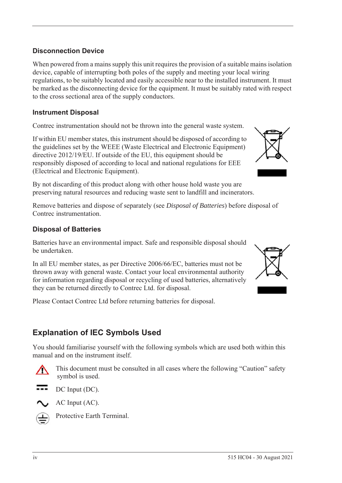### **Disconnection Device**

When powered from a mains supply this unit requires the provision of a suitable mains isolation device, capable of interrupting both poles of the supply and meeting your local wiring regulations, to be suitably located and easily accessible near to the installed instrument. It must be marked as the disconnecting device for the equipment. It must be suitably rated with respect to the cross sectional area of the supply conductors.

### **Instrument Disposal**

Contrec instrumentation should not be thrown into the general waste system.

If within EU member states, this instrument should be disposed of according to the guidelines set by the WEEE (Waste Electrical and Electronic Equipment) directive 2012/19/EU. If outside of the EU, this equipment should be responsibly disposed of according to local and national regulations for EEE (Electrical and Electronic Equipment).

By not discarding of this product along with other house hold waste you are preserving natural resources and reducing waste sent to landfill and incinerators.

Remove batteries and dispose of separately (see *Disposal of Batteries*) before disposal of Contrec instrumentation.

### **Disposal of Batteries**

Batteries have an environmental impact. Safe and responsible disposal should be undertaken.

In all EU member states, as per Directive 2006/66/EC, batteries must not be thrown away with general waste. Contact your local environmental authority for information regarding disposal or recycling of used batteries, alternatively they can be returned directly to Contrec Ltd. for disposal.

Please Contact Contrec Ltd before returning batteries for disposal.

# **Explanation of IEC Symbols Used**

You should familiarise yourself with the following symbols which are used both within this manual and on the instrument itself.



 This document must be consulted in all cases where the following "Caution" safety symbol is used.



AC Input (AC).



Protective Earth Terminal.



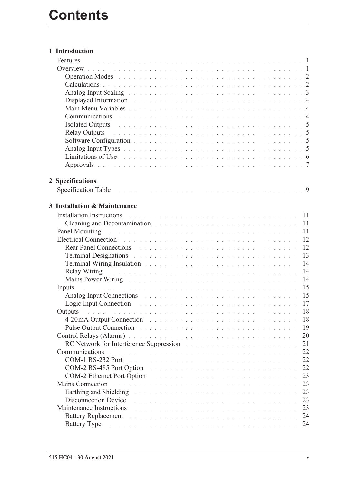### **[1 Introduction](#page-10-0)**

|   | Calculations de la communication de la communication de la communication de la communication de la communication                                                                                                               |    |
|---|--------------------------------------------------------------------------------------------------------------------------------------------------------------------------------------------------------------------------------|----|
|   |                                                                                                                                                                                                                                |    |
|   | Displayed Information and the contract of the contract of the contract of the contract of the 4                                                                                                                                |    |
|   |                                                                                                                                                                                                                                |    |
|   | Communications research resources and contract the contract of the contract of the 4                                                                                                                                           |    |
|   | Isolated Outputs and a contract the contract of the contract of the contract of the S                                                                                                                                          |    |
|   | Relay Outputs des des des deux des deux des deux des deux des deux des deux 3                                                                                                                                                  |    |
|   |                                                                                                                                                                                                                                |    |
|   |                                                                                                                                                                                                                                |    |
|   | Limitations of Use the community of the community of the community of the community of the community of the community of the community of the community of the community of the community of the community of the community of |    |
|   | Approvals the contract of the contract of the contract of the contract of the contract of the contract of the $\tau$                                                                                                           |    |
|   |                                                                                                                                                                                                                                |    |
|   | 2 Specifications                                                                                                                                                                                                               |    |
|   |                                                                                                                                                                                                                                |    |
|   |                                                                                                                                                                                                                                |    |
| 3 | <b>Installation &amp; Maintenance</b>                                                                                                                                                                                          |    |
|   | Installation Instructions and a contract the contract of the contract of the contract of the contract of the contract of the contract of the contract of the contract of the contract of the contract of the contract of the c |    |
|   | Cleaning and Decontamination and the contract of the contract of the contract of the contract of the contract of the contract of the contract of the contract of the contract of the contract of the contract of the contract  |    |
|   | Panel Mounting research and contract the contract of the contract of the contract of the 11                                                                                                                                    |    |
|   | Electrical Connection and a constant of the contract of the contract of the contract of the contract of the contract of the contract of the contract of the contract of the contract of the contract of the contract of the co |    |
|   | Rear Panel Connections and the contract of the contract of the contract of the contract of the contract of the contract of the contract of the contract of the contract of the contract of the contract of the contract of the | 12 |
|   | Terminal Designations and a contract the contract of the contract of the contract of the contract of the contract of the contract of the contract of the contract of the contract of the contract of the contract of the contr | 13 |
|   | Terminal Wiring Insulation and a contract of the contract of the contract of the 14                                                                                                                                            |    |
|   | Relay Wiring Theorem 2014 Communication of the Communication of the Communication of the Relay of the Communication of the Communication of the Communication of the Communication of the Communication of the Communication o |    |
|   | Mains Power Wiring Mathews Allen and Allen and Allen and Allen and Allen and Allen and Allen and Allen and Allen                                                                                                               | 14 |
|   | . The contract of the contract of the contract of the contract of the contract $\sim 15$<br>Inputs                                                                                                                             |    |
|   | Analog Input Connections and a contract the contract of the contract of the state of the 15                                                                                                                                    |    |
|   | Logic Input Connection and a construction of the contract of the contract of the 17                                                                                                                                            |    |
|   | Outputs a communication of the communication of the communication of the communication                                                                                                                                         | 18 |
|   | 4-20 mA Output Connection and the contract of the contract of the contract of the contract of the contract of the contract of the contract of the contract of the contract of the contract of the contract of the contract of  | 18 |
|   | Pulse Output Connection entry the contract of the contract of the contract of the connection of the connection                                                                                                                 | 19 |
|   | Control Relays (Alarms) and a control of the control of the control of the control of the control of the control of the control of the control of the control of the control of the control of the control of the control of t | 20 |
|   | RC Network for Interference Suppression and a contract to the contract of the set of the set of the set of the                                                                                                                 | 21 |
|   | Communications<br>.<br>In the second complete the second complete service in the second complete service in the second complete servic                                                                                         | 22 |
|   | COM-1 RS-232 Port<br>.<br>The contract of the contract of the contract of the contract of the contract of the contract of the contract of                                                                                      | 22 |
|   | COM-2 RS-485 Port Option                                                                                                                                                                                                       | 22 |
|   | COM-2 Ethernet Port Option                                                                                                                                                                                                     | 23 |
|   | <b>Mains Connection</b><br>.<br>In the company of the company of the company of the company of the company of the company of the company of th                                                                                 | 23 |
|   | Earthing and Shielding Theorem 2014 Contract of the Contract of the Contract of the Contract of the Contract of the Contract of the Contract of the Contract of the Contract of the Contract of the Contract of the Contract o | 23 |
|   | Disconnection Device<br>.<br>In the second contract of the second contract of the second contract of the second contract of the second cont                                                                                    | 23 |
|   | Maintenance Instructions                                                                                                                                                                                                       | 23 |
|   | Battery Replacement and the contract of the contract of the contract of the contract of the contract of the contract of the contract of the contract of the contract of the contract of the contract of the contract of the co | 24 |
|   | Battery Type and a contract the contract of the contract of the contract of the contract of the contract of the                                                                                                                | 24 |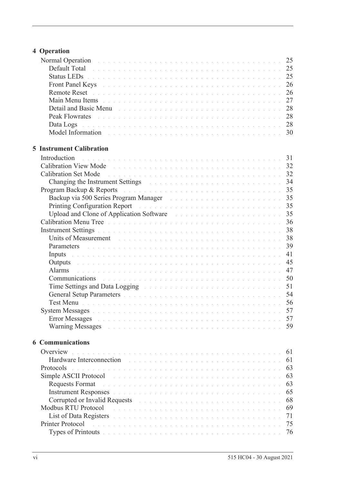# **[4 Operation](#page-34-0)**

| Normal Operation and a contract the contract of the contract of the contract of the 25                                                                                                                                         |  |  |  |  |  |  |  |  |    |
|--------------------------------------------------------------------------------------------------------------------------------------------------------------------------------------------------------------------------------|--|--|--|--|--|--|--|--|----|
| Default Total de la commune de la commune de la commune de la commune de la commune de 25                                                                                                                                      |  |  |  |  |  |  |  |  |    |
| Status LEDs <b>Election Community 25</b> Status Leader Community 25                                                                                                                                                            |  |  |  |  |  |  |  |  |    |
| Front Panel Keys and a construction of the construction of the construction of 26                                                                                                                                              |  |  |  |  |  |  |  |  |    |
|                                                                                                                                                                                                                                |  |  |  |  |  |  |  |  |    |
| Main Menu Items received and contract the contract of the contract of the contract of the contract of the contract of the contract of the contract of the contract of the contract of the contract of the contract of the cont |  |  |  |  |  |  |  |  | 27 |
|                                                                                                                                                                                                                                |  |  |  |  |  |  |  |  |    |
|                                                                                                                                                                                                                                |  |  |  |  |  |  |  |  |    |
| Data Logs de la component de la component de la component de la component de 28                                                                                                                                                |  |  |  |  |  |  |  |  |    |
|                                                                                                                                                                                                                                |  |  |  |  |  |  |  |  |    |
|                                                                                                                                                                                                                                |  |  |  |  |  |  |  |  |    |
| <b>5 Instrument Calibration</b>                                                                                                                                                                                                |  |  |  |  |  |  |  |  |    |
| Introduction                                                                                                                                                                                                                   |  |  |  |  |  |  |  |  |    |
|                                                                                                                                                                                                                                |  |  |  |  |  |  |  |  |    |
|                                                                                                                                                                                                                                |  |  |  |  |  |  |  |  |    |
| Changing the Instrument Settings and a contract of the contract of the state of the 34                                                                                                                                         |  |  |  |  |  |  |  |  |    |
| Program Backup & Reports and a contract the contract of the contract of the state of the 35                                                                                                                                    |  |  |  |  |  |  |  |  |    |
|                                                                                                                                                                                                                                |  |  |  |  |  |  |  |  |    |
|                                                                                                                                                                                                                                |  |  |  |  |  |  |  |  |    |
| Upload and Clone of Application Software and a substitution of the Software and a substitution of Application Software                                                                                                         |  |  |  |  |  |  |  |  |    |
| Calibration Menu Tree Albert and Albert and Albert and Albert and Albert and Albert 36                                                                                                                                         |  |  |  |  |  |  |  |  |    |
|                                                                                                                                                                                                                                |  |  |  |  |  |  |  |  |    |
| Units of Measurement entering the contract of the contract of the contract of the 28                                                                                                                                           |  |  |  |  |  |  |  |  |    |
| Parameters and a construction of the construction of the construction of the 39                                                                                                                                                |  |  |  |  |  |  |  |  |    |
| Inputs and a construction of the construction of the construction of the construction of the construction of the construction of the construction of the construction of the construction of the construction of the construct |  |  |  |  |  |  |  |  | 41 |
| Outputs and a construction of the construction of the construction of the construction of the construction of                                                                                                                  |  |  |  |  |  |  |  |  | 45 |
| Alarms<br>de la caractería de la caractería de la caractería de la caractería de la caractería de la caractería de la ca                                                                                                       |  |  |  |  |  |  |  |  | 47 |
| Communications des contracts and contracts are a series and contract and the 50                                                                                                                                                |  |  |  |  |  |  |  |  |    |
| Time Settings and Data Logging The Contract of the Contract of the Settings and Data Logging                                                                                                                                   |  |  |  |  |  |  |  |  | 51 |
| General Setup Parameters and a construction of the construction of the state of the 54                                                                                                                                         |  |  |  |  |  |  |  |  |    |
| Test Menu barramente de la construcción de la construcción de la construcción de la construcción de 56                                                                                                                         |  |  |  |  |  |  |  |  |    |
|                                                                                                                                                                                                                                |  |  |  |  |  |  |  |  |    |
| <b>Error Messages</b>                                                                                                                                                                                                          |  |  |  |  |  |  |  |  | 57 |
| Warning Messages and a contract the contract of the contract of the contract of the contract of the contract of the contract of the contract of the contract of the contract of the contract of the contract of the contract o |  |  |  |  |  |  |  |  | 59 |
| <b>6 Communications</b>                                                                                                                                                                                                        |  |  |  |  |  |  |  |  |    |
| Overview<br>.<br>In the second contract of the second contract of the second contract of the second contract of the second contr                                                                                               |  |  |  |  |  |  |  |  | 61 |
| Hardware Interconnection<br>.<br>The contract of the contract of the contract of the contract of the contract of the contract of the contract o                                                                                |  |  |  |  |  |  |  |  | 61 |
| Protocols<br>a construction and a construction of a construction of a construction of a construction of a construction of                                                                                                      |  |  |  |  |  |  |  |  | 63 |
| Simple ASCII Protocol<br>.<br>The second complete state of the complete state of the second complete state of the complete state of the second                                                                                 |  |  |  |  |  |  |  |  | 63 |
| <b>Requests Format</b>                                                                                                                                                                                                         |  |  |  |  |  |  |  |  | 63 |
| Instrument Responses and a construction of the construction of the construction of the construction of the construction of the construction of the construction of the construction of the construction of the construction of |  |  |  |  |  |  |  |  | 65 |
| Corrupted or Invalid Requests and a contract the contract of the contract of the contract of the contract of the contract of the contract of the contract of the contract of the contract of the contract of the contract of t |  |  |  |  |  |  |  |  | 68 |
| Modbus RTU Protocol<br>.<br>The second complete state of the second complete state of the second complete state of the second complete state of                                                                                |  |  |  |  |  |  |  |  | 69 |
| List of Data Registers and a conservation of the conservation of the conservation of the conservation of the conservation of the conservation of the conservation of the conservation of the conservation of the conservation  |  |  |  |  |  |  |  |  | 71 |
| Printer Protocol<br>.<br>In the second complete the second complete second complete the second complete second complete second complete                                                                                        |  |  |  |  |  |  |  |  | 75 |
| Types of Printouts and a contract of the contract of the contract of the contract of the contract of the contract of the contract of the contract of the contract of the contract of the contract of the contract of the contr |  |  |  |  |  |  |  |  | 76 |
|                                                                                                                                                                                                                                |  |  |  |  |  |  |  |  |    |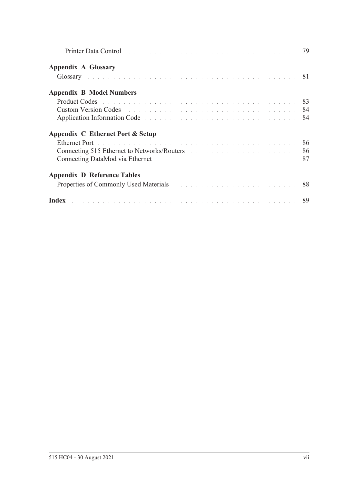| Printer Data Control and a control of the contract of the contract of the contract of the control of the control of the control of the control of the control of the control of the control of the control of the control of t |  |
|--------------------------------------------------------------------------------------------------------------------------------------------------------------------------------------------------------------------------------|--|
| <b>Appendix A Glossary</b>                                                                                                                                                                                                     |  |
| Glossary and the contract of the contract of the contract of the contract of the contract of the contract of the contract of the contract of the contract of the contract of the contract of the contract of the contract of t |  |
| <b>Appendix B Model Numbers</b>                                                                                                                                                                                                |  |
|                                                                                                                                                                                                                                |  |
|                                                                                                                                                                                                                                |  |
| Application Information Code entrances and the service contract the service of the service of the service of the service of the service of the service of the service of the service of the service of the service of the serv |  |
| Appendix C Ethernet Port & Setup                                                                                                                                                                                               |  |
| Ethernet Port and a communication of the communication of the communication of the S6                                                                                                                                          |  |
| Connecting 515 Ethernet to Networks/Routers and a connection of the state of the 86                                                                                                                                            |  |
|                                                                                                                                                                                                                                |  |
| <b>Appendix D Reference Tables</b>                                                                                                                                                                                             |  |
| Properties of Commonly Used Materials and a contract the contract of Commonly Used Materials                                                                                                                                   |  |
| Index <b>Executive Contract Constitution</b> in the construction of the construction of the <b>89</b>                                                                                                                          |  |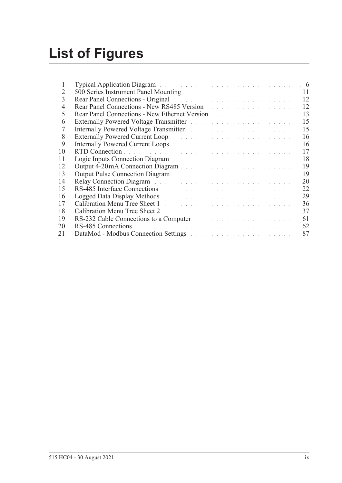# **List of Figures**

| 1  | Typical Application Diagram and a contract of the contract of the contract of the following of the C                                                                                                                           |    |
|----|--------------------------------------------------------------------------------------------------------------------------------------------------------------------------------------------------------------------------------|----|
| 2  | 500 Series Instrument Panel Mounting and a contract of the series of the 11                                                                                                                                                    |    |
| 3  | Rear Panel Connections - Original and the contract of the connection of the connection of the connection of the connection of the connection of the connection of the connection of the connection of the connection of the co |    |
| 4  | Rear Panel Connections - New RS485 Version                                                                                                                                                                                     | 12 |
| 5  | Rear Panel Connections - New Ethernet Version                                                                                                                                                                                  | 13 |
| 6  | Externally Powered Voltage Transmitter Marshall and Alexandre and Alexandre and Alexandre and Alexandre and Alexandre and Alexandre and Alexandre and Alexandre and Alexandre and Alexandre and Alexandre and Alexandre and Al | 15 |
| 7  | Internally Powered Voltage Transmitter March 2014 and State and State and State and                                                                                                                                            | 15 |
| 8  |                                                                                                                                                                                                                                | 16 |
| 9  | Internally Powered Current Loops and a contract to the contract of the contract of the contract of the contract of the contract of the contract of the contract of the contract of the contract of the contract of the contrac | 16 |
| 10 |                                                                                                                                                                                                                                | 17 |
|    |                                                                                                                                                                                                                                |    |
| 11 | Logic Inputs Connection Diagram and a connection of the Connection of the Connection of the Connection of the Connection of the Connection of the Connection of the Connection of the Connection of the Connection of the Conn | 18 |
| 12 |                                                                                                                                                                                                                                | 19 |
| 13 | Output Pulse Connection Diagram and a connection of the Connection of the Connection of the Connection of the Connection of the Connection of the Connection of the Connection of the Connection of the Connection of the Conn | 19 |
| 14 | Relay Connection Diagram and a connection of the connection of the Connection of the Connection of the Connection of the Connection of the Connection of the Connection of the Connection of the Connection of the Connection  | 20 |
| 15 |                                                                                                                                                                                                                                | 22 |
| 16 | Logged Data Display Methods and a contract the contract of the contract of the contract of the contract of the                                                                                                                 | 29 |
| 17 |                                                                                                                                                                                                                                | 36 |
| 18 | Calibration Menu Tree Sheet 2 and the contract of the contract of the contract of the Contract of the Contract of the Contract of the Contract of the Contract of the Contract of the Contract of the Contract of the Contract | 37 |
| 19 |                                                                                                                                                                                                                                | 61 |
| 20 |                                                                                                                                                                                                                                | 62 |
| 21 | DataMod - Modbus Connection Settings and the connection of the connection of the connection of the connection of the connection of the connection of the connection of the connection of the connection of the connection of t | 87 |
|    |                                                                                                                                                                                                                                |    |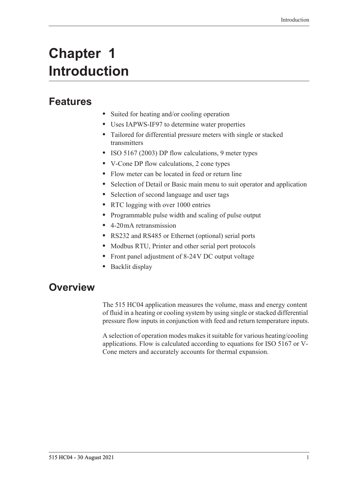# <span id="page-10-0"></span>**Chapter 1 Introduction**

# <span id="page-10-1"></span>**Features**

- **•** Suited for heating and/or cooling operation
- **•** Uses IAPWS-IF97 to determine water properties
- **•** Tailored for differential pressure meters with single or stacked transmitters
- **•** ISO 5167 (2003) DP flow calculations, 9 meter types
- **•** V-Cone DP flow calculations, 2 cone types
- **•** Flow meter can be located in feed or return line
- **•** Selection of Detail or Basic main menu to suit operator and application
- **•** Selection of second language and user tags
- **•** RTC logging with over 1000 entries
- **•** Programmable pulse width and scaling of pulse output
- **•** 4-20 mA retransmission
- **•** RS232 and RS485 or Ethernet (optional) serial ports
- **•** Modbus RTU, Printer and other serial port protocols
- **•** Front panel adjustment of 8-24 V DC output voltage
- **•** Backlit display

# <span id="page-10-2"></span>**Overview**

The 515 HC04 application measures the volume, mass and energy content of fluid in a heating or cooling system by using single or stacked differential pressure flow inputs in conjunction with feed and return temperature inputs.

A selection of operation modes makes it suitable for various heating/cooling applications. Flow is calculated according to equations for ISO 5167 or V-Cone meters and accurately accounts for thermal expansion.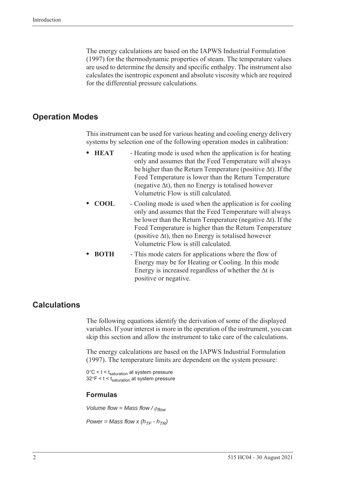The energy calculations are based on the IAPWS Industrial Formulation (1997) for the thermodynamic properties of steam. The temperature values are used to determine the density and specific enthalpy. The instrument also calculates the isentropic exponent and absolute viscosity which are required for the differential pressure calculations.

### <span id="page-11-0"></span>**Operation Modes**

This instrument can be used for various heating and cooling energy delivery systems by selection one of the following operation modes in calibration:

- **HEAT** Heating mode is used when the application is for heating only and assumes that the Feed Temperature will always be higher than the Return Temperature (positive  $\Delta t$ ). If the Feed Temperature is lower than the Return Temperature (negative  $\Delta t$ ), then no Energy is totalised however Volumetric Flow is still calculated.
- **COOL** Cooling mode is used when the application is for cooling only and assumes that the Feed Temperature will always be lower than the Return Temperature (negative  $\Delta t$ ). If the Feed Temperature is higher than the Return Temperature (positive  $\Delta t$ ), then no Energy is totalised however Volumetric Flow is still calculated.
- **• BOTH** This mode caters for applications where the flow of Energy may be for Heating or Cooling. In this mode Energy is increased regardless of whether the  $\Delta t$  is positive or negative.

## <span id="page-11-1"></span>**Calculations**

The following equations identify the derivation of some of the displayed variables. If your interest is more in the operation of the instrument, you can skip this section and allow the instrument to take care of the calculations.

The energy calculations are based on the IAPWS Industrial Formulation (1997). The temperature limits are dependent on the system pressure:

 $0^{\circ}$ C < t < t<sub>saturation</sub> at system pressure  $32^{\circ}$ F < t < t<sub>saturation</sub> at system pressure

#### **Formulas**

*Volume flow = Mass flow / flow*

*Power = Mass flow x (* $h_{TF}$  *-*  $h_{TR}$ *)*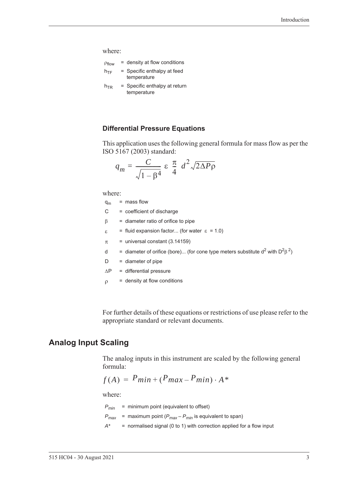where:

| Pflow           | $=$ density at flow conditions             |
|-----------------|--------------------------------------------|
| $h_{\text{TF}}$ | = Specific enthalpy at feed<br>temperature |
| $h_{TR}$        | $=$ Specific enthalpy at return            |

temperature

**Differential Pressure Equations**

This application uses the following general formula for mass flow as per the ISO 5167 (2003) standard:

$$
q_m = \frac{C}{\sqrt{1 - \beta^4}} \varepsilon \frac{\pi}{4} d^2 \sqrt{2\Delta P \rho}
$$

where:

| $q_m$         | $=$ mass flow                                                                           |
|---------------|-----------------------------------------------------------------------------------------|
| C.            | = coefficient of discharge                                                              |
| β             | $=$ diameter ratio of orifice to pipe                                                   |
| $\varepsilon$ | = fluid expansion factor (for water $\varepsilon$ = 1.0)                                |
| π             | $=$ universal constant (3.14159)                                                        |
| d             | = diameter of orifice (bore) (for cone type meters substitute $d^2$ with $D^2\beta^2$ ) |
| D             | $=$ diameter of pipe                                                                    |
| ΔP            | = differential pressure                                                                 |
| ρ             | $=$ density at flow conditions                                                          |
|               |                                                                                         |

For further details of these equations or restrictions of use please refer to the appropriate standard or relevant documents.

## <span id="page-12-0"></span>**Analog Input Scaling**

The analog inputs in this instrument are scaled by the following general formula:

$$
f(A) = P_{min} + (P_{max} - P_{min}) \cdot A^*
$$

where:

 $P_{min}$  = minimum point (equivalent to offset)

 $P_{max}$  = maximum point ( $P_{max} - P_{min}$  is equivalent to span)

*A\** = normalised signal (0 to 1) with correction applied for a flow input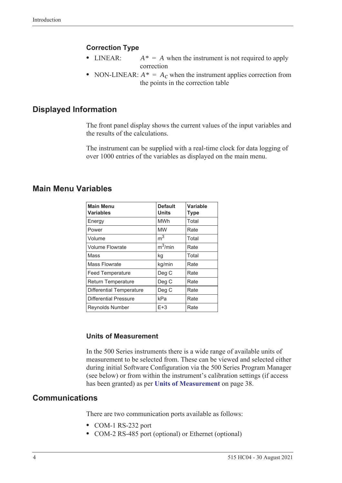### **Correction Type**

- LINEAR:  $A^* = A$  when the instrument is not required to apply correction
- NON-LINEAR:  $A^* = A_c$  when the instrument applies correction from the points in the correction table

### <span id="page-13-0"></span>**Displayed Information**

The front panel display shows the current values of the input variables and the results of the calculations.

The instrument can be supplied with a real-time clock for data logging of over 1000 entries of the variables as displayed on the main menu.

### <span id="page-13-1"></span>**Main Menu Variables**

| <b>Main Menu</b><br><b>Variables</b> | <b>Default</b><br><b>Units</b> | Variable<br><b>Type</b> |
|--------------------------------------|--------------------------------|-------------------------|
| Energy                               | <b>MWh</b>                     | Total                   |
| Power                                | <b>MW</b>                      | Rate                    |
| Volume                               | m <sup>3</sup>                 | Total                   |
| <b>Volume Flowrate</b>               | $m^3/m$ in                     | Rate                    |
| Mass                                 | kq                             | Total                   |
| <b>Mass Flowrate</b>                 | kg/min                         | Rate                    |
| <b>Feed Temperature</b>              | Deg C                          | Rate                    |
| <b>Return Temperature</b>            | Deg C                          | Rate                    |
| <b>Differential Temperature</b>      | Deg C                          | Rate                    |
| <b>Differential Pressure</b>         | kPa                            | Rate                    |
| <b>Reynolds Number</b>               | $E+3$                          | Rate                    |

#### **Units of Measurement**

In the 500 Series instruments there is a wide range of available units of measurement to be selected from. These can be viewed and selected either during initial Software Configuration via the 500 Series Program Manager (see below) or from within the instrument's calibration settings (if access has been granted) as per **[Units of Measurement](#page-47-2)** on page 38.

### <span id="page-13-2"></span>**Communications**

There are two communication ports available as follows:

- **•** COM-1 RS-232 port
- **•** COM-2 RS-485 port (optional) or Ethernet (optional)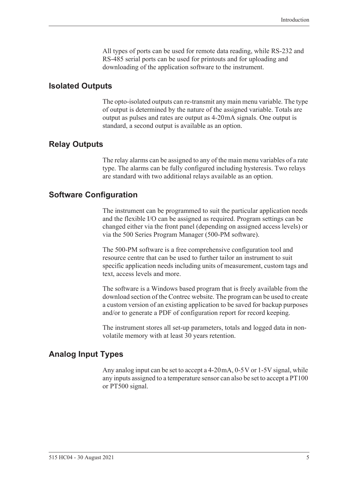All types of ports can be used for remote data reading, while RS-232 and RS-485 serial ports can be used for printouts and for uploading and downloading of the application software to the instrument.

### <span id="page-14-0"></span>**Isolated Outputs**

The opto-isolated outputs can re-transmit any main menu variable. The type of output is determined by the nature of the assigned variable. Totals are output as pulses and rates are output as 4-20 mA signals. One output is standard, a second output is available as an option.

### <span id="page-14-1"></span>**Relay Outputs**

The relay alarms can be assigned to any of the main menu variables of a rate type. The alarms can be fully configured including hysteresis. Two relays are standard with two additional relays available as an option.

### <span id="page-14-2"></span>**Software Configuration**

The instrument can be programmed to suit the particular application needs and the flexible I/O can be assigned as required. Program settings can be changed either via the front panel (depending on assigned access levels) or via the 500 Series Program Manager (500-PM software).

The 500-PM software is a free comprehensive configuration tool and resource centre that can be used to further tailor an instrument to suit specific application needs including units of measurement, custom tags and text, access levels and more.

The software is a Windows based program that is freely available from the download section of the Contrec website. The program can be used to create a custom version of an existing application to be saved for backup purposes and/or to generate a PDF of configuration report for record keeping.

The instrument stores all set-up parameters, totals and logged data in nonvolatile memory with at least 30 years retention.

## <span id="page-14-3"></span>**Analog Input Types**

Any analog input can be set to accept a 4-20 mA, 0-5 V or 1-5 V signal, while any inputs assigned to a temperature sensor can also be set to accept a PT100 or PT500 signal.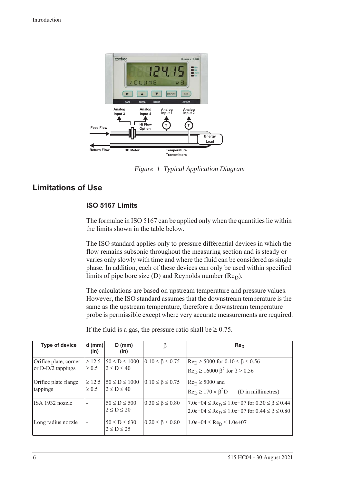

*Figure 1 Typical Application Diagram*

## <span id="page-15-0"></span>**Limitations of Use**

### <span id="page-15-1"></span>**ISO 5167 Limits**

The formulae in ISO 5167 can be applied only when the quantities lie within the limits shown in the table below.

The ISO standard applies only to pressure differential devices in which the flow remains subsonic throughout the measuring section and is steady or varies only slowly with time and where the fluid can be considered as single phase. In addition, each of these devices can only be used within specified limits of pipe bore size (D) and Reynolds number  $(Re<sub>D</sub>)$ .

The calculations are based on upstream temperature and pressure values. However, the ISO standard assumes that the downstream temperature is the same as the upstream temperature, therefore a downstream temperature probe is permissible except where very accurate measurements are required.

| <b>Type of device</b>                      | $d$ (mm)<br>(in)          | $D$ (mm)<br>(in)                        | β                           | Re <sub>D</sub>                                                                                                                      |
|--------------------------------------------|---------------------------|-----------------------------------------|-----------------------------|--------------------------------------------------------------------------------------------------------------------------------------|
| Orifice plate, corner<br>or D-D/2 tappings | $\geq 12.5$<br>$\geq 0.5$ | $50 \le D \le 1000$<br>$2 \le D \le 40$ | $0.10 \leq \beta \leq 0.75$ | $Re_D \ge 5000$ for $0.10 \le \beta \le 0.56$<br>$\text{Re}_{\text{D}} \ge 16000 \ \beta^2 \text{ for } \beta > 0.56$                |
| Orifice plate flange<br>tappings           | $\geq 12.5$<br>$\geq 0.5$ | $50 \le D \le 1000$<br>$2 \le D \le 40$ | $0.10 \leq \beta \leq 0.75$ | $Re_D \ge 5000$ and<br>$Re_D \ge 170 \times \beta^2D$<br>(D in millimetres)                                                          |
| ISA 1932 nozzle                            |                           | $50 \le D \le 500$<br>$2 \le D \le 20$  | $0.30 \leq \beta \leq 0.80$ | $7.0e+04 \leq Re_D \leq 1.0e+07$ for $0.30 \leq \beta \leq 0.44$<br>$2.0e+04 \leq Re_D \leq 1.0e+07$ for $0.44 \leq \beta \leq 0.80$ |
| Long radius nozzle                         |                           | $50 \le D \le 630$<br>$2 \le D \le 25$  | $0.20 \le \beta \le 0.80$   | $1.0e+04 \leq Re_D \leq 1.0e+07$                                                                                                     |

If the fluid is a gas, the pressure ratio shall be  $\geq 0.75$ .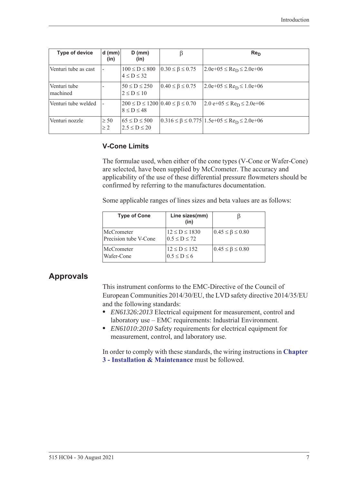| <b>Type of device</b>            | $d$ (mm)<br>(in)      | $D$ (mm)<br>(in)                                                   | β                           | Re <sub>D</sub>                                                                     |
|----------------------------------|-----------------------|--------------------------------------------------------------------|-----------------------------|-------------------------------------------------------------------------------------|
| Venturi tube as cast             |                       | $100 \le D \le 800$<br>$4 \le D \le 32$                            | $0.30 \leq \beta \leq 0.75$ | $2.0e+05 \leq Re_D \leq 2.0e+06$                                                    |
| Venturi tube<br><b>Imachined</b> |                       | $50 \le D \le 250$<br>$2 \le D \le 10$                             | $0.40 \leq \beta \leq 0.75$ | $2.0e+05 \leq Re_D \leq 1.0e+06$                                                    |
| Venturi tube welded              |                       | $200 \le D \le 1200   0.40 \le \beta \le 0.70$<br>$8 \le D \le 48$ |                             | $2.0 e+05 \leq Re_D \leq 2.0 e+06$                                                  |
| Venturi nozzle                   | $\geq 50$<br>$\geq$ 2 | $65 \le D \le 500$<br>$2.5 \le D \le 20$                           |                             | $0.316 \le \beta \le 0.775 \mid 1.5e+0.5 \le \text{Re}$ <sub>D</sub> $\le 2.0e+0.6$ |

### **V-Cone Limits**

The formulae used, when either of the cone types (V-Cone or Wafer-Cone) are selected, have been supplied by McCrometer. The accuracy and applicability of the use of these differential pressure flowmeters should be confirmed by referring to the manufactures documentation.

Some applicable ranges of lines sizes and beta values are as follows:

| <b>Type of Cone</b>                 | Line sizes(mm)<br>(in)                    |                             |
|-------------------------------------|-------------------------------------------|-----------------------------|
| McCrometer<br>Precision tube V-Cone | $12 \le D \le 1830$<br>$0.5 \le D \le 72$ | $0.45 \leq \beta \leq 0.80$ |
| <b>McCrometer</b><br>Wafer-Cone     | $12 \le D \le 152$<br>$0.5 \le D \le 6$   | $0.45 \leq \beta \leq 0.80$ |

## <span id="page-16-0"></span>**Approvals**

This instrument conforms to the EMC-Directive of the Council of European Communities 2014/30/EU, the LVD safety directive 2014/35/EU and the following standards:

- **•** *EN61326:2013* Electrical equipment for measurement, control and laboratory use – EMC requirements: Industrial Environment.
- **•** *EN61010:2010* Safety requirements for electrical equipment for measurement, control, and laboratory use.

In order to comply with these standards, the wiring instructions in **[Chapter](#page-20-5)  [3 - Installation & Maintenance](#page-20-5)** must be followed.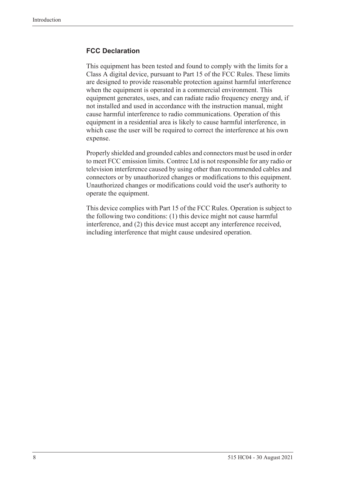### **FCC Declaration**

This equipment has been tested and found to comply with the limits for a Class A digital device, pursuant to Part 15 of the FCC Rules. These limits are designed to provide reasonable protection against harmful interference when the equipment is operated in a commercial environment. This equipment generates, uses, and can radiate radio frequency energy and, if not installed and used in accordance with the instruction manual, might cause harmful interference to radio communications. Operation of this equipment in a residential area is likely to cause harmful interference, in which case the user will be required to correct the interference at his own expense.

Properly shielded and grounded cables and connectors must be used in order to meet FCC emission limits. Contrec Ltd is not responsible for any radio or television interference caused by using other than recommended cables and connectors or by unauthorized changes or modifications to this equipment. Unauthorized changes or modifications could void the user's authority to operate the equipment.

This device complies with Part 15 of the FCC Rules. Operation is subject to the following two conditions: (1) this device might not cause harmful interference, and (2) this device must accept any interference received, including interference that might cause undesired operation.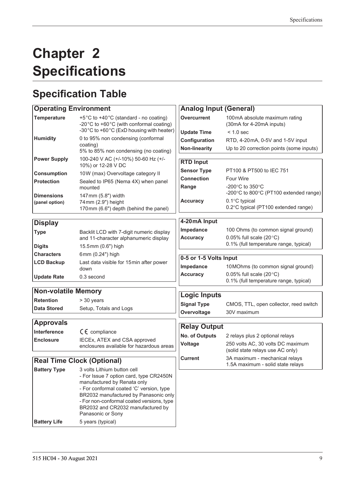# <span id="page-18-0"></span>**Chapter 2 Specifications**

# <span id="page-18-1"></span>**Specification Table**

| <b>Operating Environment</b>      |                                                                                                                                                                                                                                                                                                   | <b>Analog Input (General)</b> |                                                                               |  |  |
|-----------------------------------|---------------------------------------------------------------------------------------------------------------------------------------------------------------------------------------------------------------------------------------------------------------------------------------------------|-------------------------------|-------------------------------------------------------------------------------|--|--|
| <b>Temperature</b>                | +5°C to +40°C (standard - no coating)<br>-20°C to +60°C (with conformal coating)<br>-30°C to +60°C (ExD housing with heater)                                                                                                                                                                      | <b>Overcurrent</b>            | 100mA absolute maximum rating<br>(30mA for 4-20mA inputs)                     |  |  |
|                                   |                                                                                                                                                                                                                                                                                                   | <b>Update Time</b>            | $< 1.0$ sec                                                                   |  |  |
| <b>Humidity</b>                   | 0 to 95% non condensing (conformal<br>coating)                                                                                                                                                                                                                                                    | Configuration                 | RTD, 4-20mA, 0-5V and 1-5V input                                              |  |  |
|                                   | 5% to 85% non condensing (no coating)                                                                                                                                                                                                                                                             | <b>Non-linearity</b>          | Up to 20 correction points (some inputs)                                      |  |  |
| <b>Power Supply</b>               | 100-240 V AC (+/-10%) 50-60 Hz (+/-<br>10%) or 12-28 V DC                                                                                                                                                                                                                                         | <b>RTD Input</b>              |                                                                               |  |  |
| <b>Consumption</b>                | 10W (max) Overvoltage category II                                                                                                                                                                                                                                                                 | <b>Sensor Type</b>            | PT100 & PT500 to IEC 751                                                      |  |  |
| <b>Protection</b>                 | Sealed to IP65 (Nema 4X) when panel                                                                                                                                                                                                                                                               | <b>Connection</b>             | <b>Four Wire</b>                                                              |  |  |
| <b>Dimensions</b>                 | mounted<br>147mm (5.8") width                                                                                                                                                                                                                                                                     | Range                         | -200 $\degree$ C to 350 $\degree$ C<br>-200°C to 800°C (PT100 extended range) |  |  |
| (panel option)                    | 74mm (2.9") height<br>170mm (6.6") depth (behind the panel)                                                                                                                                                                                                                                       | <b>Accuracy</b>               | 0.1°C typical<br>0.2°C typical (PT100 extended range)                         |  |  |
| <b>Display</b>                    |                                                                                                                                                                                                                                                                                                   | 4-20mA Input                  |                                                                               |  |  |
| <b>Type</b>                       | Backlit LCD with 7-digit numeric display                                                                                                                                                                                                                                                          | Impedance                     | 100 Ohms (to common signal ground)                                            |  |  |
|                                   | and 11-character alphanumeric display                                                                                                                                                                                                                                                             | <b>Accuracy</b>               | 0.05% full scale $(20^{\circ}C)$                                              |  |  |
| <b>Digits</b>                     | 15.5mm (0.6") high                                                                                                                                                                                                                                                                                |                               | 0.1% (full temperature range, typical)                                        |  |  |
| <b>Characters</b>                 | 6mm (0.24") high                                                                                                                                                                                                                                                                                  |                               |                                                                               |  |  |
| <b>LCD Backup</b>                 | Last data visible for 15min after power                                                                                                                                                                                                                                                           | 0-5 or 1-5 Volts Input        |                                                                               |  |  |
|                                   | down                                                                                                                                                                                                                                                                                              | Impedance                     | 10 MOhms (to common signal ground)                                            |  |  |
| <b>Update Rate</b>                | 0.3 second                                                                                                                                                                                                                                                                                        | <b>Accuracy</b>               | 0.05% full scale $(20^{\circ}C)$<br>0.1% (full temperature range, typical)    |  |  |
|                                   |                                                                                                                                                                                                                                                                                                   |                               |                                                                               |  |  |
| <b>Non-volatile Memory</b>        |                                                                                                                                                                                                                                                                                                   | <b>Logic Inputs</b>           |                                                                               |  |  |
| <b>Retention</b>                  | > 30 years                                                                                                                                                                                                                                                                                        | <b>Signal Type</b>            | CMOS, TTL, open collector, reed switch                                        |  |  |
| <b>Data Stored</b>                | Setup, Totals and Logs                                                                                                                                                                                                                                                                            | Overvoltage                   | 30V maximum                                                                   |  |  |
| <b>Approvals</b>                  |                                                                                                                                                                                                                                                                                                   | <b>Relay Output</b>           |                                                                               |  |  |
| Interference                      | $C \in \mathbb{C}$ compliance                                                                                                                                                                                                                                                                     | No. of Outputs                | 2 relays plus 2 optional relays                                               |  |  |
| <b>Enclosure</b>                  | IECEx, ATEX and CSA approved                                                                                                                                                                                                                                                                      | Voltage                       | 250 volts AC, 30 volts DC maximum                                             |  |  |
|                                   | enclosures available for hazardous areas                                                                                                                                                                                                                                                          |                               | (solid state relays use AC only)                                              |  |  |
| <b>Real Time Clock (Optional)</b> |                                                                                                                                                                                                                                                                                                   | <b>Current</b>                | 3A maximum - mechanical relays<br>1.5A maximum - solid state relays           |  |  |
| <b>Battery Type</b>               | 3 volts Lithium button cell<br>- For Issue 7 option card, type CR2450N<br>manufactured by Renata only<br>- For conformal coated 'C' version, type<br>BR2032 manufactured by Panasonic only<br>- For non-conformal coated versions, type<br>BR2032 and CR2032 manufactured by<br>Panasonic or Sony |                               |                                                                               |  |  |

**Battery Life** 5 years (typical)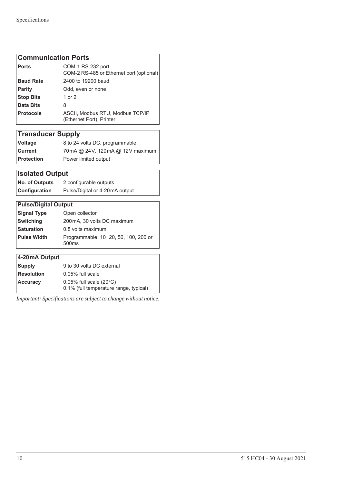### **Communication Ports**

| <b>Ports</b>     | COM-1 RS-232 port<br>COM-2 RS-485 or Ethernet port (optional) |
|------------------|---------------------------------------------------------------|
| <b>Baud Rate</b> | 2400 to 19200 baud                                            |
| <b>Parity</b>    | Odd, even or none                                             |
| <b>Stop Bits</b> | 1 or 2                                                        |
| Data Bits        | 8                                                             |
| <b>Protocols</b> | ASCII, Modbus RTU, Modbus TCP/IP<br>(Ethernet Port), Printer  |

# **Transducer Supply**

| <b>Voltage</b>    | 8 to 24 volts DC, programmable  |
|-------------------|---------------------------------|
| Current           | 70mA @ 24V, 120mA @ 12V maximum |
| <b>Protection</b> | Power limited output            |

# **Isolated Output**

| <b>No. of Outputs</b> | 2 configurable outputs         |  |  |  |
|-----------------------|--------------------------------|--|--|--|
| Configuration         | Pulse/Digital or 4-20mA output |  |  |  |

### **Pulse/Digital Output Signal Type** Open collector **Switching** 200mA, 30 volts DC maximum **Saturation** 0.8 volts maximum **Pulse Width** Programmable: 10 , 20, 50, 100, 200 or 500ms

| 4-20 mA Output    |                                        |
|-------------------|----------------------------------------|
| Supply            | 9 to 30 volts DC external              |
| <b>Resolution</b> | 0.05% full scale                       |
| <b>Accuracy</b>   | $0.05\%$ full scale (20 $\degree$ C)   |
|                   | 0.1% (full temperature range, typical) |

*Important: Specifications are subject to change without notice.*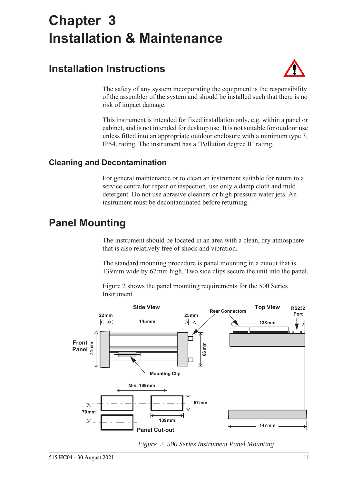# <span id="page-20-5"></span><span id="page-20-0"></span>**Chapter 3 Installation & Maintenance**

# <span id="page-20-1"></span>**Installation Instructions**



The safety of any system incorporating the equipment is the responsibility of the assembler of the system and should be installed such that there is no risk of impact damage.

This instrument is intended for fixed installation only, e.g. within a panel or cabinet, and is not intended for desktop use. It is not suitable for outdoor use unless fitted into an appropriate outdoor enclosure with a minimum type 3, IP54, rating. The instrument has a 'Pollution degree II' rating.

# <span id="page-20-2"></span>**Cleaning and Decontamination**

For general maintenance or to clean an instrument suitable for return to a service centre for repair or inspection, use only a damp cloth and mild detergent. Do not use abrasive cleaners or high pressure water jets. An instrument must be decontaminated before returning.

# <span id="page-20-3"></span>**Panel Mounting**

The instrument should be located in an area with a clean, dry atmosphere that is also relatively free of shock and vibration.

The standard mounting procedure is panel mounting in a cutout that is 139 mm wide by 67 mm high. Two side clips secure the unit into the panel.

[Figure 2](#page-20-4) shows the panel mounting requirements for the 500 Series Instrument.



<span id="page-20-4"></span>*Figure 2 500 Series Instrument Panel Mounting*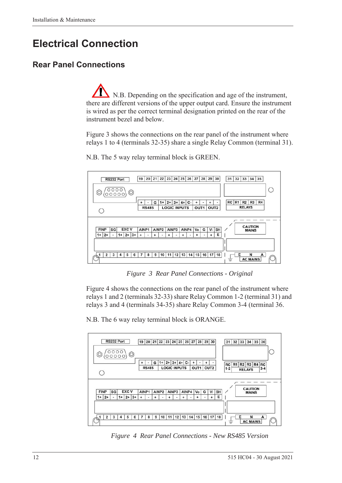# <span id="page-21-0"></span>**Electrical Connection**

# <span id="page-21-1"></span>**Rear Panel Connections**

N.B. Depending on the specification and age of the instrument, there are different versions of the upper output card. Ensure the instrument is wired as per the correct terminal designation printed on the rear of the instrument bezel and below.

[Figure 3](#page-21-2) shows the connections on the rear panel of the instrument where relays 1 to 4 (terminals 32-35) share a single Relay Common (terminal 31).



N.B. The 5 way relay terminal block is GREEN.

*Figure 3 Rear Panel Connections - Original*

<span id="page-21-2"></span>[Figure 4](#page-21-3) shows the connections on the rear panel of the instrument where relays 1 and 2 (terminals 32-33) share Relay Common 1-2 (terminal 31) and relays 3 and 4 (terminals 34-35) share Relay Common 3-4 (terminal 36.

N.B. The 6 way relay terminal block is ORANGE.



<span id="page-21-3"></span>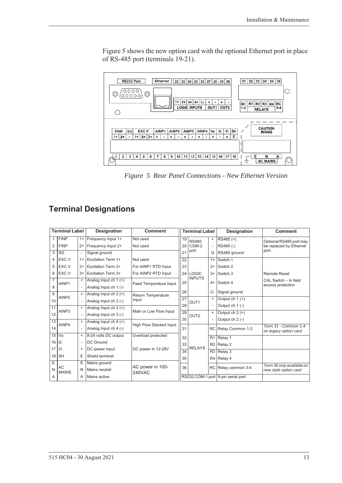[Figure 5](#page-22-1) shows the new option card with the optional Ethernet port in place of RS-485 port (terminals 19-21).



<span id="page-22-1"></span>*Figure 5 Rear Panel Connections - New Ethernet Version*

# <span id="page-22-0"></span>**Terminal Designations**

| <b>Terminal Label</b> |                    |                          | <b>Designation</b>        | <b>Comment</b>                    | <b>Terminal Label</b> |                  |                | <b>Designation</b>                 | <b>Comment</b>                                |
|-----------------------|--------------------|--------------------------|---------------------------|-----------------------------------|-----------------------|------------------|----------------|------------------------------------|-----------------------------------------------|
|                       | <b>FINP</b>        | $1+$                     | Frequency Input 1+        | Not used                          | 19                    | <b>RS485</b>     | $+$            | RS485 (+)                          | Optional RS485 port may                       |
| 2                     | <b>FINP</b>        | $2+$                     | Frequency Input 2+        | Not used                          | 20                    | COM-2            |                | RS485 (-)                          | be replaced by Ethernet                       |
| 3                     | SG                 | $\blacksquare$           | Signal ground             |                                   | 21                    | port             | G              | RS485 ground                       | port.                                         |
| 4                     | EXC V              | $1+$                     | Excitation Term 1+        | Not used                          | 22                    |                  | $1+$           | Switch 1                           |                                               |
| 5                     | EXC V              | $2+$                     | <b>Excitation Term 2+</b> | For AINP1 RTD Input               | 23                    |                  | $2+$           | Switch 2                           |                                               |
| 6                     | EXC V              | $3+$                     | Excitation Term 3+        | For AINP2 RTD Input               | 24                    | <b>LOGIC</b>     | $3+$           | Switch 3                           | <b>Remote Reset</b>                           |
| 7                     | AINP1              | $\ddot{}$                | Analog Input ch $1 (+)$   | 25<br>Feed Temperature Input      |                       | <b>INPUTS</b>    | $4+$           | Switch 4                           | CAL Switch - In field                         |
| 8                     |                    |                          | Analog Input ch 1 (-)     |                                   |                       |                  |                |                                    | access protection                             |
| 9                     | AINP <sub>2</sub>  | $\ddot{}$                | Analog Input ch $2 (+)$   | <b>Return Temperature</b>         | 26                    |                  | $C-$           | Signal ground                      |                                               |
| 10                    |                    |                          | Analog Input ch 2 (-)     | Input                             | 27                    | OUT <sub>1</sub> | $\ddot{}$      | Output ch $1 (+)$                  |                                               |
| 11                    |                    | $\ddot{}$                | Analog Input ch $3 (+)$   |                                   | 28                    |                  |                | Output ch 1 (-)                    |                                               |
| 12                    | AINP3              | $\overline{\phantom{a}}$ | Analog Input ch 3 (-)     | Main or Low Flow Input            | $\overline{29}$<br>30 | OUT <sub>2</sub> | $\ddot{}$      | Output ch $2 (+)$                  |                                               |
| 13                    |                    | $\ddot{}$                | Analog Input ch $4 (+)$   |                                   |                       |                  |                | Output $ch 2$ (-)                  |                                               |
| 14                    | AINP4              |                          | Analog Input ch 4 (-)     | <b>High Flow Stacked Input</b>    | 31                    |                  | <b>RC</b>      | Relay Common 1-2                   | Term 31 - Common 1-4<br>on legacy option card |
| 15                    | Vo                 | $\ddot{}$                | 8-24 volts DC output      | Overload protected                | 32                    |                  | R1             | Relay 1                            |                                               |
| 16                    | G                  | $\overline{\phantom{a}}$ | DC Ground                 |                                   | 33                    |                  | R <sub>2</sub> | Relay 2                            |                                               |
| 17                    | Vi                 | $\ddot{}$                | DC power input            | DC power in 12-28V                | $\overline{34}$       | <b>RELAYS</b>    | R3             | Relay 3                            |                                               |
| 18                    | <b>SH</b>          | Ε                        | Shield terminal           |                                   | 35                    |                  | R <sub>4</sub> | Relay 4                            |                                               |
| Ε                     |                    | E                        | Mains ground              |                                   |                       |                  |                |                                    | Term 36 only available on                     |
| N                     | AC<br><b>MAINS</b> | Ν                        | Mains neutral             | AC power in 100-<br><b>240VAC</b> | 36                    |                  | RC             | Relay common 3-4                   | new style option card                         |
| A                     |                    | Α                        | Mains active              |                                   |                       |                  |                | RS232 COM-1 port 9-pin serial port |                                               |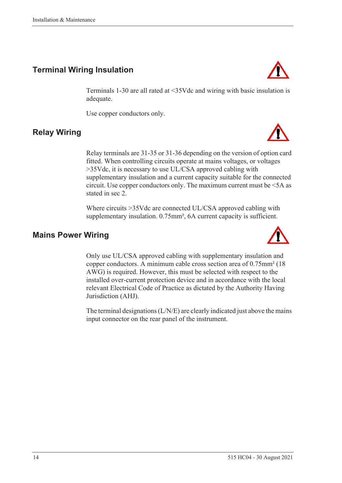# <span id="page-23-0"></span>**Terminal Wiring Insulation**

Terminals 1-30 are all rated at <35Vdc and wiring with basic insulation is adequate.

Use copper conductors only.

# <span id="page-23-1"></span>**Relay Wiring**

Relay terminals are 31-35 or 31-36 depending on the version of option card fitted. When controlling circuits operate at mains voltages, or voltages >35Vdc, it is necessary to use UL/CSA approved cabling with supplementary insulation and a current capacity suitable for the connected circuit. Use copper conductors only. The maximum current must be <5A as stated in sec 2.

Where circuits >35Vdc are connected UL/CSA approved cabling with supplementary insulation. 0.75mm<sup>2</sup>, 6A current capacity is sufficient.

## <span id="page-23-2"></span>**Mains Power Wiring**

Only use UL/CSA approved cabling with supplementary insulation and copper conductors. A minimum cable cross section area of 0.75mm² (18 AWG) is required. However, this must be selected with respect to the installed over-current protection device and in accordance with the local relevant Electrical Code of Practice as dictated by the Authority Having Jurisdiction (AHJ).

The terminal designations (L/N/E) are clearly indicated just above the mains input connector on the rear panel of the instrument.





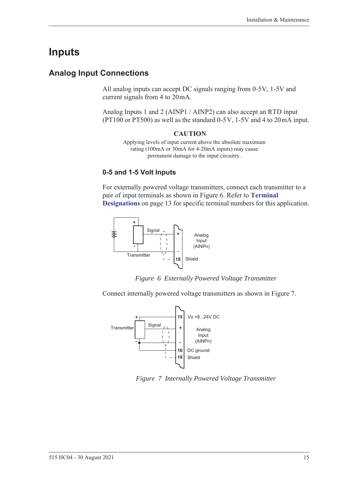# <span id="page-24-0"></span>**Inputs**

# <span id="page-24-1"></span>**Analog Input Connections**

All analog inputs can accept DC signals ranging from 0-5V, 1-5V and current signals from 4 to 20 mA.

Analog Inputs 1 and 2 (AINP1 / AINP2) can also accept an RTD input (PT100 or PT500) as well as the standard  $0-5V$ ,  $1-5V$  and 4 to  $20mA$  input.

#### **CAUTION**

Applying levels of input current above the absolute maximum rating (100mA or 30mA for 4-20mA inputs) may cause permanent damage to the input circuitry.

### **0-5 and 1-5 Volt Inputs**

For externally powered voltage transmitters, connect each transmitter to a pair of input terminals as shown in [Figure 6.](#page-24-2) Refer to **[Terminal](#page-22-0)  [Designations](#page-22-0)** on page 13 for specific terminal numbers for this application.



*Figure 6 Externally Powered Voltage Transmitter*

<span id="page-24-2"></span>Connect internally powered voltage transmitters as shown in [Figure 7.](#page-24-3)



<span id="page-24-3"></span>*Figure 7 Internally Powered Voltage Transmitter*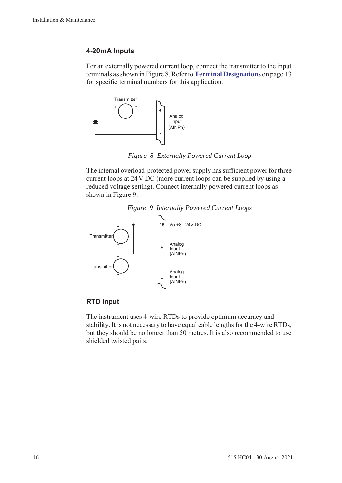### **4-20 mA Inputs**

For an externally powered current loop, connect the transmitter to the input terminals as shown in [Figure 8](#page-25-0). Refer to **[Terminal Designations](#page-22-0)** on page 13 for specific terminal numbers for this application.



*Figure 8 Externally Powered Current Loop*

<span id="page-25-0"></span>The internal overload-protected power supply has sufficient power for three current loops at 24 V DC (more current loops can be supplied by using a reduced voltage setting). Connect internally powered current loops as shown in [Figure 9](#page-25-1).



<span id="page-25-1"></span>

### **RTD Input**

The instrument uses 4-wire RTDs to provide optimum accuracy and stability. It is not necessary to have equal cable lengths for the 4-wire RTDs, but they should be no longer than 50 metres. It is also recommended to use shielded twisted pairs.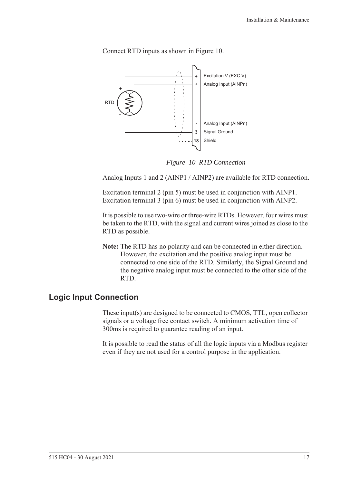

Connect RTD inputs as shown in [Figure 10.](#page-26-1)

*Figure 10 RTD Connection*

<span id="page-26-1"></span>Analog Inputs 1 and 2 (AINP1 / AINP2) are available for RTD connection.

Excitation terminal 2 (pin 5) must be used in conjunction with AINP1. Excitation terminal 3 (pin 6) must be used in conjunction with AINP2.

It is possible to use two-wire or three-wire RTDs. However, four wires must be taken to the RTD, with the signal and current wires joined as close to the RTD as possible.

**Note:** The RTD has no polarity and can be connected in either direction. However, the excitation and the positive analog input must be connected to one side of the RTD. Similarly, the Signal Ground and the negative analog input must be connected to the other side of the RTD.

## <span id="page-26-0"></span>**Logic Input Connection**

These input(s) are designed to be connected to CMOS, TTL, open collector signals or a voltage free contact switch. A minimum activation time of 300ms is required to guarantee reading of an input.

It is possible to read the status of all the logic inputs via a Modbus register even if they are not used for a control purpose in the application.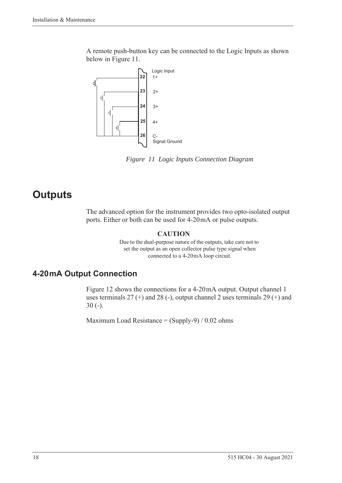A remote push-button key can be connected to the Logic Inputs as shown below in [Figure 11](#page-27-2).



<span id="page-27-2"></span>*Figure 11 Logic Inputs Connection Diagram*

# <span id="page-27-0"></span>**Outputs**

The advanced option for the instrument provides two opto-isolated output ports. Either or both can be used for 4-20 mA or pulse outputs.

### **CAUTION**

Due to the dual-purpose nature of the outputs, take care not to set the output as an open collector pulse type signal when connected to a 4-20 mA loop circuit.

# <span id="page-27-1"></span>**4-20 mA Output Connection**

[Figure 12](#page-28-1) shows the connections for a 4-20 mA output. Output channel 1 uses terminals  $27$  (+) and  $28$  (-), output channel 2 uses terminals  $29$  (+) and 30 (-).

Maximum Load Resistance =  $(Supply-9) / 0.02$  ohms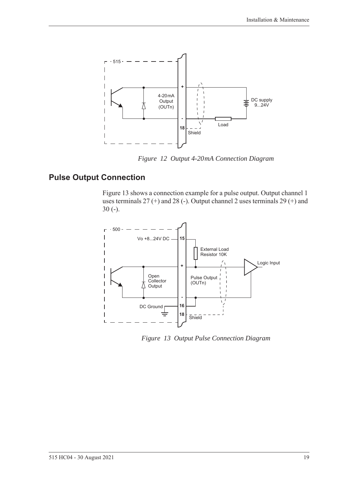

*Figure 12 Output 4-20 mA Connection Diagram*

# <span id="page-28-0"></span>**Pulse Output Connection**

<span id="page-28-1"></span>[Figure 13](#page-28-2) shows a connection example for a pulse output. Output channel 1 uses terminals 27 (+) and 28 (-). Output channel 2 uses terminals 29 (+) and 30 (-).



<span id="page-28-2"></span>*Figure 13 Output Pulse Connection Diagram*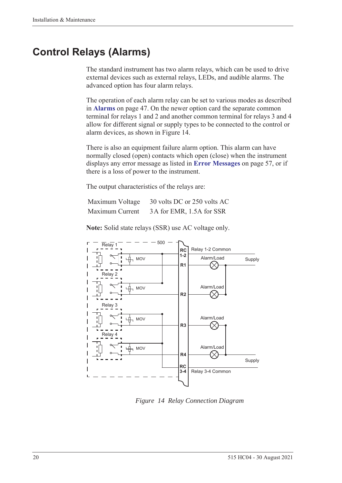# <span id="page-29-0"></span>**Control Relays (Alarms)**

The standard instrument has two alarm relays, which can be used to drive external devices such as external relays, LEDs, and audible alarms. The advanced option has four alarm relays.

The operation of each alarm relay can be set to various modes as described in **Alarms** [on page 47](#page-56-1). On the newer option card the separate common terminal for relays 1 and 2 and another common terminal for relays 3 and 4 allow for different signal or supply types to be connected to the control or alarm devices, as shown in [Figure 14.](#page-29-1)

There is also an equipment failure alarm option. This alarm can have normally closed (open) contacts which open (close) when the instrument displays any error message as listed in **[Error Messages](#page-66-2)** on page 57, or if there is a loss of power to the instrument.

The output characteristics of the relays are:

| Maximum Voltage | 30 volts DC or 250 volts AC |
|-----------------|-----------------------------|
| Maximum Current | 3A for EMR, 1.5A for SSR    |

**Note:** Solid state relays (SSR) use AC voltage only.



<span id="page-29-1"></span>*Figure 14 Relay Connection Diagram*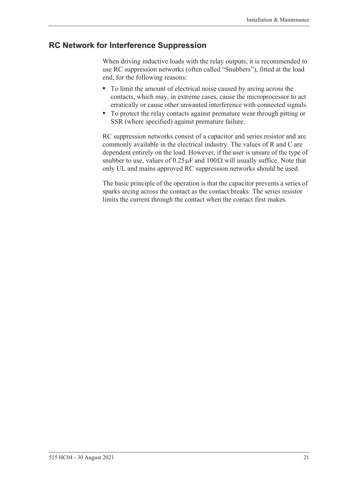## <span id="page-30-0"></span>**RC Network for Interference Suppression**

When driving inductive loads with the relay outputs, it is recommended to use RC suppression networks (often called "Snubbers"), fitted at the load end, for the following reasons:

- **•** To limit the amount of electrical noise caused by arcing across the contacts, which may, in extreme cases, cause the microprocessor to act erratically or cause other unwanted interference with connected signals.
- **•** To protect the relay contacts against premature wear through pitting or SSR (where specified) against premature failure.

RC suppression networks consist of a capacitor and series resistor and are commonly available in the electrical industry. The values of R and C are dependent entirely on the load. However, if the user is unsure of the type of snubber to use, values of  $0.25 \mu$ F and  $100 \Omega$  will usually suffice. Note that only UL and mains approved RC suppression networks should be used.

The basic principle of the operation is that the capacitor prevents a series of sparks arcing across the contact as the contact breaks. The series resistor limits the current through the contact when the contact first makes.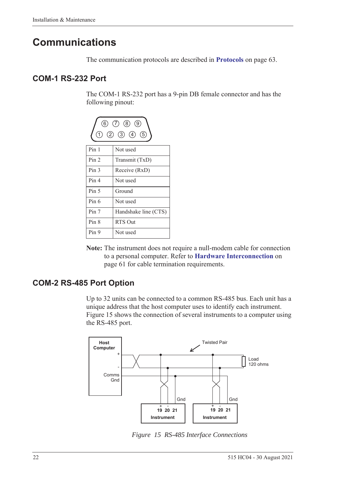# <span id="page-31-0"></span>**Communications**

The communication protocols are described in **Protocols** [on page 63.](#page-72-3)

## <span id="page-31-1"></span>**COM-1 RS-232 Port**

The COM-1 RS-232 port has a 9-pin DB female connector and has the following pinout:



**Note:** The instrument does not require a null-modem cable for connection to a personal computer. Refer to **[Hardware Interconnection](#page-70-4)** on [page 61](#page-70-4) for cable termination requirements.

# <span id="page-31-2"></span>**COM-2 RS-485 Port Option**

Up to 32 units can be connected to a common RS-485 bus. Each unit has a unique address that the host computer uses to identify each instrument. [Figure 15](#page-31-3) shows the connection of several instruments to a computer using the RS-485 port.



<span id="page-31-3"></span>*Figure 15 RS-485 Interface Connections*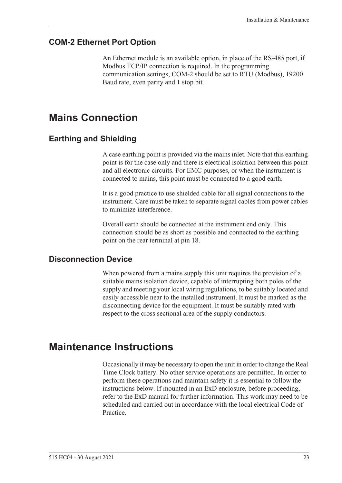## <span id="page-32-0"></span>**COM-2 Ethernet Port Option**

An Ethernet module is an available option, in place of the RS-485 port, if Modbus TCP/IP connection is required. In the programming communication settings, COM-2 should be set to RTU (Modbus), 19200 Baud rate, even parity and 1 stop bit.

# <span id="page-32-1"></span>**Mains Connection**

## <span id="page-32-2"></span>**Earthing and Shielding**

A case earthing point is provided via the mains inlet. Note that this earthing point is for the case only and there is electrical isolation between this point and all electronic circuits. For EMC purposes, or when the instrument is connected to mains, this point must be connected to a good earth.

It is a good practice to use shielded cable for all signal connections to the instrument. Care must be taken to separate signal cables from power cables to minimize interference.

Overall earth should be connected at the instrument end only. This connection should be as short as possible and connected to the earthing point on the rear terminal at pin 18.

## <span id="page-32-3"></span>**Disconnection Device**

When powered from a mains supply this unit requires the provision of a suitable mains isolation device, capable of interrupting both poles of the supply and meeting your local wiring regulations, to be suitably located and easily accessible near to the installed instrument. It must be marked as the disconnecting device for the equipment. It must be suitably rated with respect to the cross sectional area of the supply conductors.

# <span id="page-32-4"></span>**Maintenance Instructions**

Occasionally it may be necessary to open the unit in order to change the Real Time Clock battery. No other service operations are permitted. In order to perform these operations and maintain safety it is essential to follow the instructions below. If mounted in an ExD enclosure, before proceeding, refer to the ExD manual for further information. This work may need to be scheduled and carried out in accordance with the local electrical Code of Practice.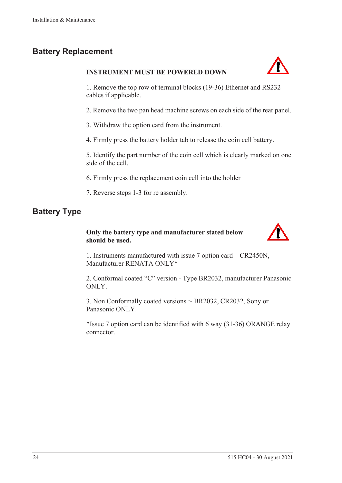# <span id="page-33-0"></span>**Battery Replacement**

### **INSTRUMENT MUST BE POWERED DOWN**



1. Remove the top row of terminal blocks (19-36) Ethernet and RS232 cables if applicable.

2. Remove the two pan head machine screws on each side of the rear panel.

3. Withdraw the option card from the instrument.

4. Firmly press the battery holder tab to release the coin cell battery.

5. Identify the part number of the coin cell which is clearly marked on one side of the cell.

6. Firmly press the replacement coin cell into the holder

7. Reverse steps 1-3 for re assembly.

# <span id="page-33-1"></span>**Battery Type**

### **Only the battery type and manufacturer stated below should be used.**



1. Instruments manufactured with issue 7 option card – CR2450N, Manufacturer RENATA ONLY\*

2. Conformal coated "C" version - Type BR2032, manufacturer Panasonic ONLY.

3. Non Conformally coated versions :- BR2032, CR2032, Sony or Panasonic ONLY.

\*Issue 7 option card can be identified with 6 way (31-36) ORANGE relay connector.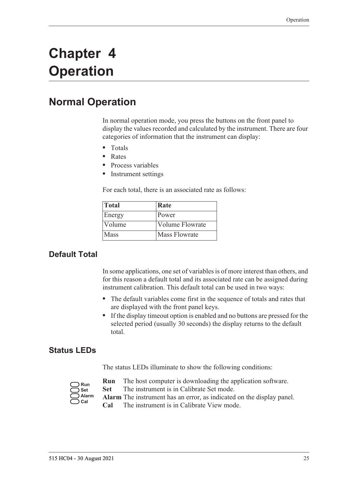# <span id="page-34-0"></span>**Chapter 4 Operation**

# <span id="page-34-1"></span>**Normal Operation**

In normal operation mode, you press the buttons on the front panel to display the values recorded and calculated by the instrument. There are four categories of information that the instrument can display:

- **•** Totals
- **•** Rates
- **•** Process variables
- **•** Instrument settings

For each total, there is an associated rate as follows:

| <b>Total</b> | Rate                   |
|--------------|------------------------|
| Energy       | Power                  |
| Volume       | <b>Volume Flowrate</b> |
| Mass         | Mass Flowrate          |

## <span id="page-34-2"></span>**Default Total**

In some applications, one set of variables is of more interest than others, and for this reason a default total and its associated rate can be assigned during instrument calibration. This default total can be used in two ways:

- **•** The default variables come first in the sequence of totals and rates that are displayed with the front panel keys.
- **•** If the display timeout option is enabled and no buttons are pressed for the selected period (usually 30 seconds) the display returns to the default total.

### <span id="page-34-3"></span>**Status LEDs**

The status LEDs illuminate to show the following conditions:

| Run   |
|-------|
| Set   |
| Alarm |
| :al   |

- **Run** The host computer is downloading the application software.
- **Set** The instrument is in Calibrate Set mode.
- **Alarm** The instrument has an error, as indicated on the display panel.
- **Cal** The instrument is in Calibrate View mode.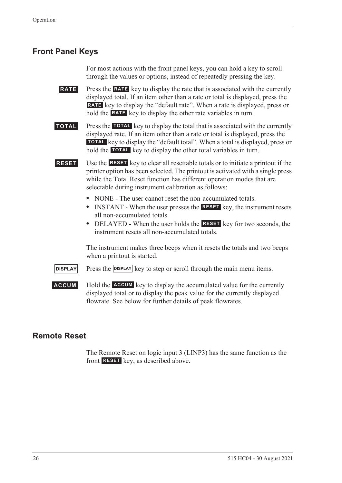## <span id="page-35-0"></span>**Front Panel Keys**

For most actions with the front panel keys, you can hold a key to scroll through the values or options, instead of repeatedly pressing the key.

**RATE** Press the **RATE** key to display the rate that is associated with the currently displayed total. If an item other than a rate or total is displayed, press the RATE key to display the "default rate". When a rate is displayed, press or hold the **RATE** key to display the other rate variables in turn.

**TOTAL** Press the TOTAL key to display the total that is associated with the currently displayed rate. If an item other than a rate or total is displayed, press the **TOTAL** key to display the "default total". When a total is displayed, press or hold the **TOTAL** key to display the other total variables in turn.

**RESET** Use the **RESET** key to clear all resettable totals or to initiate a printout if the printer option has been selected. The printout is activated with a single press while the Total Reset function has different operation modes that are selectable during instrument calibration as follows:

- NONE The user cannot reset the non-accumulated totals.
- INSTANT When the user presses the **RESET** key, the instrument resets all non-accumulated totals.
- DELAYED When the user holds the **RESET** key for two seconds, the instrument resets all non-accumulated totals.

The instrument makes three beeps when it resets the totals and two beeps when a printout is started.

**DISPLAY** Press the **DISPLAY** key to step or scroll through the main menu items.

**ACCUM** Hold the **ACCUM** key to display the accumulated value for the currently displayed total or to display the peak value for the currently displayed flowrate. See below for further details of peak flowrates.

## <span id="page-35-1"></span>**Remote Reset**

The Remote Reset on logic input 3 (LINP3) has the same function as the front **RESET** key, as described above.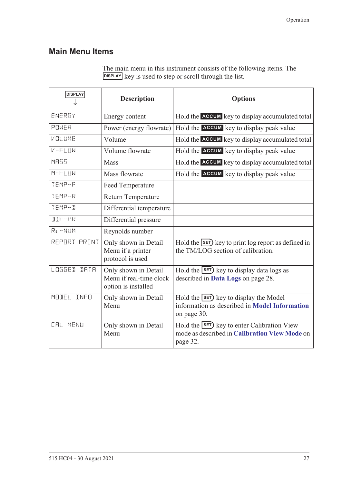### **Main Menu Items**

| The main menu in this instrument consists of the following items. The |
|-----------------------------------------------------------------------|
| DISPLAY key is used to step or scroll through the list.               |

| <b>DISPLAY</b>        | <b>Description</b>                                                     | <b>Options</b>                                                                                               |
|-----------------------|------------------------------------------------------------------------|--------------------------------------------------------------------------------------------------------------|
| ENERGY                | Energy content                                                         | Hold the ACCUM key to display accumulated total                                                              |
| POWER                 | Power (energy flowrate)                                                | Hold the ACCUM key to display peak value                                                                     |
| VOLUME                | Volume                                                                 | Hold the ACCUM key to display accumulated total                                                              |
| $V - FLIM$            | Volume flowrate                                                        | Hold the <b>ACCUM</b> key to display peak value                                                              |
| <b>MR55</b>           | Mass                                                                   | Hold the ACCUM key to display accumulated total                                                              |
| $M-FLUM$              | Mass flowrate                                                          | Hold the <b>ACCUM</b> key to display peak value                                                              |
| TEMP-F                | Feed Temperature                                                       |                                                                                                              |
| TEMP-R                | <b>Return Temperature</b>                                              |                                                                                                              |
| TEMP-D                | Differential temperature                                               |                                                                                                              |
| <b>JIF-PR</b>         | Differential pressure                                                  |                                                                                                              |
| Re-NUM                | Reynolds number                                                        |                                                                                                              |
| REPORT PRINT          | Only shown in Detail<br>Menu if a printer<br>protocol is used          | Hold the SET) key to print log report as defined in<br>the TM/LOG section of calibration.                    |
| LOGGED<br><b>IRTR</b> | Only shown in Detail<br>Menu if real-time clock<br>option is installed | Hold the $\overline{\text{SET}}$ key to display data logs as<br>described in Data Logs on page 28.           |
| MODEL INFO            | Only shown in Detail<br>Menu                                           | Hold the <b>SET</b> key to display the Model<br>information as described in Model Information<br>on page 30. |
| <b>CAL MENU</b>       | Only shown in Detail<br>Menu                                           | Hold the SET) key to enter Calibration View<br>mode as described in Calibration View Mode on<br>page 32.     |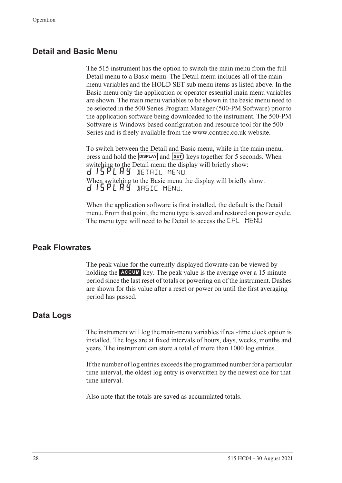#### **Detail and Basic Menu**

The 515 instrument has the option to switch the main menu from the full Detail menu to a Basic menu. The Detail menu includes all of the main menu variables and the HOLD SET sub menu items as listed above. In the Basic menu only the application or operator essential main menu variables are shown. The main menu variables to be shown in the basic menu need to be selected in the 500 Series Program Manager (500-PM Software) prior to the application software being downloaded to the instrument. The 500-PM Software is Windows based configuration and resource tool for the 500 Series and is freely available from the www.contrec.co.uk website.

To switch between the Detail and Basic menu, while in the main menu, press and hold the **DISPLAY** and **SET**) keys together for 5 seconds. When switching to the Detail menu the display will briefly show: d 15 PL A Y DETAIL MENU. When switching to the Basic menu the display will briefly show: d 15PLAY BASIC MENU.

When the application software is first installed, the default is the Detail menu. From that point, the menu type is saved and restored on power cycle. The menu type will need to be Detail to access the CAL MENU

#### **Peak Flowrates**

The peak value for the currently displayed flowrate can be viewed by holding the **ACCUM** key. The peak value is the average over a 15 minute period since the last reset of totals or powering on of the instrument. Dashes are shown for this value after a reset or power on until the first averaging period has passed.

#### <span id="page-37-0"></span>**Data Logs**

The instrument will log the main-menu variables if real-time clock option is installed. The logs are at fixed intervals of hours, days, weeks, months and years. The instrument can store a total of more than 1000 log entries.

If the number of log entries exceeds the programmed number for a particular time interval, the oldest log entry is overwritten by the newest one for that time interval.

Also note that the totals are saved as accumulated totals.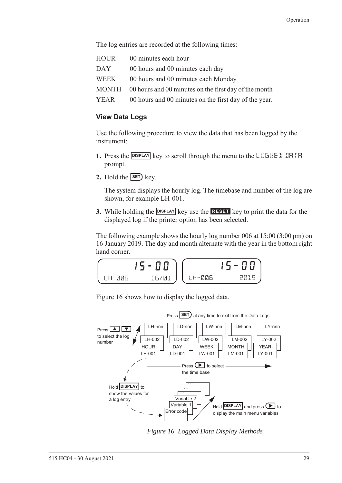The log entries are recorded at the following times:

| HOUR | 00 minutes each hour                                        |
|------|-------------------------------------------------------------|
| DAY  | 00 hours and 00 minutes each day                            |
| WEEK | 00 hours and 00 minutes each Monday                         |
|      | MONTH 00 hours and 00 minutes on the first day of the month |
| YEAR | 00 hours and 00 minutes on the first day of the year.       |

#### **View Data Logs**

Use the following procedure to view the data that has been logged by the instrument:

- 1. Press the **DISPLAY** key to scroll through the menu to the LOGGE I IHTH prompt.
- **2.** Hold the  $\overline{\text{SET}}$  key.

The system displays the hourly log. The timebase and number of the log are shown, for example LH-001.

**3.** While holding the **DISPLAY** key use the **RESET** key to print the data for the displayed log if the printer option has been selected.

The following example shows the hourly log number 006 at 15:00 (3:00 pm) on 16 January 2019. The day and month alternate with the year in the bottom right hand corner.

$$
\begin{array}{|c|c|c|c|}\n\hline\n\text{LH-B06} & \text{15-00} \\
\hline\n\text{LH-B06} & \text{16/01} \\
\hline\n\end{array}\n\quad\n\begin{array}{|c|c|c|}\n\hline\n\text{LH-B06} & \text{15-00} \\
\hline\n\text{LH-B06} & \text{2019}\n\end{array}
$$

[Figure 16](#page-38-0) shows how to display the logged data.



<span id="page-38-0"></span>*Figure 16 Logged Data Display Methods*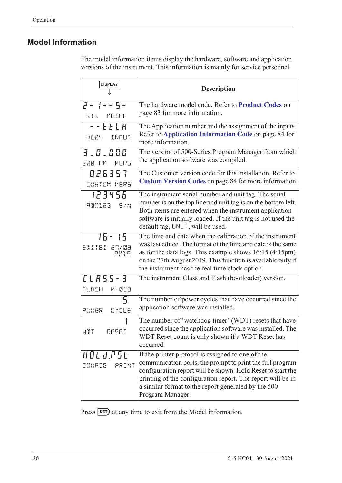### <span id="page-39-1"></span><span id="page-39-0"></span>**Model Information**

The model information items display the hardware, software and application versions of the instrument. This information is mainly for service personnel.

| <b>DISPLAY</b>                       | <b>Description</b>                                                                                                                                                                                                                                                                                                      |
|--------------------------------------|-------------------------------------------------------------------------------------------------------------------------------------------------------------------------------------------------------------------------------------------------------------------------------------------------------------------------|
| $2 - 1 - 5 -$<br>515 MODEL           | The hardware model code. Refer to Product Codes on<br>page 83 for more information.                                                                                                                                                                                                                                     |
| -- E E L H<br>HE04 INPUT             | The Application number and the assignment of the inputs.<br>Refer to Application Information Code on page 84 for<br>more information.                                                                                                                                                                                   |
| 3.0.000<br>SØØ-PM VERS               | The version of 500-Series Program Manager from which<br>the application software was compiled.                                                                                                                                                                                                                          |
| 026357<br>CUSTOM VERS                | The Customer version code for this installation. Refer to<br>Custom Version Codes on page 84 for more information.                                                                                                                                                                                                      |
| 123456<br>RBE123 5/N                 | The instrument serial number and unit tag. The serial<br>number is on the top line and unit tag is on the bottom left.<br>Both items are entered when the instrument application<br>software is initially loaded. If the unit tag is not used the<br>default tag, UNIT, will be used.                                   |
| $15 - 15$<br>EDITED 27/08<br>2019    | The time and date when the calibration of the instrument<br>was last edited. The format of the time and date is the same<br>as for the data logs. This example shows $16:15(4:15pm)$<br>on the 27th August 2019. This function is available only if<br>the instrument has the real time clock option.                   |
| <b>[LASS-3</b><br>FLASH<br>$V - 219$ | The instrument Class and Flash (bootloader) version.                                                                                                                                                                                                                                                                    |
| 5<br><b>CYCLE</b><br>POWER           | The number of power cycles that have occurred since the<br>application software was installed.                                                                                                                                                                                                                          |
| WIT<br>RESET                         | The number of 'watchdog timer' (WDT) resets that have<br>occurred since the application software was installed. The<br>WDT Reset count is only shown if a WDT Reset has<br>occurred.                                                                                                                                    |
| HOLd.PSE<br><b>CONFIG</b><br>PRINT   | If the printer protocol is assigned to one of the<br>communication ports, the prompt to print the full program<br>configuration report will be shown. Hold Reset to start the<br>printing of the configuration report. The report will be in<br>a similar format to the report generated by the 500<br>Program Manager. |

Press **SET**) at any time to exit from the Model information.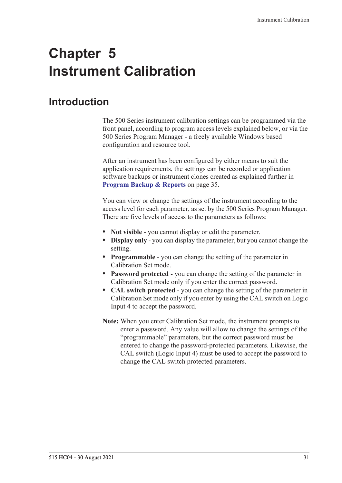# **Chapter 5 Instrument Calibration**

## **Introduction**

The 500 Series instrument calibration settings can be programmed via the front panel, according to program access levels explained below, or via the 500 Series Program Manager - a freely available Windows based configuration and resource tool.

After an instrument has been configured by either means to suit the application requirements, the settings can be recorded or application software backups or instrument clones created as explained further in **[Program Backup & Reports](#page-44-0)** on page 35.

You can view or change the settings of the instrument according to the access level for each parameter, as set by the 500 Series Program Manager. There are five levels of access to the parameters as follows:

- **• Not visible** you cannot display or edit the parameter.
- **• Display only** you can display the parameter, but you cannot change the setting.
- **• Programmable** you can change the setting of the parameter in Calibration Set mode.
- **• Password protected** you can change the setting of the parameter in Calibration Set mode only if you enter the correct password.
- **• CAL switch protected**  you can change the setting of the parameter in Calibration Set mode only if you enter by using the CAL switch on Logic Input 4 to accept the password.
- **Note:** When you enter Calibration Set mode, the instrument prompts to enter a password. Any value will allow to change the settings of the "programmable" parameters, but the correct password must be entered to change the password-protected parameters. Likewise, the CAL switch (Logic Input 4) must be used to accept the password to change the CAL switch protected parameters.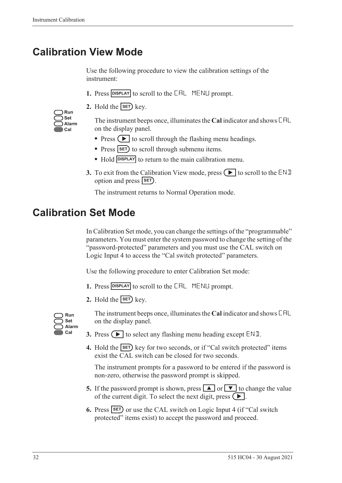## <span id="page-41-0"></span>**Calibration View Mode**

Use the following procedure to view the calibration settings of the instrument:

- 1. Press **DISPLAY** to scroll to the **CAL** MENLI prompt.
- **2.** Hold the  $\overline{\text{SET}}$  key.

| Run   |
|-------|
| Set   |
| Alarm |
| Cal   |

The instrument beeps once, illuminates the **Cal** indicator and shows CAL on the display panel.

- Press  $\left( \blacktriangleright \right)$  to scroll through the flashing menu headings.
- Press **SET** to scroll through submenu items.
- Hold **DISPLAY** to return to the main calibration menu.
- **3.** To exit from the Calibration View mode, press  $\Box$  to scroll to the END option and press **SET**).

The instrument returns to Normal Operation mode.

## **Calibration Set Mode**

In Calibration Set mode, you can change the settings of the "programmable" parameters. You must enter the system password to change the setting of the "password-protected" parameters and you must use the CAL switch on Logic Input 4 to access the "Cal switch protected" parameters.

Use the following procedure to enter Calibration Set mode:

- **1.** Press **DISPLAY** to scroll to the **CAL** MENLI prompt.
- **2.** Hold the  $\overline{\text{SET}}$  key.



The instrument beeps once, illuminates the **Cal** indicator and shows CAL on the display panel.

- **3.** Press  $\left( \blacktriangleright \right)$  to select any flashing menu heading except END.
- **4.** Hold the **SET** key for two seconds, or if "Cal switch protected" items exist the CAL switch can be closed for two seconds.

The instrument prompts for a password to be entered if the password is non-zero, otherwise the password prompt is skipped.

- **5.** If the password prompt is shown, press  $\boxed{\blacktriangle}$  or  $\boxed{\blacktriangledown}$  to change the value of the current digit. To select the next digit, press  $\left( \blacktriangleright \right)$ .
- **6.** Press **SET** or use the CAL switch on Logic Input 4 (if "Cal switch protected" items exist) to accept the password and proceed.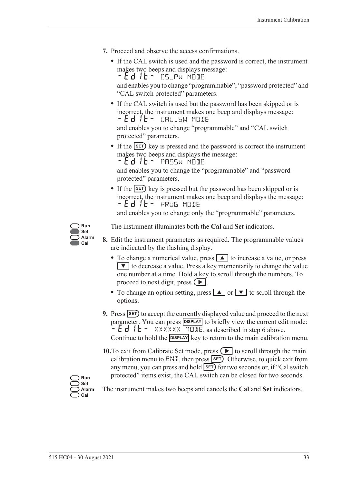- **7.** Proceed and observe the access confirmations.
	- **•** If the CAL switch is used and the password is correct, the instrument makes two beeps and displays message: - Ed IL - CS\_PW MODE

and enables you to change "programmable", "password protected" and "CAL switch protected" parameters.

**•** If the CAL switch is used but the password has been skipped or is incorrect, the instrument makes one beep and displays message: -EDIT- CAL\_SW MODE

and enables you to change "programmable" and "CAL switch protected" parameters.

• If the **SET**) key is pressed and the password is correct the instrument makes two beeps and displays the message:

 $-$  **E**  $d$   $l$  **L**  $-$  PASSW MODE

and enables you to change the "programmable" and "passwordprotected" parameters.

• If the **SET**) key is pressed but the password has been skipped or is incorrect, the instrument makes one beep and displays the message: -EDIT- PROG MODE

and enables you to change only the "programmable" parameters.



The instrument illuminates both the **Cal** and **Set** indicators.

- **8.** Edit the instrument parameters as required. The programmable values are indicated by the flashing display.
	- To change a numerical value, press **A** to increase a value, or press  $\blacktriangledown$  to decrease a value. Press a key momentarily to change the value one number at a time. Hold a key to scroll through the numbers. To proceed to next digit, press  $( \blacktriangleright ).$
	- To change an option setting, press **A** or  $\bullet$  to scroll through the options.
- **9.** Press **SET** to accept the currently displayed value and proceed to the next parameter. You can press **DISPLAY** to briefly view the current edit mode:  $-Ed$   $E - \frac{2}{x}$  XXXXXX MODE, as described in step 6 above. Continue to hold the **DISPLAY** key to return to the main calibration menu.
- **10.**To exit from Calibrate Set mode, press  $\left( \blacktriangleright \right)$  to scroll through the main calibration menu to  $ENI$ , then press  $SET$ . Otherwise, to quick exit from any menu, you can press and hold **SET** for two seconds or, if "Cal switch protected" items exist, the CAL switch can be closed for two seconds.

**Run Set Alarm Cal**

The instrument makes two beeps and cancels the **Cal** and **Set** indicators.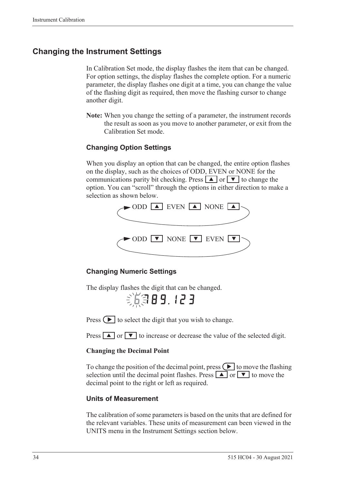### **Changing the Instrument Settings**

In Calibration Set mode, the display flashes the item that can be changed. For option settings, the display flashes the complete option. For a numeric parameter, the display flashes one digit at a time, you can change the value of the flashing digit as required, then move the flashing cursor to change another digit.

**Note:** When you change the setting of a parameter, the instrument records the result as soon as you move to another parameter, or exit from the Calibration Set mode.

#### **Changing Option Settings**

When you display an option that can be changed, the entire option flashes on the display, such as the choices of ODD, EVEN or NONE for the communications parity bit checking. Press  $\boxed{\blacktriangle}$  or  $\boxed{\blacktriangledown}$  to change the option. You can "scroll" through the options in either direction to make a selection as shown below.



#### **Changing Numeric Settings**

The display flashes the digit that can be changed.

第第89.123

Press  $\left( \blacktriangleright \right)$  to select the digit that you wish to change.

Press  $\boxed{\blacktriangle}$  or  $\boxed{\blacktriangledown}$  to increase or decrease the value of the selected digit.

#### **Changing the Decimal Point**

To change the position of the decimal point, press  $\Box$  to move the flashing selection until the decimal point flashes. Press  $\boxed{\blacktriangle}$  or  $\boxed{\blacktriangledown}$  to move the decimal point to the right or left as required.

#### **Units of Measurement**

The calibration of some parameters is based on the units that are defined for the relevant variables. These units of measurement can been viewed in the UNITS menu in the Instrument Settings section below.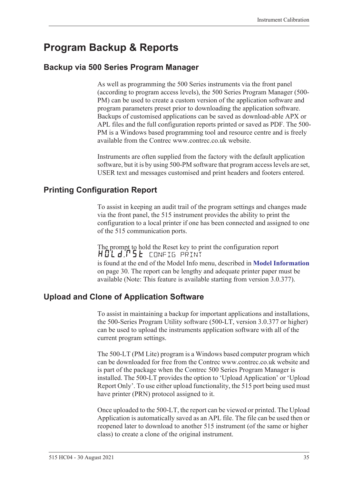## <span id="page-44-0"></span>**Program Backup & Reports**

### **Backup via 500 Series Program Manager**

As well as programming the 500 Series instruments via the front panel (according to program access levels), the 500 Series Program Manager (500- PM) can be used to create a custom version of the application software and program parameters preset prior to downloading the application software. Backups of customised applications can be saved as download-able APX or APL files and the full configuration reports printed or saved as PDF. The 500- PM is a Windows based programming tool and resource centre and is freely available from the Contrec www.contrec.co.uk website.

Instruments are often supplied from the factory with the default application software, but it is by using 500-PM software that program access levels are set, USER text and messages customised and print headers and footers entered.

### **Printing Configuration Report**

To assist in keeping an audit trail of the program settings and changes made via the front panel, the 515 instrument provides the ability to print the configuration to a local printer if one has been connected and assigned to one of the 515 communication ports.

The prompt to hold the Reset key to print the configuration report HOLd:P5E config print is found at the end of the Model Info menu, described in **[Model Information](#page-39-1)** [on page 30](#page-39-1). The report can be lengthy and adequate printer paper must be available (Note: This feature is available starting from version 3.0.377).

### **Upload and Clone of Application Software**

To assist in maintaining a backup for important applications and installations, the 500-Series Program Utility software (500-LT, version 3.0.377 or higher) can be used to upload the instruments application software with all of the current program settings.

The 500-LT (PM Lite) program is a Windows based computer program which can be downloaded for free from the Contrec www.contrec.co.uk website and is part of the package when the Contrec 500 Series Program Manager is installed. The 500-LT provides the option to 'Upload Application' or 'Upload Report Only'. To use either upload functionality, the 515 port being used must have printer (PRN) protocol assigned to it.

Once uploaded to the 500-LT, the report can be viewed or printed. The Upload Application is automatically saved as an APL file. The file can be used then or reopened later to download to another 515 instrument (of the same or higher class) to create a clone of the original instrument.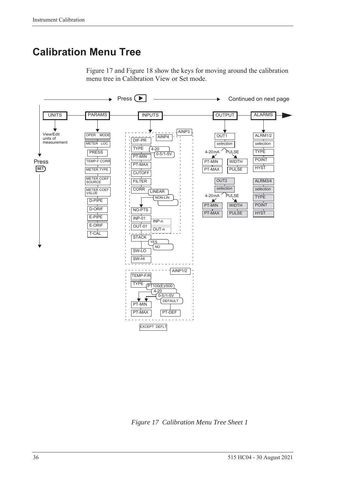## **Calibration Menu Tree**

[Figure 17](#page-45-0) and [Figure 18](#page-46-0) show the keys for moving around the calibration menu tree in Calibration View or Set mode.



<span id="page-45-0"></span>*Figure 17 Calibration Menu Tree Sheet 1*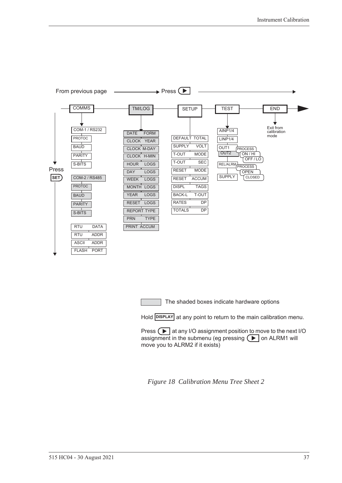

The shaded boxes indicate hardware options

Hold **DISPLAY** at any point to return to the main calibration menu.

Press  $\Box$  at any I/O assignment position to move to the next I/O assignment in the submenu (eg pressing  $\left( \blacktriangleright \right)$  on ALRM1 will move you to ALRM2 if it exists)

<span id="page-46-0"></span>*Figure 18 Calibration Menu Tree Sheet 2*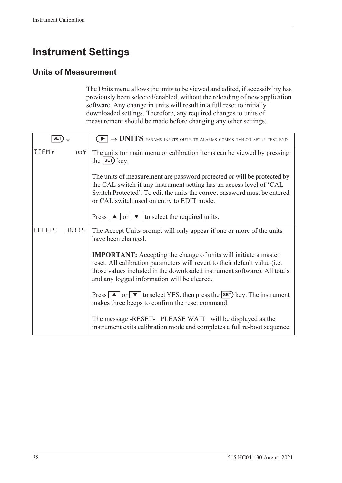## **Instrument Settings**

### **Units of Measurement**

The Units menu allows the units to be viewed and edited, if accessibility has previously been selected/enabled, without the reloading of new application software. Any change in units will result in a full reset to initially downloaded settings. Therefore, any required changes to units of measurement should be made before changing any other settings.

| <b>SET</b>              | $\blacktriangleright$ $\rightarrow$ UNITS params inputs outputs alarms comms tm/log setup test end                                                                                                                                                                              |
|-------------------------|---------------------------------------------------------------------------------------------------------------------------------------------------------------------------------------------------------------------------------------------------------------------------------|
| ITEMn<br>unit           | The units for main menu or calibration items can be viewed by pressing<br>the $s$ $F$ $k$ ey.                                                                                                                                                                                   |
|                         | The units of measurement are password protected or will be protected by<br>the CAL switch if any instrument setting has an access level of 'CAL<br>Switch Protected'. To edit the units the correct password must be entered<br>or CAL switch used on entry to EDIT mode.       |
|                         | Press $\boxed{\blacktriangle}$ or $\boxed{\blacktriangledown}$ to select the required units.                                                                                                                                                                                    |
| <b>ACCEPT</b><br>LINIT5 | The Accept Units prompt will only appear if one or more of the units<br>have been changed.                                                                                                                                                                                      |
|                         | <b>IMPORTANT:</b> Accepting the change of units will initiate a master<br>reset. All calibration parameters will revert to their default value (i.e.<br>those values included in the downloaded instrument software). All totals<br>and any logged information will be cleared. |
|                         | Press $\Box$ or $\nabla$ to select YES, then press the <b>SET</b> ) key. The instrument<br>makes three beeps to confirm the reset command.                                                                                                                                      |
|                         | The message -RESET- PLEASE WAIT will be displayed as the<br>instrument exits calibration mode and completes a full re-boot sequence.                                                                                                                                            |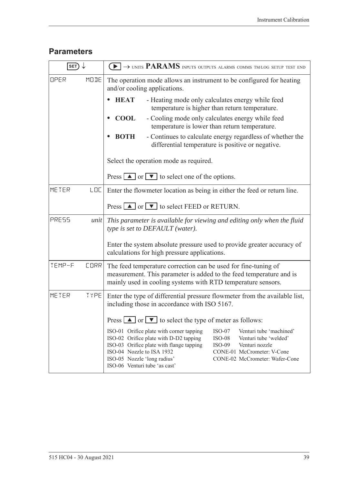### **Parameters**

| SET)   |             | $\rightarrow$ units PARAMS inputs outputs alarms comms tm/log setup test end                                                                                                                                                                                                                                                                                                                          |  |
|--------|-------------|-------------------------------------------------------------------------------------------------------------------------------------------------------------------------------------------------------------------------------------------------------------------------------------------------------------------------------------------------------------------------------------------------------|--|
| OPER   | MODE        | The operation mode allows an instrument to be configured for heating<br>and/or cooling applications.                                                                                                                                                                                                                                                                                                  |  |
|        |             | <b>HEAT</b><br>- Heating mode only calculates energy while feed<br>temperature is higher than return temperature.                                                                                                                                                                                                                                                                                     |  |
|        |             | <b>COOL</b><br>- Cooling mode only calculates energy while feed<br>temperature is lower than return temperature.                                                                                                                                                                                                                                                                                      |  |
|        |             | - Continues to calculate energy regardless of whether the<br><b>BOTH</b><br>differential temperature is positive or negative.                                                                                                                                                                                                                                                                         |  |
|        |             | Select the operation mode as required.                                                                                                                                                                                                                                                                                                                                                                |  |
|        |             | Press $\boxed{\blacktriangle}$ or $\boxed{\blacktriangledown}$ to select one of the options.                                                                                                                                                                                                                                                                                                          |  |
| METER  | LOC         | Enter the flowmeter location as being in either the feed or return line.                                                                                                                                                                                                                                                                                                                              |  |
|        |             | Press $\Box$ or $\Box$ to select FEED or RETURN.                                                                                                                                                                                                                                                                                                                                                      |  |
| PRESS  | unit        | This parameter is available for viewing and editing only when the fluid<br>type is set to DEFAULT (water).                                                                                                                                                                                                                                                                                            |  |
|        |             | Enter the system absolute pressure used to provide greater accuracy of<br>calculations for high pressure applications.                                                                                                                                                                                                                                                                                |  |
| TEMP-F | <b>CORR</b> | The feed temperature correction can be used for fine-tuning of<br>measurement. This parameter is added to the feed temperature and is<br>mainly used in cooling systems with RTD temperature sensors.                                                                                                                                                                                                 |  |
| METER  | <b>TYPE</b> | Enter the type of differential pressure flowmeter from the available list,<br>including those in accordance with ISO 5167.                                                                                                                                                                                                                                                                            |  |
|        |             | Press $\Box$ or $\Box$ to select the type of meter as follows:                                                                                                                                                                                                                                                                                                                                        |  |
|        |             | ISO-01 Orifice plate with corner tapping<br>Venturi tube 'machined'<br>$ISO-07$<br>ISO-02 Orifice plate with D-D2 tapping<br>Venturi tube 'welded'<br>$ISO-08$<br>ISO-03 Orifice plate with flange tapping<br>$ISO-09$<br>Venturi nozzle<br>ISO-04 Nozzle to ISA 1932<br>CONE-01 McCrometer: V-Cone<br>ISO-05 Nozzle 'long radius'<br>CONE-02 McCrometer: Wafer-Cone<br>ISO-06 Venturi tube 'as cast' |  |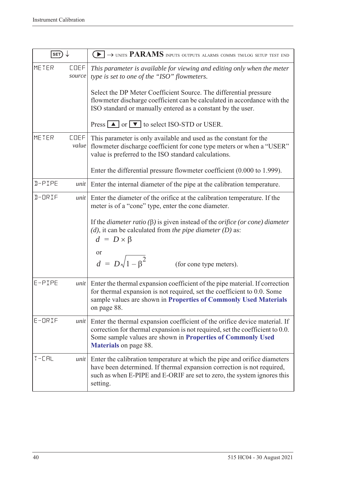| SET)          |                       | $\blacktriangleright$ $\rightarrow$ units PARAMS inputs outputs alarms comms tm/log setup test end                                                                                                                                                                                                                                                                                                         |  |
|---------------|-----------------------|------------------------------------------------------------------------------------------------------------------------------------------------------------------------------------------------------------------------------------------------------------------------------------------------------------------------------------------------------------------------------------------------------------|--|
| METER         | <b>COEF</b><br>source | This parameter is available for viewing and editing only when the meter<br>type is set to one of the "ISO" flowmeters.<br>Select the DP Meter Coefficient Source. The differential pressure<br>flowmeter discharge coefficient can be calculated in accordance with the<br>ISO standard or manually entered as a constant by the user.                                                                     |  |
|               |                       | Press $\boxed{\blacktriangle}$ or $\boxed{\blacktriangledown}$ to select ISO-STD or USER.                                                                                                                                                                                                                                                                                                                  |  |
| METER         | <b>COEF</b><br>value  | This parameter is only available and used as the constant for the<br>flowmeter discharge coefficient for cone type meters or when a "USER"<br>value is preferred to the ISO standard calculations.                                                                                                                                                                                                         |  |
|               |                       | Enter the differential pressure flowmeter coefficient (0.000 to 1.999).                                                                                                                                                                                                                                                                                                                                    |  |
| <b>N-PIPE</b> | unit                  | Enter the internal diameter of the pipe at the calibration temperature.                                                                                                                                                                                                                                                                                                                                    |  |
| $I - ORIF$    | unit                  | Enter the diameter of the orifice at the calibration temperature. If the<br>meter is of a "cone" type, enter the cone diameter.<br>If the <i>diameter ratio</i> ( $\beta$ ) is given instead of the <i>orifice</i> ( <i>or cone</i> ) <i>diameter</i><br>$(d)$ , it can be calculated from the pipe diameter $(D)$ as:<br>$d = D \times \beta$<br>or<br>$d = D\sqrt{1-\beta^2}$<br>(for cone type meters). |  |
| E-PIPE        | unit                  | Enter the thermal expansion coefficient of the pipe material. If correction<br>for thermal expansion is not required, set the coefficient to 0.0. Some<br>sample values are shown in Properties of Commonly Used Materials<br>on page 88.                                                                                                                                                                  |  |
| $E$ -ORIF     | unit                  | Enter the thermal expansion coefficient of the orifice device material. If<br>correction for thermal expansion is not required, set the coefficient to 0.0.<br>Some sample values are shown in Properties of Commonly Used<br><b>Materials</b> on page 88.                                                                                                                                                 |  |
| $T - LHL$     | unit                  | Enter the calibration temperature at which the pipe and orifice diameters<br>have been determined. If thermal expansion correction is not required,<br>such as when E-PIPE and E-ORIF are set to zero, the system ignores this<br>setting.                                                                                                                                                                 |  |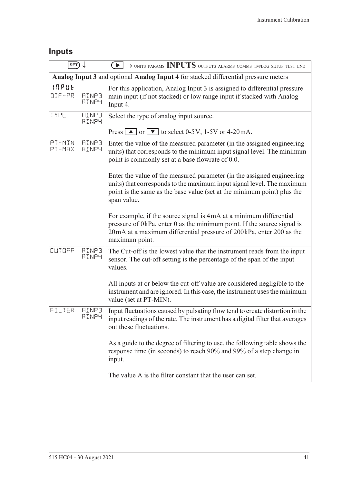## **Inputs**

| SET)                                                                                |                              | $\blacktriangleright$ $\rightarrow$ units params INPUTS outputs alarms comms tm/log setup test end                                                                                                                                         |  |  |
|-------------------------------------------------------------------------------------|------------------------------|--------------------------------------------------------------------------------------------------------------------------------------------------------------------------------------------------------------------------------------------|--|--|
| Analog Input 3 and optional Analog Input 4 for stacked differential pressure meters |                              |                                                                                                                                                                                                                                            |  |  |
| INPUE<br>DIF-PR                                                                     | <b>AINP3</b><br><b>AINP4</b> | For this application, Analog Input 3 is assigned to differential pressure<br>main input (if not stacked) or low range input if stacked with Analog<br>Input 4.                                                                             |  |  |
| TYPE                                                                                | <b>AINP3</b><br><b>AINP4</b> | Select the type of analog input source.                                                                                                                                                                                                    |  |  |
|                                                                                     |                              | Press $\Box$ or $\nabla$ to select 0-5V, 1-5V or 4-20mA.                                                                                                                                                                                   |  |  |
| PT-MIN<br>PT-MRX                                                                    | <b>AINP3</b><br><b>AINP4</b> | Enter the value of the measured parameter (in the assigned engineering<br>units) that corresponds to the minimum input signal level. The minimum<br>point is commonly set at a base flowrate of 0.0.                                       |  |  |
|                                                                                     |                              | Enter the value of the measured parameter (in the assigned engineering<br>units) that corresponds to the maximum input signal level. The maximum<br>point is the same as the base value (set at the minimum point) plus the<br>span value. |  |  |
|                                                                                     |                              | For example, if the source signal is 4mA at a minimum differential<br>pressure of 0kPa, enter 0 as the minimum point. If the source signal is<br>20mA at a maximum differential pressure of 200kPa, enter 200 as the<br>maximum point.     |  |  |
| CUTOFF                                                                              | <b>AINP3</b><br><b>AINP4</b> | The Cut-off is the lowest value that the instrument reads from the input<br>sensor. The cut-off setting is the percentage of the span of the input<br>values.                                                                              |  |  |
|                                                                                     |                              | All inputs at or below the cut-off value are considered negligible to the<br>instrument and are ignored. In this case, the instrument uses the minimum<br>value (set at PT-MIN).                                                           |  |  |
| FILTER                                                                              | <b>AINP3</b><br><b>AINP4</b> | Input fluctuations caused by pulsating flow tend to create distortion in the<br>input readings of the rate. The instrument has a digital filter that averages<br>out these fluctuations.                                                   |  |  |
|                                                                                     |                              | As a guide to the degree of filtering to use, the following table shows the<br>response time (in seconds) to reach 90% and 99% of a step change in<br>input.                                                                               |  |  |
|                                                                                     |                              | The value A is the filter constant that the user can set.                                                                                                                                                                                  |  |  |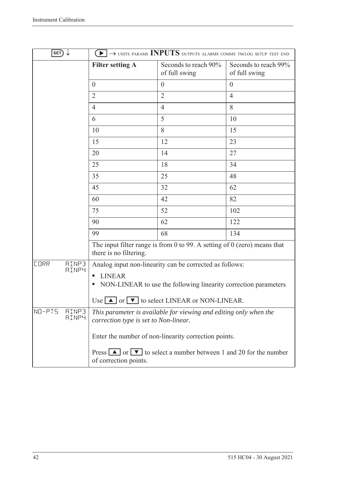| SET)                                        |                                                                                                            | $\left\lceil\blacktriangleright\right\rceil\to$ units params INPUTS outputs alarms comms tmlog setup test end |                                       |
|---------------------------------------------|------------------------------------------------------------------------------------------------------------|---------------------------------------------------------------------------------------------------------------|---------------------------------------|
|                                             | <b>Filter setting A</b>                                                                                    | Seconds to reach 90%<br>of full swing                                                                         | Seconds to reach 99%<br>of full swing |
|                                             | $\overline{0}$                                                                                             | $\overline{0}$                                                                                                | $\overline{0}$                        |
|                                             | $\overline{2}$                                                                                             | $\overline{2}$                                                                                                | $\overline{4}$                        |
|                                             | 4                                                                                                          | $\overline{4}$                                                                                                | 8                                     |
|                                             | 6                                                                                                          | 5                                                                                                             | 10                                    |
|                                             | 10                                                                                                         | 8                                                                                                             | 15                                    |
|                                             | 15                                                                                                         | 12                                                                                                            | 23                                    |
|                                             | 20                                                                                                         | 14                                                                                                            | 27                                    |
|                                             | 25                                                                                                         | 18                                                                                                            | 34                                    |
|                                             | 35                                                                                                         | 25                                                                                                            | 48                                    |
|                                             | 45                                                                                                         | 32                                                                                                            | 62                                    |
|                                             | 60                                                                                                         | 42                                                                                                            | 82                                    |
|                                             | 75                                                                                                         | 52                                                                                                            | 102                                   |
|                                             | 90                                                                                                         | 62                                                                                                            | 122                                   |
|                                             | 99                                                                                                         | 68                                                                                                            | 134                                   |
|                                             | there is no filtering.                                                                                     | The input filter range is from 0 to 99. A setting of $0$ (zero) means that                                    |                                       |
| <b>CORR</b><br><b>AINP3</b><br><b>AINP4</b> |                                                                                                            | Analog input non-linearity can be corrected as follows:                                                       |                                       |
|                                             | <b>LINEAR</b><br>NON-LINEAR to use the following linearity correction parameters                           |                                                                                                               |                                       |
|                                             |                                                                                                            | Use $\Box$ or $\nabla$ to select LINEAR or NON-LINEAR.                                                        |                                       |
| NO-PIS<br><b>AINP3</b><br><b>AINP4</b>      | This parameter is available for viewing and editing only when the<br>correction type is set to Non-linear. |                                                                                                               |                                       |
|                                             | Enter the number of non-linearity correction points.                                                       |                                                                                                               |                                       |
|                                             | of correction points.                                                                                      | Press $\Box$ or $\nabla$ to select a number between 1 and 20 for the number                                   |                                       |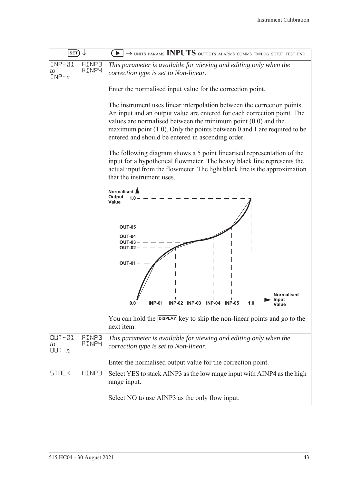| $ $ SET $)$                                                           | $\rightarrow$ UNITS PARAMS INPUTS OUTPUTS ALARMS COMMS TM/LOG SETUP TEST END                                                                                                                                                                                                                                                                             |  |  |
|-----------------------------------------------------------------------|----------------------------------------------------------------------------------------------------------------------------------------------------------------------------------------------------------------------------------------------------------------------------------------------------------------------------------------------------------|--|--|
| $INP - Q1$<br><b>AINP3</b><br><b>AINP4</b><br>to<br>$INP - n$         | This parameter is available for viewing and editing only when the<br>correction type is set to Non-linear.                                                                                                                                                                                                                                               |  |  |
|                                                                       | Enter the normalised input value for the correction point.                                                                                                                                                                                                                                                                                               |  |  |
|                                                                       | The instrument uses linear interpolation between the correction points.<br>An input and an output value are entered for each correction point. The<br>values are normalised between the minimum point $(0.0)$ and the<br>maximum point $(1.0)$ . Only the points between 0 and 1 are required to be<br>entered and should be entered in ascending order. |  |  |
|                                                                       | The following diagram shows a 5 point linearised representation of the<br>input for a hypothetical flowmeter. The heavy black line represents the<br>actual input from the flowmeter. The light black line is the approximation<br>that the instrument uses.                                                                                             |  |  |
|                                                                       | <b>Normalised</b><br>Output<br>1.0<br>Value                                                                                                                                                                                                                                                                                                              |  |  |
|                                                                       | <b>OUT-05</b><br><b>OUT-04</b><br><b>OUT-03</b><br><b>OUT-02</b>                                                                                                                                                                                                                                                                                         |  |  |
|                                                                       | <b>OUT-01</b>                                                                                                                                                                                                                                                                                                                                            |  |  |
|                                                                       | Normalised<br>Input<br><b>INP-01</b><br>0.0<br><b>INP-05</b><br><b>INP-02</b><br><b>INP-03</b><br><b>INP-04</b><br>1.0<br>Value                                                                                                                                                                                                                          |  |  |
|                                                                       | You can hold the <b>DISPLAY</b> key to skip the non-linear points and go to the<br>next item.                                                                                                                                                                                                                                                            |  |  |
| $OUT-21$<br><b>AINP3</b><br><b>AINP4</b><br>to<br>$[[] \cup ] \neg n$ | This parameter is available for viewing and editing only when the<br>correction type is set to Non-linear.                                                                                                                                                                                                                                               |  |  |
|                                                                       | Enter the normalised output value for the correction point.                                                                                                                                                                                                                                                                                              |  |  |
| <b>STACK</b><br><b>AINP3</b>                                          | Select YES to stack AINP3 as the low range input with AINP4 as the high<br>range input.                                                                                                                                                                                                                                                                  |  |  |
|                                                                       | Select NO to use AINP3 as the only flow input.                                                                                                                                                                                                                                                                                                           |  |  |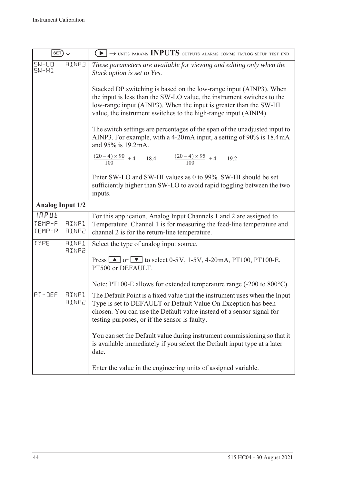| SET)                      |                              | $\blacktriangleright$ $\rightarrow$ units params INPUTS outputs alarms comms tm/log setup test end                                                                                                                                                                                   |
|---------------------------|------------------------------|--------------------------------------------------------------------------------------------------------------------------------------------------------------------------------------------------------------------------------------------------------------------------------------|
| $5W-LD$<br>5W-HI          | RINP3                        | These parameters are available for viewing and editing only when the<br>Stack option is set to Yes.                                                                                                                                                                                  |
|                           |                              | Stacked DP switching is based on the low-range input (AINP3). When<br>the input is less than the SW-LO value, the instrument switches to the<br>low-range input (AINP3). When the input is greater than the SW-HI<br>value, the instrument switches to the high-range input (AINP4). |
|                           |                              | The switch settings are percentages of the span of the unadjusted input to<br>AINP3. For example, with a 4-20mA input, a setting of 90% is 18.4mA<br>and 95% is 19.2 mA.                                                                                                             |
|                           |                              | $\frac{(20-4)\times 90}{100} + 4 = 18.4$ $\frac{(20-4)\times 95}{100} + 4 = 19.2$                                                                                                                                                                                                    |
|                           |                              | Enter SW-LO and SW-HI values as 0 to 99%. SW-HI should be set<br>sufficiently higher than SW-LO to avoid rapid toggling between the two<br>inputs.                                                                                                                                   |
| <b>Analog Input 1/2</b>   |                              |                                                                                                                                                                                                                                                                                      |
| INPUE<br>TEMP-F<br>TEMP-R | <b>AINP1</b><br><b>AINP2</b> | For this application, Analog Input Channels 1 and 2 are assigned to<br>Temperature. Channel 1 is for measuring the feed-line temperature and<br>channel 2 is for the return-line temperature.                                                                                        |
| TYPE                      | <b>AINP1</b><br><b>AINP2</b> | Select the type of analog input source.                                                                                                                                                                                                                                              |
|                           |                              | Press $\Box$ or $\nabla$ to select 0-5V, 1-5V, 4-20mA, PT100, PT100-E,<br>PT500 or DEFAULT.                                                                                                                                                                                          |
|                           |                              | Note: PT100-E allows for extended temperature range (-200 to 800°C).                                                                                                                                                                                                                 |
| PT-DEF                    | <b>AINP1</b><br><b>AINP2</b> | The Default Point is a fixed value that the instrument uses when the Input<br>Type is set to DEFAULT or Default Value On Exception has been<br>chosen. You can use the Default value instead of a sensor signal for<br>testing purposes, or if the sensor is faulty.                 |
|                           |                              | You can set the Default value during instrument commissioning so that it<br>is available immediately if you select the Default input type at a later<br>date.                                                                                                                        |
|                           |                              | Enter the value in the engineering units of assigned variable.                                                                                                                                                                                                                       |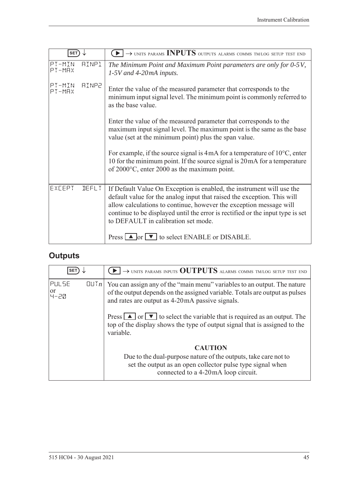| <b>SET</b>         |              | $\rightarrow$ UNITS PARAMS INPUTS OUTPUTS ALARMS COMMS TM/LOG SETUP TEST END                                                                                                                                                                                                                                                                    |
|--------------------|--------------|-------------------------------------------------------------------------------------------------------------------------------------------------------------------------------------------------------------------------------------------------------------------------------------------------------------------------------------------------|
| PT-MIN<br>$PT-MAX$ | AINP1        | The Minimum Point and Maximum Point parameters are only for 0-5V,<br>$1-5V$ and 4-20mA inputs.                                                                                                                                                                                                                                                  |
| PT-MIN<br>$PT-MAX$ | <b>AINP2</b> | Enter the value of the measured parameter that corresponds to the<br>minimum input signal level. The minimum point is commonly referred to<br>as the base value.                                                                                                                                                                                |
|                    |              | Enter the value of the measured parameter that corresponds to the<br>maximum input signal level. The maximum point is the same as the base<br>value (set at the minimum point) plus the span value.                                                                                                                                             |
|                    |              | For example, if the source signal is $4mA$ for a temperature of $10^{\circ}$ C, enter<br>10 for the minimum point. If the source signal is 20 mA for a temperature<br>of $2000^{\circ}$ C, enter 2000 as the maximum point.                                                                                                                     |
| EXCEPT             | <b>JEFLT</b> | If Default Value On Exception is enabled, the instrument will use the<br>default value for the analog input that raised the exception. This will<br>allow calculations to continue, however the exception message will<br>continue to be displayed until the error is rectified or the input type is set<br>to DEFAULT in calibration set mode. |
|                    |              | Press $\Box$ or $\nabla$ to select ENABLE or DISABLE.                                                                                                                                                                                                                                                                                           |

## **Outputs**

| <b>SET</b>            |      | $\rightarrow$ UNITS PARAMS INPUTS OUTPUTS ALARMS COMMS TM/LOG SETUP TEST END                                                                                                                               |
|-----------------------|------|------------------------------------------------------------------------------------------------------------------------------------------------------------------------------------------------------------|
| PULSE<br> or<br> 닉-근Q | [[]] | You can assign any of the "main menu" variables to an output. The nature<br>of the output depends on the assigned variable. Totals are output as pulses<br>and rates are output as 4-20mA passive signals. |
|                       |      | Press $\Box$ or $\nabla$ to select the variable that is required as an output. The<br>top of the display shows the type of output signal that is assigned to the<br>variable.                              |
|                       |      | <b>CAUTION</b><br>Due to the dual-purpose nature of the outputs, take care not to<br>set the output as an open collector pulse type signal when<br>connected to a 4-20mA loop circuit.                     |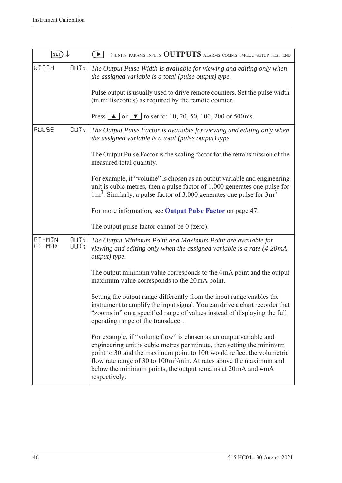| SET)                                                          | $\rightarrow$ units params inputs OUTPUTS alarms comms tm/log setup test end<br>$\blacktriangleright$ 1                                                                                                                                                                                                                                                                                         |
|---------------------------------------------------------------|-------------------------------------------------------------------------------------------------------------------------------------------------------------------------------------------------------------------------------------------------------------------------------------------------------------------------------------------------------------------------------------------------|
| WIJTH<br>QUTn                                                 | The Output Pulse Width is available for viewing and editing only when<br>the assigned variable is a total (pulse output) type.                                                                                                                                                                                                                                                                  |
|                                                               | Pulse output is usually used to drive remote counters. Set the pulse width<br>(in milliseconds) as required by the remote counter.                                                                                                                                                                                                                                                              |
|                                                               | Press $\triangle$ or $\triangledown$ to set to: 10, 20, 50, 100, 200 or 500 ms.                                                                                                                                                                                                                                                                                                                 |
| PULSE<br>QUTn                                                 | The Output Pulse Factor is available for viewing and editing only when<br>the assigned variable is a total (pulse output) type.                                                                                                                                                                                                                                                                 |
|                                                               | The Output Pulse Factor is the scaling factor for the retransmission of the<br>measured total quantity.                                                                                                                                                                                                                                                                                         |
|                                                               | For example, if "volume" is chosen as an output variable and engineering<br>unit is cubic metres, then a pulse factor of 1.000 generates one pulse for<br>$1 \text{ m}^3$ . Similarly, a pulse factor of 3.000 generates one pulse for $3 \text{ m}^3$ .                                                                                                                                        |
|                                                               | For more information, see Output Pulse Factor on page 47.                                                                                                                                                                                                                                                                                                                                       |
|                                                               | The output pulse factor cannot be $0$ (zero).                                                                                                                                                                                                                                                                                                                                                   |
| PT-MIN<br>$\Box$ l $Tn$<br>PT-MRX<br>$\Box$ $\Box$ $\Box$ $n$ | The Output Minimum Point and Maximum Point are available for<br>viewing and editing only when the assigned variable is a rate (4-20mA<br>output) type.                                                                                                                                                                                                                                          |
|                                                               | The output minimum value corresponds to the 4mA point and the output<br>maximum value corresponds to the 20mA point.                                                                                                                                                                                                                                                                            |
|                                                               | Setting the output range differently from the input range enables the<br>instrument to amplify the input signal. You can drive a chart recorder that<br>"zooms in" on a specified range of values instead of displaying the full<br>operating range of the transducer.                                                                                                                          |
|                                                               | For example, if "volume flow" is chosen as an output variable and<br>engineering unit is cubic metres per minute, then setting the minimum<br>point to 30 and the maximum point to 100 would reflect the volumetric<br>flow rate range of 30 to $100 \text{m}^3/\text{min}$ . At rates above the maximum and<br>below the minimum points, the output remains at 20 mA and 4 mA<br>respectively. |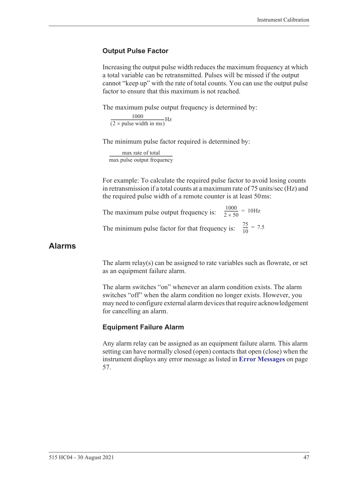#### <span id="page-56-0"></span>**Output Pulse Factor**

Increasing the output pulse width reduces the maximum frequency at which a total variable can be retransmitted. Pulses will be missed if the output cannot "keep up" with the rate of total counts. You can use the output pulse factor to ensure that this maximum is not reached.

The maximum pulse output frequency is determined by:

 $\frac{1000}{(2 \times \text{pulse width in ms)}}$ Hz

The minimum pulse factor required is determined by:

max rate of total max pulse output frequency ------------------------------------------------------------------

For example: To calculate the required pulse factor to avoid losing counts in retransmission if a total counts at a maximum rate of 75 units/sec (Hz) and the required pulse width of a remote counter is at least 50 ms:

The maximum pulse output frequency is:  $\frac{1000}{2 \times 50}$  = 10Hz The minimum pulse factor for that frequency is:  $\frac{75}{10}$  $\frac{73}{10}$  = 7.5

#### **Alarms**

The alarm relay(s) can be assigned to rate variables such as flowrate, or set as an equipment failure alarm.

The alarm switches "on" whenever an alarm condition exists. The alarm switches "off" when the alarm condition no longer exists. However, you may need to configure external alarm devices that require acknowledgement for cancelling an alarm.

#### **Equipment Failure Alarm**

Any alarm relay can be assigned as an equipment failure alarm. This alarm setting can have normally closed (open) contacts that open (close) when the instrument displays any error message as listed in **[Error Messages](#page-66-0)** on page [57.](#page-66-0)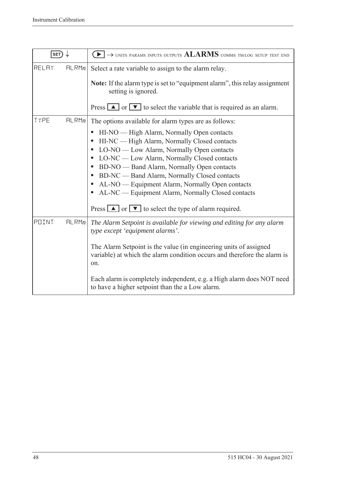| SET)  |       | $\rightarrow$ units params inputs outputs $\rm ALARMS$ comms tm/log setup test end                                                                                                                                                                                                                                                                                                                                                                                                                                                                                                                  |
|-------|-------|-----------------------------------------------------------------------------------------------------------------------------------------------------------------------------------------------------------------------------------------------------------------------------------------------------------------------------------------------------------------------------------------------------------------------------------------------------------------------------------------------------------------------------------------------------------------------------------------------------|
| RELAY | HLRMn | Select a rate variable to assign to the alarm relay.<br><b>Note:</b> If the alarm type is set to "equipment alarm", this relay assignment<br>setting is ignored.<br>Press $\boxed{\blacktriangle}$ or $\boxed{\blacktriangledown}$ to select the variable that is required as an alarm.                                                                                                                                                                                                                                                                                                             |
| TYPE  | HLRMn | The options available for alarm types are as follows:<br>HI-NO — High Alarm, Normally Open contacts<br>HI-NC — High Alarm, Normally Closed contacts<br>$\bullet$<br>LO-NO — Low Alarm, Normally Open contacts<br>$\bullet$<br>LO-NC — Low Alarm, Normally Closed contacts<br>BD-NO — Band Alarm, Normally Open contacts<br>$\bullet$<br>BD-NC — Band Alarm, Normally Closed contacts<br>$\bullet$<br>AL-NO — Equipment Alarm, Normally Open contacts<br>$\bullet$<br>AL-NC — Equipment Alarm, Normally Closed contacts<br>$\bullet$<br>Press $\Box$ or $\Box$ to select the type of alarm required. |
| POINT | HLRMn | The Alarm Setpoint is available for viewing and editing for any alarm<br>type except 'equipment alarms'.<br>The Alarm Setpoint is the value (in engineering units of assigned<br>variable) at which the alarm condition occurs and therefore the alarm is<br>on.<br>Each alarm is completely independent, e.g. a High alarm does NOT need<br>to have a higher setpoint than the a Low alarm.                                                                                                                                                                                                        |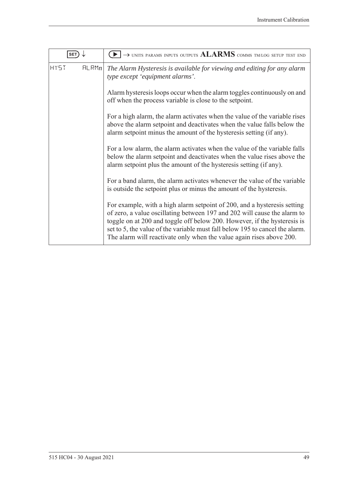| <b>SET</b>           | $\blacktriangleright$ $\rightarrow$ units params inputs outputs $ALARMS$ comms tm/log setup test end                                                                                                                                                                                                                                                                                     |
|----------------------|------------------------------------------------------------------------------------------------------------------------------------------------------------------------------------------------------------------------------------------------------------------------------------------------------------------------------------------------------------------------------------------|
| <b>HY5T</b><br>FLRMn | The Alarm Hysteresis is available for viewing and editing for any alarm<br>type except 'equipment alarms'.                                                                                                                                                                                                                                                                               |
|                      | Alarm hysteresis loops occur when the alarm toggles continuously on and<br>off when the process variable is close to the setpoint.                                                                                                                                                                                                                                                       |
|                      | For a high alarm, the alarm activates when the value of the variable rises<br>above the alarm setpoint and deactivates when the value falls below the<br>alarm setpoint minus the amount of the hysteresis setting (if any).                                                                                                                                                             |
|                      | For a low alarm, the alarm activates when the value of the variable falls<br>below the alarm setpoint and deactivates when the value rises above the<br>alarm setpoint plus the amount of the hysteresis setting (if any).                                                                                                                                                               |
|                      | For a band alarm, the alarm activates whenever the value of the variable<br>is outside the setpoint plus or minus the amount of the hysteresis.                                                                                                                                                                                                                                          |
|                      | For example, with a high alarm setpoint of 200, and a hysteresis setting<br>of zero, a value oscillating between 197 and 202 will cause the alarm to<br>toggle on at 200 and toggle off below 200. However, if the hysteresis is<br>set to 5, the value of the variable must fall below 195 to cancel the alarm.<br>The alarm will reactivate only when the value again rises above 200. |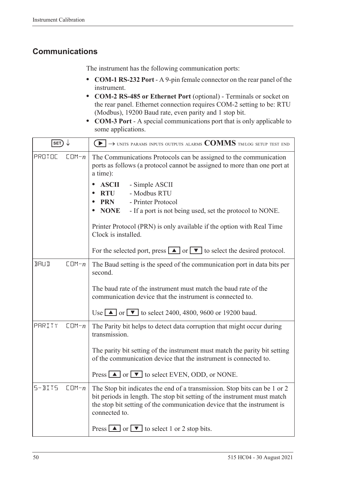### **Communications**

The instrument has the following communication ports:

- **• COM-1 RS-232 Port** A 9-pin female connector on the rear panel of the instrument.
- **• COM-2 RS-485 or Ethernet Port** (optional) Terminals or socket on the rear panel. Ethernet connection requires COM-2 setting to be: RTU (Modbus), 19200 Baud rate, even parity and 1 stop bit.
- **• COM-3 Port** A special communications port that is only applicable to some applications.

| SET)                     | $\left\{ \bullet\right\} \rightarrow$ units params inputs outputs alarms $\text{COMMS}$ tm/log setup test end                                                                                                                                     |
|--------------------------|---------------------------------------------------------------------------------------------------------------------------------------------------------------------------------------------------------------------------------------------------|
| PROTOC<br>$CDM - n$      | The Communications Protocols can be assigned to the communication<br>ports as follows (a protocol cannot be assigned to more than one port at<br>a time):                                                                                         |
|                          | <b>ASCII</b><br>- Simple ASCII<br>- Modbus RTU<br><b>RTU</b><br>- Printer Protocol<br><b>PRN</b><br><b>NONE</b><br>- If a port is not being used, set the protocol to NONE.                                                                       |
|                          | Printer Protocol (PRN) is only available if the option with Real Time<br>Clock is installed.                                                                                                                                                      |
|                          | For the selected port, press $\Box$ or $\Box$ to select the desired protocol.                                                                                                                                                                     |
| <b>BRUD</b><br>$CDM - n$ | The Baud setting is the speed of the communication port in data bits per<br>second.                                                                                                                                                               |
|                          | The baud rate of the instrument must match the baud rate of the<br>communication device that the instrument is connected to.                                                                                                                      |
|                          | Use $\blacksquare$ or $\blacksquare$ to select 2400, 4800, 9600 or 19200 baud.                                                                                                                                                                    |
| PARITY<br>$CDM - n$      | The Parity bit helps to detect data corruption that might occur during<br>transmission.                                                                                                                                                           |
|                          | The parity bit setting of the instrument must match the parity bit setting<br>of the communication device that the instrument is connected to.                                                                                                    |
|                          | Press $\Box$ or $\nabla$ to select EVEN, ODD, or NONE.                                                                                                                                                                                            |
| $5 - B175$<br>$CDM - n$  | The Stop bit indicates the end of a transmission. Stop bits can be 1 or 2<br>bit periods in length. The stop bit setting of the instrument must match<br>the stop bit setting of the communication device that the instrument is<br>connected to. |
|                          | Press $\boxed{\blacktriangle}$ or $\boxed{\blacktriangledown}$ to select 1 or 2 stop bits.                                                                                                                                                        |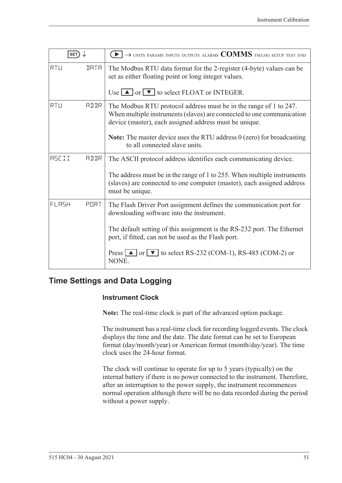| <b>SET</b>   |             | $\rightarrow$ units params inputs outputs alarms $\text{COMMS}$ tm/log setup test end                                                                                                                |
|--------------|-------------|------------------------------------------------------------------------------------------------------------------------------------------------------------------------------------------------------|
| RTU          | <b>JATA</b> | The Modbus RTU data format for the 2-register (4-byte) values can be<br>set as either floating point or long integer values.                                                                         |
|              |             | Use $\Box$ or $\nabla$ to select FLOAT or INTEGER.                                                                                                                                                   |
| RTU          | <b>ALLR</b> | The Modbus RTU protocol address must be in the range of 1 to 247.<br>When multiple instruments (slaves) are connected to one communication<br>device (master), each assigned address must be unique. |
|              |             | <b>Note:</b> The master device uses the RTU address 0 (zero) for broadcasting<br>to all connected slave units.                                                                                       |
| <b>ASCII</b> | AIIR        | The ASCII protocol address identifies each communicating device.                                                                                                                                     |
|              |             | The address must be in the range of 1 to 255. When multiple instruments<br>(slaves) are connected to one computer (master), each assigned address<br>must be unique.                                 |
| FLASH        | PORT        | The Flash Driver Port assignment defines the communication port for<br>downloading software into the instrument.                                                                                     |
|              |             | The default setting of this assignment is the RS-232 port. The Ethernet<br>port, if fitted, can not be used as the Flash port.                                                                       |
|              |             | Press $\Box$ or $\nabla$ to select RS-232 (COM-1), RS-485 (COM-2) or<br>NONE.                                                                                                                        |

### **Time Settings and Data Logging**

#### **Instrument Clock**

**Note:** The real-time clock is part of the advanced option package.

The instrument has a real-time clock for recording logged events. The clock displays the time and the date. The date format can be set to European format (day/month/year) or American format (month/day/year). The time clock uses the 24-hour format.

The clock will continue to operate for up to 5 years (typically) on the internal battery if there is no power connected to the instrument. Therefore, after an interruption to the power supply, the instrument recommences normal operation although there will be no data recorded during the period without a power supply.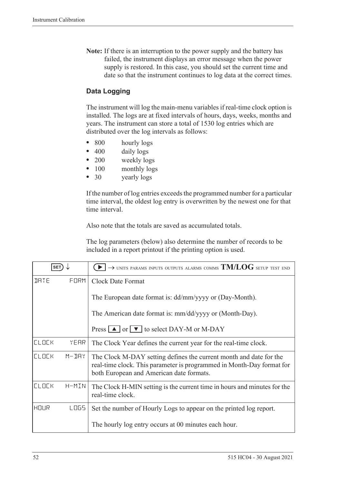**Note:** If there is an interruption to the power supply and the battery has failed, the instrument displays an error message when the power supply is restored. In this case, you should set the current time and date so that the instrument continues to log data at the correct times.

#### **Data Logging**

The instrument will log the main-menu variables if real-time clock option is installed. The logs are at fixed intervals of hours, days, weeks, months and years. The instrument can store a total of 1530 log entries which are distributed over the log intervals as follows:

- 800 hourly logs
- 400 daily logs
- 200 weekly logs
- 100 monthly logs
- 30 yearly logs

If the number of log entries exceeds the programmed number for a particular time interval, the oldest log entry is overwritten by the newest one for that time interval.

Also note that the totals are saved as accumulated totals.

The log parameters (below) also determine the number of records to be included in a report printout if the printing option is used.

| <b>SET</b>   |           | $\rightarrow$ units params inputs outputs alarms comms $TM/LOG$ setup test end                                                                                                          |
|--------------|-----------|-----------------------------------------------------------------------------------------------------------------------------------------------------------------------------------------|
| <b>JATE</b>  | FORM      | <b>Clock Date Format</b>                                                                                                                                                                |
|              |           | The European date format is: dd/mm/yyyy or (Day-Month).                                                                                                                                 |
|              |           | The American date format is: mm/dd/yyyy or (Month-Day).                                                                                                                                 |
|              |           | Press $\Delta$ or $\nabla$ to select DAY-M or M-DAY                                                                                                                                     |
| <b>ELDEK</b> | YEAR      | The Clock Year defines the current year for the real-time clock.                                                                                                                        |
| <b>CLOCK</b> | $M - JHY$ | The Clock M-DAY setting defines the current month and date for the<br>real-time clock. This parameter is programmed in Month-Day format for<br>both European and American date formats. |
| <b>ELDEK</b> | H-MIN     | The Clock H-MIN setting is the current time in hours and minutes for the<br>real-time clock.                                                                                            |
| HOUR         | LOG5      | Set the number of Hourly Logs to appear on the printed log report.                                                                                                                      |
|              |           | The hourly log entry occurs at 00 minutes each hour.                                                                                                                                    |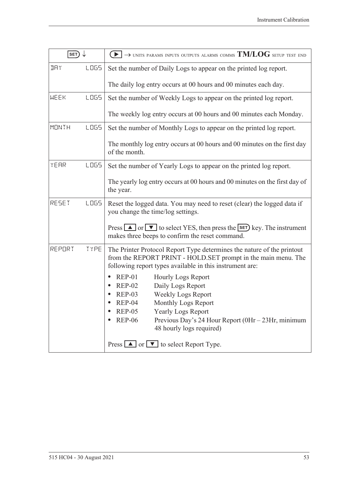| SET)         |             | $\blacktriangleright$ $\rightarrow$ units params inputs outputs alarms comms TM/LOG setup test end                                                                                                                                                                                                                         |
|--------------|-------------|----------------------------------------------------------------------------------------------------------------------------------------------------------------------------------------------------------------------------------------------------------------------------------------------------------------------------|
| IJΑY         | <b>LOGS</b> | Set the number of Daily Logs to appear on the printed log report.                                                                                                                                                                                                                                                          |
|              |             | The daily log entry occurs at 00 hours and 00 minutes each day.                                                                                                                                                                                                                                                            |
| <b>WEEK</b>  | <b>LOGS</b> | Set the number of Weekly Logs to appear on the printed log report.                                                                                                                                                                                                                                                         |
|              |             | The weekly log entry occurs at 00 hours and 00 minutes each Monday.                                                                                                                                                                                                                                                        |
| <b>MONTH</b> | LO65        | Set the number of Monthly Logs to appear on the printed log report.                                                                                                                                                                                                                                                        |
|              |             | The monthly log entry occurs at 00 hours and 00 minutes on the first day<br>of the month.                                                                                                                                                                                                                                  |
| YEAR         | LO65        | Set the number of Yearly Logs to appear on the printed log report.                                                                                                                                                                                                                                                         |
|              |             | The yearly log entry occurs at 00 hours and 00 minutes on the first day of<br>the year.                                                                                                                                                                                                                                    |
| RESET        | LOG5        | Reset the logged data. You may need to reset (clear) the logged data if<br>you change the time/log settings.                                                                                                                                                                                                               |
|              |             | Press $\Box$ or $\nabla$ to select YES, then press the <b>SET</b> ) key. The instrument<br>makes three beeps to confirm the reset command.                                                                                                                                                                                 |
| REPORT       | TYPE        | The Printer Protocol Report Type determines the nature of the printout<br>from the REPORT PRINT - HOLD.SET prompt in the main menu. The<br>following report types available in this instrument are:                                                                                                                        |
|              |             | <b>REP-01</b><br><b>Hourly Logs Report</b><br>$\bullet$<br>Daily Logs Report<br><b>REP-02</b><br><b>Weekly Logs Report</b><br>$REP-03$<br>Monthly Logs Report<br>$REP-04$<br><b>REP-05</b><br><b>Yearly Logs Report</b><br><b>REP-06</b><br>Previous Day's 24 Hour Report (0Hr - 23Hr, minimum<br>48 hourly logs required) |
|              |             | Press $\boxed{\blacktriangle}$ or $\boxed{\blacktriangledown}$ to select Report Type.                                                                                                                                                                                                                                      |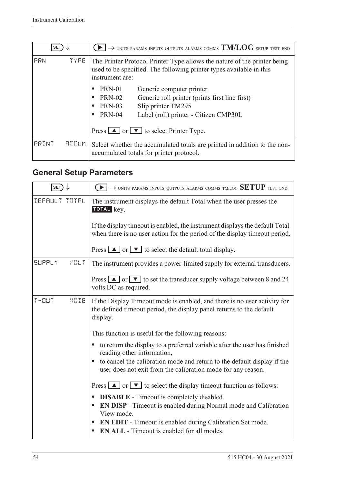| <b>SET</b> |              | $\rightarrow$ units params inputs outputs alarms comms $\mathrm{TM}/\mathrm{LOG}$ setup test end                                                                   |
|------------|--------------|--------------------------------------------------------------------------------------------------------------------------------------------------------------------|
| PRN        | <b>TYPE</b>  | The Printer Protocol Printer Type allows the nature of the printer being<br>used to be specified. The following printer types available in this<br>instrument are: |
|            |              | PRN-01<br>Generic computer printer                                                                                                                                 |
|            |              | <b>PRN-02</b><br>Generic roll printer (prints first line first)<br>$\bullet$                                                                                       |
|            |              | Slip printer TM295<br><b>PRN-03</b><br>٠                                                                                                                           |
|            |              | <b>PRN-04</b><br>Label (roll) printer - Citizen CMP30L<br>$\bullet$                                                                                                |
|            |              | Press $\boxed{\blacktriangle}$ or $\boxed{\blacktriangledown}$ to select Printer Type.                                                                             |
| PRINT      | <b>ACCUM</b> | Select whether the accumulated totals are printed in addition to the non-<br>accumulated totals for printer protocol.                                              |

## <span id="page-63-0"></span>**General Setup Parameters**

| SET)                             | $\rightarrow$ units params inputs outputs alarms comms tm/log $\operatorname{SETUP}$ test end                                                                      |
|----------------------------------|--------------------------------------------------------------------------------------------------------------------------------------------------------------------|
| DEFAULT TOTAL                    | The instrument displays the default Total when the user presses the<br>TOTAL key.                                                                                  |
|                                  | If the display timeout is enabled, the instrument displays the default Total<br>when there is no user action for the period of the display time out period.        |
|                                  | Press $\boxed{\blacktriangle}$ or $\boxed{\blacktriangledown}$ to select the default total display.                                                                |
| <b>SUPPLY</b><br>$V \square L$ T | The instrument provides a power-limited supply for external transducers.                                                                                           |
|                                  | Press $\boxed{\blacktriangle}$ or $\boxed{\blacktriangledown}$ to set the transducer supply voltage between 8 and 24<br>volts DC as required.                      |
| $T - 11T$<br>MODE                | If the Display Timeout mode is enabled, and there is no user activity for<br>the defined timeout period, the display panel returns to the default<br>display.      |
|                                  | This function is useful for the following reasons:                                                                                                                 |
|                                  | to return the display to a preferred variable after the user has finished<br>$\bullet$<br>reading other information,                                               |
|                                  | to cancel the calibration mode and return to the default display if the<br>user does not exit from the calibration mode for any reason.                            |
|                                  | Press $\boxed{\blacktriangle}$ or $\boxed{\blacktriangledown}$ to select the display timeout function as follows:                                                  |
|                                  | <b>DISABLE</b> - Timeout is completely disabled.<br>$\bullet$<br><b>EN DISP</b> - Timeout is enabled during Normal mode and Calibration<br>$\bullet$<br>View mode. |
|                                  | <b>EN EDIT</b> - Timeout is enabled during Calibration Set mode.<br>$\bullet$<br><b>EN ALL</b> - Timeout is enabled for all modes.                                 |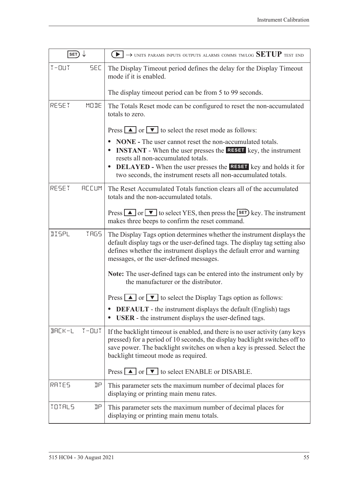| SET)          |              |                                                                                                                                                                                                                                                                                                                                                     |
|---------------|--------------|-----------------------------------------------------------------------------------------------------------------------------------------------------------------------------------------------------------------------------------------------------------------------------------------------------------------------------------------------------|
| $T - 111T$    | <b>SEC</b>   | The Display Timeout period defines the delay for the Display Timeout<br>mode if it is enabled.                                                                                                                                                                                                                                                      |
|               |              | The display timeout period can be from 5 to 99 seconds.                                                                                                                                                                                                                                                                                             |
| RESET         | MODE         | The Totals Reset mode can be configured to reset the non-accumulated<br>totals to zero.                                                                                                                                                                                                                                                             |
|               |              | Press $\boxed{\blacktriangle}$ or $\boxed{\blacktriangledown}$ to select the reset mode as follows:                                                                                                                                                                                                                                                 |
|               |              | <b>NONE</b> - The user cannot reset the non-accumulated totals.<br><b>INSTANT</b> - When the user presses the <b>RESET</b> key, the instrument<br>resets all non-accumulated totals.<br><b>DELAYED</b> - When the user presses the <b>RESET</b> key and holds it for<br>$\bullet$<br>two seconds, the instrument resets all non-accumulated totals. |
| RESET         | <b>REEUM</b> | The Reset Accumulated Totals function clears all of the accumulated<br>totals and the non-accumulated totals.                                                                                                                                                                                                                                       |
|               |              | Press $\Box$ or $\nabla$ to select YES, then press the <b>SET</b> ) key. The instrument<br>makes three beeps to confirm the reset command.                                                                                                                                                                                                          |
| <b>IISPL</b>  | <b>TRGS</b>  | The Display Tags option determines whether the instrument displays the<br>default display tags or the user-defined tags. The display tag setting also<br>defines whether the instrument displays the default error and warning<br>messages, or the user-defined messages.                                                                           |
|               |              | Note: The user-defined tags can be entered into the instrument only by<br>the manufacturer or the distributor.                                                                                                                                                                                                                                      |
|               |              | Press $\Box$ or $\Box$ to select the Display Tags option as follows:                                                                                                                                                                                                                                                                                |
|               |              | <b>DEFAULT</b> - the instrument displays the default (English) tags<br><b>USER</b> - the instrument displays the user-defined tags.                                                                                                                                                                                                                 |
| $B H L K - L$ | $T - 11T$    | If the backlight timeout is enabled, and there is no user activity (any keys<br>pressed) for a period of 10 seconds, the display backlight switches off to<br>save power. The backlight switches on when a key is pressed. Select the<br>backlight timeout mode as required.                                                                        |
|               |              | Press $\Box$ or $\Box$ to select ENABLE or DISABLE.                                                                                                                                                                                                                                                                                                 |
| RATES         | IJΡ          | This parameter sets the maximum number of decimal places for<br>displaying or printing main menu rates.                                                                                                                                                                                                                                             |
| TOTALS        | IJΡ          | This parameter sets the maximum number of decimal places for<br>displaying or printing main menu totals.                                                                                                                                                                                                                                            |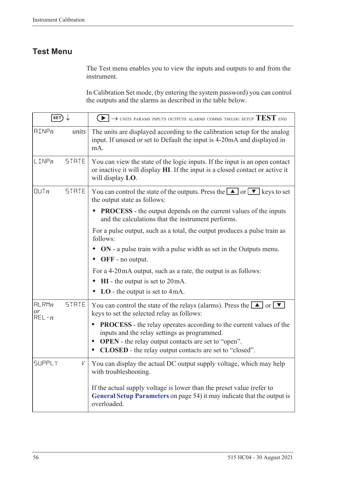### **Test Menu**

The Test menu enables you to view the inputs and outputs to and from the instrument.

In Calibration Set mode, (by entering the system password) you can control the outputs and the alarms as described in the table below.

| $\overline{\text{SET}}$  |              | $\blacktriangleright$ $\blacktriangleright$ UNITS PARAMS INPUTS OUTPUTS ALARMS COMMS TM/LOG SETUP $\text{TEST}$ end                                                                                                                                              |
|--------------------------|--------------|------------------------------------------------------------------------------------------------------------------------------------------------------------------------------------------------------------------------------------------------------------------|
| $\text{HIMP}_n$          | units        | The units are displayed according to the calibration setup for the analog<br>input. If unused or set to Default the input is 4-20mA and displayed in<br>mA.                                                                                                      |
| $L$ INP $n$              | <b>STRTE</b> | You can view the state of the logic inputs. If the input is an open contact<br>or inactive it will display HI. If the input is a closed contact or active it<br>will display LO.                                                                                 |
| UUTn                     | <b>STRTE</b> | You can control the state of the outputs. Press the $\Box$ or $\nabla$ keys to set<br>the output state as follows:                                                                                                                                               |
|                          |              | <b>PROCESS</b> - the output depends on the current values of the inputs<br>and the calculations that the instrument performs.                                                                                                                                    |
|                          |              | For a pulse output, such as a total, the output produces a pulse train as<br>follows:                                                                                                                                                                            |
|                          |              | <b>ON</b> - a pulse train with a pulse width as set in the Outputs menu.<br>OFF - no output.                                                                                                                                                                     |
|                          |              | For a 4-20mA output, such as a rate, the output is as follows:                                                                                                                                                                                                   |
|                          |              | $HI$ - the output is set to $20mA$ .                                                                                                                                                                                                                             |
|                          |              | $LO$ - the output is set to 4mA.                                                                                                                                                                                                                                 |
| HLRMn<br>or<br>$REL - n$ | <b>STRTE</b> | You can control the state of the relays (alarms). Press the $\boxed{\blacktriangle}$ or $\boxed{\blacktriangledown}$<br>keys to set the selected relay as follows:                                                                                               |
|                          |              | <b>PROCESS</b> - the relay operates according to the current values of the<br>inputs and the relay settings as programmed.<br><b>OPEN</b> - the relay output contacts are set to "open".<br>$\bullet$<br>CLOSED - the relay output contacts are set to "closed". |
| <b>SUPPLY</b>            | V            | You can display the actual DC output supply voltage, which may help<br>with troubleshooting.                                                                                                                                                                     |
|                          |              | If the actual supply voltage is lower than the preset value (refer to<br>General Setup Parameters on page 54) it may indicate that the output is<br>overloaded.                                                                                                  |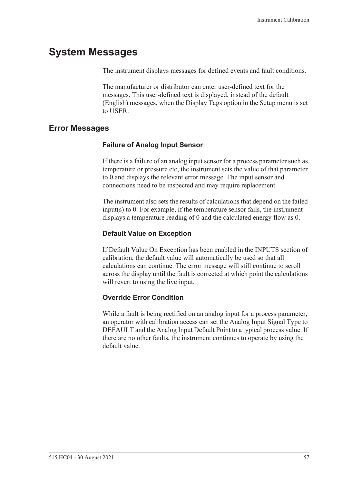## **System Messages**

The instrument displays messages for defined events and fault conditions.

The manufacturer or distributor can enter user-defined text for the messages. This user-defined text is displayed, instead of the default (English) messages, when the Display Tags option in the Setup menu is set to USER.

### <span id="page-66-0"></span>**Error Messages**

#### **Failure of Analog Input Sensor**

If there is a failure of an analog input sensor for a process parameter such as temperature or pressure etc, the instrument sets the value of that parameter to 0 and displays the relevant error message. The input sensor and connections need to be inspected and may require replacement.

The instrument also sets the results of calculations that depend on the failed input(s) to 0. For example, if the temperature sensor fails, the instrument displays a temperature reading of 0 and the calculated energy flow as 0.

#### **Default Value on Exception**

If Default Value On Exception has been enabled in the INPUTS section of calibration, the default value will automatically be used so that all calculations can continue. The error message will still continue to scroll across the display until the fault is corrected at which point the calculations will revert to using the live input.

#### **Override Error Condition**

While a fault is being rectified on an analog input for a process parameter, an operator with calibration access can set the Analog Input Signal Type to DEFAULT and the Analog Input Default Point to a typical process value. If there are no other faults, the instrument continues to operate by using the default value.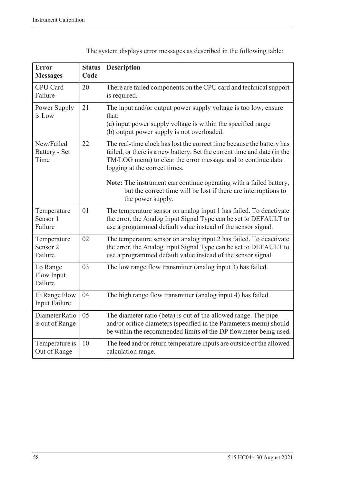| <b>Error</b><br><b>Messages</b>               | <b>Status</b><br>Code | <b>Description</b>                                                                                                                                                                                                                                 |
|-----------------------------------------------|-----------------------|----------------------------------------------------------------------------------------------------------------------------------------------------------------------------------------------------------------------------------------------------|
| <b>CPU</b> Card<br>Failure                    | 20                    | There are failed components on the CPU card and technical support<br>is required.                                                                                                                                                                  |
| Power Supply<br>is Low                        | 21                    | The input and/or output power supply voltage is too low, ensure<br>that:<br>(a) input power supply voltage is within the specified range<br>(b) output power supply is not overloaded.                                                             |
| New/Failed<br>Battery - Set<br>Time           | 22                    | The real-time clock has lost the correct time because the battery has<br>failed, or there is a new battery. Set the current time and date (in the<br>TM/LOG menu) to clear the error message and to continue data<br>logging at the correct times. |
|                                               |                       | Note: The instrument can continue operating with a failed battery,<br>but the correct time will be lost if there are interruptions to<br>the power supply.                                                                                         |
| Temperature<br>Sensor 1<br>Failure            | 01                    | The temperature sensor on analog input 1 has failed. To deactivate<br>the error, the Analog Input Signal Type can be set to DEFAULT to<br>use a programmed default value instead of the sensor signal.                                             |
| Temperature<br>Sensor <sub>2</sub><br>Failure | 02                    | The temperature sensor on analog input 2 has failed. To deactivate<br>the error, the Analog Input Signal Type can be set to DEFAULT to<br>use a programmed default value instead of the sensor signal.                                             |
| Lo Range<br>Flow Input<br>Failure             | 03                    | The low range flow transmitter (analog input 3) has failed.                                                                                                                                                                                        |
| Hi Range Flow<br><b>Input Failure</b>         | 04                    | The high range flow transmitter (analog input 4) has failed.                                                                                                                                                                                       |
| Diameter Ratio<br>is out of Range             | 05                    | The diameter ratio (beta) is out of the allowed range. The pipe<br>and/or orifice diameters (specified in the Parameters menu) should<br>be within the recommended limits of the DP flowmeter being used.                                          |
| Temperature is<br>Out of Range                | 10                    | The feed and/or return temperature inputs are outside of the allowed<br>calculation range.                                                                                                                                                         |

The system displays error messages as described in the following table: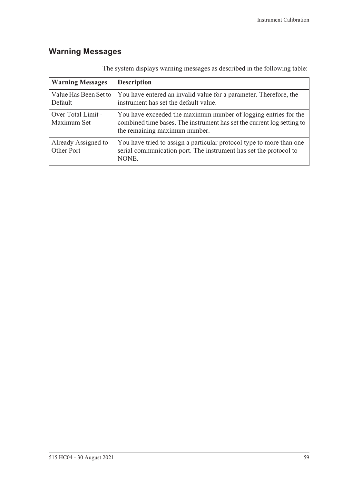## **Warning Messages**

| <b>Warning Messages</b>           | <b>Description</b>                                                                                                                                                         |
|-----------------------------------|----------------------------------------------------------------------------------------------------------------------------------------------------------------------------|
| Value Has Been Set to<br>Default  | You have entered an invalid value for a parameter. Therefore, the<br>instrument has set the default value.                                                                 |
| Over Total Limit -<br>Maximum Set | You have exceeded the maximum number of logging entries for the<br>combined time bases. The instrument has set the current log setting to<br>the remaining maximum number. |
| Already Assigned to<br>Other Port | You have tried to assign a particular protocol type to more than one<br>serial communication port. The instrument has set the protocol to<br>NONE.                         |

The system displays warning messages as described in the following table: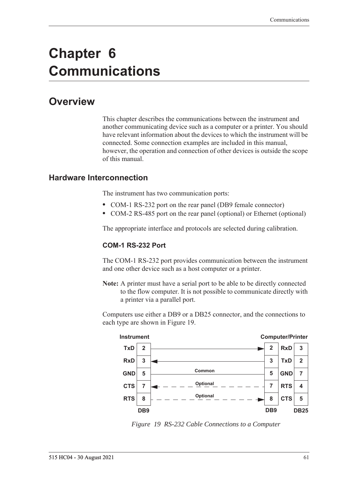# **Chapter 6 Communications**

## **Overview**

This chapter describes the communications between the instrument and another communicating device such as a computer or a printer. You should have relevant information about the devices to which the instrument will be connected. Some connection examples are included in this manual, however, the operation and connection of other devices is outside the scope of this manual.

#### **Hardware Interconnection**

The instrument has two communication ports:

- **•** COM-1 RS-232 port on the rear panel (DB9 female connector)
- **•** COM-2 RS-485 port on the rear panel (optional) or Ethernet (optional)

The appropriate interface and protocols are selected during calibration.

#### **COM-1 RS-232 Port**

The COM-1 RS-232 port provides communication between the instrument and one other device such as a host computer or a printer.

**Note:** A printer must have a serial port to be able to be directly connected to the flow computer. It is not possible to communicate directly with a printer via a parallel port.

Computers use either a DB9 or a DB25 connector, and the connections to each type are shown in [Figure 19.](#page-70-0)



<span id="page-70-0"></span>*Figure 19 RS-232 Cable Connections to a Computer*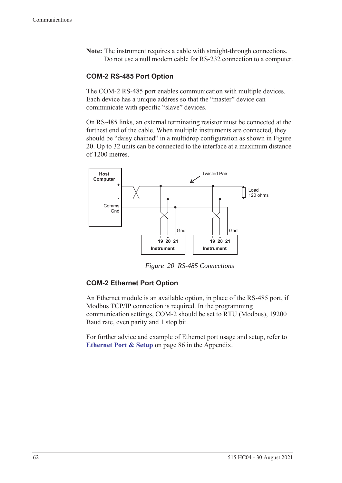**Note:** The instrument requires a cable with straight-through connections. Do not use a null modem cable for RS-232 connection to a computer.

#### **COM-2 RS-485 Port Option**

The COM-2 RS-485 port enables communication with multiple devices. Each device has a unique address so that the "master" device can communicate with specific "slave" devices.

On RS-485 links, an external terminating resistor must be connected at the furthest end of the cable. When multiple instruments are connected, they should be "daisy chained" in a multidrop configuration as shown in Figure [20](#page-71-0). Up to 32 units can be connected to the interface at a maximum distance of 1200 metres.



*Figure 20 RS-485 Connections*

#### <span id="page-71-0"></span>**COM-2 Ethernet Port Option**

An Ethernet module is an available option, in place of the RS-485 port, if Modbus TCP/IP connection is required. In the programming communication settings, COM-2 should be set to RTU (Modbus), 19200 Baud rate, even parity and 1 stop bit.

For further advice and example of Ethernet port usage and setup, refer to **[Ethernet Port & Setup](#page-95-0)** on page 86 in the Appendix.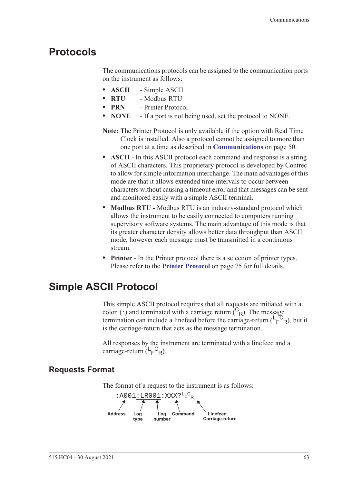# **Protocols**

<span id="page-72-1"></span>The communications protocols can be assigned to the communication ports on the instrument as follows:

- **• ASCII** Simple ASCII
- **• RTU** Modbus RTU
- **• PRN** Printer Protocol
- **• NONE** If a port is not being used, set the protocol to NONE.
- **Note:** The Printer Protocol is only available if the option with Real Time Clock is installed. Also a protocol cannot be assigned to more than one port at a time as described in **[Communications](#page-59-0)** on page 50.
- **• ASCII** In this ASCII protocol each command and response is a string of ASCII characters. This proprietary protocol is developed by Contrec to allow for simple information interchange. The main advantages of this mode are that it allows extended time intervals to occur between characters without causing a timeout error and that messages can be sent and monitored easily with a simple ASCII terminal.
- **• Modbus RTU** Modbus RTU is an industry-standard protocol which allows the instrument to be easily connected to computers running supervisory software systems. The main advantage of this mode is that its greater character density allows better data throughput than ASCII mode, however each message must be transmitted in a continuous stream.
- <span id="page-72-0"></span>**• Printer** - In the Printer protocol there is a selection of printer types. Please refer to the **[Printer Protocol](#page-84-0)** on page 75 for full details.

# **Simple ASCII Protocol**

This simple ASCII protocol requires that all requests are initiated with a colon (:) and terminated with a carriage return  $\binom{C_R}{R}$ . The message termination can include a linefeed before the carriage-return  $(\mathsf{L}_\mathsf{F}^\mathsf{C}_{\mathsf{R}})$ , but it is the carriage-return that acts as the message termination.

<span id="page-72-2"></span>All responses by the instrument are terminated with a linefeed and a carriage-return  $(L_F^C_R)$ .

# **Requests Format**

The format of a request to the instrument is as follows:

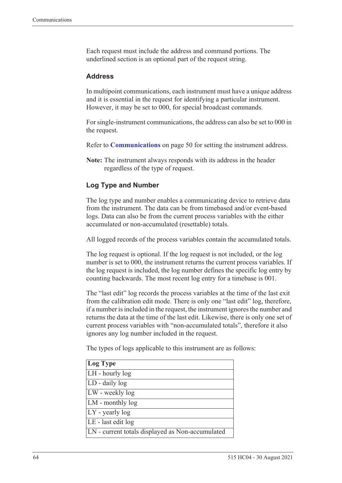Each request must include the address and command portions. The underlined section is an optional part of the request string.

### <span id="page-73-0"></span>**Address**

In multipoint communications, each instrument must have a unique address and it is essential in the request for identifying a particular instrument. However, it may be set to 000, for special broadcast commands.

For single-instrument communications, the address can also be set to 000 in the request.

Refer to **[Communications](#page-59-0)** on page 50 for setting the instrument address.

**Note:** The instrument always responds with its address in the header regardless of the type of request.

### **Log Type and Number**

The log type and number enables a communicating device to retrieve data from the instrument. The data can be from timebased and/or event-based logs. Data can also be from the current process variables with the either accumulated or non-accumulated (resettable) totals.

All logged records of the process variables contain the accumulated totals.

The log request is optional. If the log request is not included, or the log number is set to 000, the instrument returns the current process variables. If the log request is included, the log number defines the specific log entry by counting backwards. The most recent log entry for a timebase is 001.

The "last edit" log records the process variables at the time of the last exit from the calibration edit mode. There is only one "last edit" log, therefore, if a number is included in the request, the instrument ignores the number and returns the data at the time of the last edit. Likewise, there is only one set of current process variables with "non-accumulated totals", therefore it also ignores any log number included in the request.

The types of logs applicable to this instrument are as follows:

| Log Type                                         |
|--------------------------------------------------|
| LH - hourly log                                  |
| LD - daily log                                   |
| LW - weekly log                                  |
| LM - monthly log                                 |
| $LY$ - yearly log                                |
| LE - last edit log                               |
| LN - current totals displayed as Non-accumulated |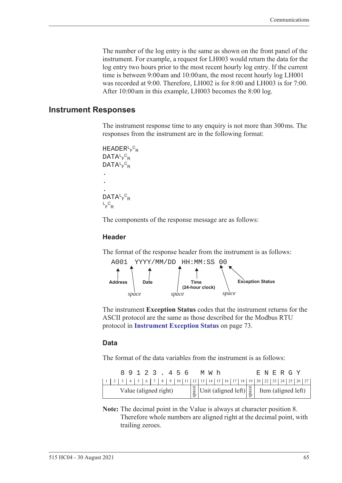The number of the log entry is the same as shown on the front panel of the instrument. For example, a request for LH003 would return the data for the log entry two hours prior to the most recent hourly log entry. If the current time is between 9:00 am and 10:00 am, the most recent hourly log LH001 was recorded at 9:00. Therefore, LH002 is for 8:00 and LH003 is for 7:00. After 10:00 am in this example, LH003 becomes the 8:00 log.

### **Instrument Responses**

<span id="page-74-1"></span>The instrument response time to any enquiry is not more than 300 ms. The responses from the instrument are in the following format:

```
HEADER<sup>L</sup>F<sup>C</sup>R
DATA<sup>L</sup>F<sup>C</sup>R
DATA<sup>L</sup>F<sup>C</sup>R
.
.
.
DATA<sup>L</sup>F<sup>C</sup>R
L_F^C<sub>R</sub>
```
The components of the response message are as follows:

#### **Header**

The format of the response header from the instrument is as follows:



<span id="page-74-0"></span>The instrument **Exception Status** codes that the instrument returns for the ASCII protocol are the same as those described for the Modbus RTU protocol in **[Instrument Exception Status](#page-82-0)** on page 73.

#### **Data**

The format of the data variables from the instrument is as follows:

|                       |  |  |  |  | 89123.456 |  |  |                                                                                                                                                               |  | M W h |  |  |  |  | E N E R G Y |  |  |
|-----------------------|--|--|--|--|-----------|--|--|---------------------------------------------------------------------------------------------------------------------------------------------------------------|--|-------|--|--|--|--|-------------|--|--|
|                       |  |  |  |  |           |  |  |                                                                                                                                                               |  |       |  |  |  |  |             |  |  |
| Value (aligned right) |  |  |  |  |           |  |  | $\begin{bmatrix} \frac{8}{9} \\ \frac{8}{9} \end{bmatrix}$ Unit (aligned left) $\begin{bmatrix} \frac{8}{9} \\ \frac{8}{9} \end{bmatrix}$ Item (aligned left) |  |       |  |  |  |  |             |  |  |

**Note:** The decimal point in the Value is always at character position 8. Therefore whole numbers are aligned right at the decimal point, with trailing zeroes.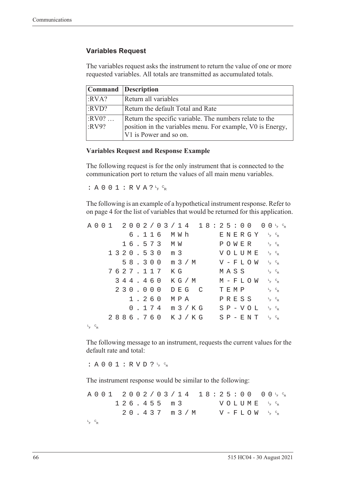### **Variables Request**

The variables request asks the instrument to return the value of one or more requested variables. All totals are transmitted as accumulated totals.

|                  | <b>Command</b> Description                                                                                                                      |
|------------------|-------------------------------------------------------------------------------------------------------------------------------------------------|
| :RVA?            | Return all variables                                                                                                                            |
| :RVD?            | Return the default Total and Rate                                                                                                               |
| $:RV0?$<br>:RV9? | Return the specific variable. The numbers relate to the<br>position in the variables menu. For example, V0 is Energy,<br>V1 is Power and so on. |

### **Variables Request and Response Example**

The following request is for the only instrument that is connected to the communication port to return the values of all main menu variables.

: A 0 0 1 : R V A ?  $L_F$   $C_R$ 

The following is an example of a hypothetical instrument response. Refer to [on page 4](#page-13-0) for the list of variables that would be returned for this application.

|             |  |  |  |  |          |  |                  |  |       | $A\ 0\ 0\ 1\quad 2\ 0\ 0\ 2\ / \ 0\ 3\ / \ 1\ 4\quad 1\ 8:2\ 5:0\ 0\quad 0\ 0\ _{F}\ ^{c}{}_{R}$ |  |      |  |               |                                              |                                   |  |
|-------------|--|--|--|--|----------|--|------------------|--|-------|--------------------------------------------------------------------------------------------------|--|------|--|---------------|----------------------------------------------|-----------------------------------|--|
|             |  |  |  |  |          |  | 6.116 MWh        |  |       |                                                                                                  |  |      |  |               | ENERGY 'F <sup>c</sup> r                     |                                   |  |
|             |  |  |  |  |          |  | 16.573 MW        |  |       |                                                                                                  |  |      |  |               | POWER                                        | $L_{F}$ $C_{R}$                   |  |
|             |  |  |  |  |          |  | 1320.530 m 3     |  |       |                                                                                                  |  |      |  |               | VOLUME <sup>L<sub>E</sub>C<sub>R</sub></sup> |                                   |  |
|             |  |  |  |  |          |  |                  |  |       | 58.300 m 3/M                                                                                     |  |      |  |               | $V - F L O W \leftarrow c_R$                 |                                   |  |
|             |  |  |  |  | 7627.117 |  | КG               |  |       |                                                                                                  |  |      |  | MASS          |                                              | $L_F$ $C_R$                       |  |
|             |  |  |  |  | 344.460  |  |                  |  |       | K G / M                                                                                          |  |      |  |               | M – F L O W                                  | $L$ <sub>F</sub> $C$ <sub>R</sub> |  |
|             |  |  |  |  | 230.000  |  |                  |  | DEG C |                                                                                                  |  | TEMP |  |               |                                              | $L_F$ $C_R$                       |  |
|             |  |  |  |  | 1.260    |  | МРА              |  |       |                                                                                                  |  |      |  | PRESS         |                                              | $L_{F}$ $C_{R}$                   |  |
|             |  |  |  |  |          |  | $0.174$ m $3/KG$ |  |       |                                                                                                  |  |      |  | $S P - V O L$ |                                              | $L_{F}$ $C_{R}$                   |  |
|             |  |  |  |  |          |  |                  |  |       | 2886.760 KJ/KG SP-ENT FR                                                                         |  |      |  |               |                                              |                                   |  |
| $L_F$ $C_R$ |  |  |  |  |          |  |                  |  |       |                                                                                                  |  |      |  |               |                                              |                                   |  |

The following message to an instrument, requests the current values for the default rate and total:

: A 0 0 1 : R V D ?  $L_F$   $C_R$ 

The instrument response would be similar to the following:

A001 2002/03/14 18:25:00  $F$   $\circ$ <sub>R</sub>  $126.455 m3$ <sup>F</sup> <sup>C</sup> R  $20.437$  m  $3/M$  $F$   $\circ$ <sub>R</sub> L <sup>F</sup> <sup>C</sup> R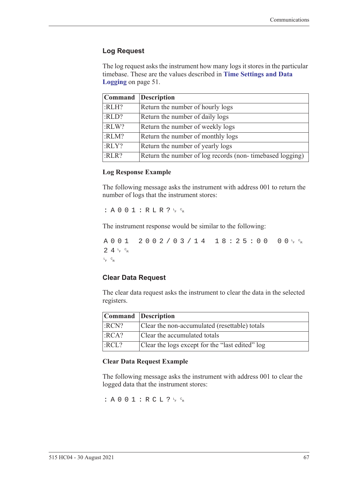### **Log Request**

The log request asks the instrument how many logs it stores in the particular timebase. These are the values described in **[Time Settings and Data](#page-60-0)  Logging** [on page 51](#page-60-0).

|       | Command Description                                      |
|-------|----------------------------------------------------------|
| :RLH? | Return the number of hourly logs                         |
| :RLD? | Return the number of daily logs                          |
| :RLW? | Return the number of weekly logs                         |
| :RLM? | Return the number of monthly logs                        |
| :RLY? | Return the number of yearly logs                         |
| :RLR? | Return the number of log records (non-timebased logging) |

#### **Log Response Example**

The following message asks the instrument with address 001 to return the number of logs that the instrument stores:

 $: A 0 0 1 : R L R ? \nmid R$ 

The instrument response would be similar to the following:

A001 2002/03/14 18:25:00  $F$   $\circ$ R  $24r$ <sub>F</sub>  $c_R$ L <sup>F</sup> <sup>C</sup> R

### **Clear Data Request**

The clear data request asks the instrument to clear the data in the selected registers.

| Command Description |                                                 |
|---------------------|-------------------------------------------------|
| :RCN?               | Clear the non-accumulated (resettable) totals   |
| :RCA?               | Clear the accumulated totals                    |
| :RCL?               | Clear the logs except for the "last edited" log |

### **Clear Data Request Example**

The following message asks the instrument with address 001 to clear the logged data that the instrument stores:

: A 0 0 1 : R C L ?  $L_F$   $c_R$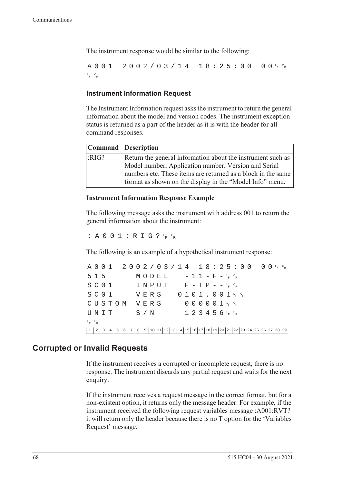The instrument response would be similar to the following:

A001 2002/03/14 18:25:00  $F$   $\circ$ <sub>R</sub> L <sup>F</sup> <sup>C</sup> R

### **Instrument Information Request**

The Instrument Information request asks the instrument to return the general information about the model and version codes. The instrument exception status is returned as a part of the header as it is with the header for all command responses.

|      | Command Description                                                                                                      |
|------|--------------------------------------------------------------------------------------------------------------------------|
| RIG? | Return the general information about the instrument such as                                                              |
|      | Model number, Application number, Version and Serial                                                                     |
|      | numbers etc. These items are returned as a block in the same<br>format as shown on the display in the "Model Info" menu. |

#### **Instrument Information Response Example**

The following message asks the instrument with address 001 to return the general information about the instrument:

: A 0 0 1 : R I G ?  $L_F$   $C_R$ 

The following is an example of a hypothetical instrument response:

A001 2002/03/14 18:25:00 <sup>F</sup> <sup>C</sup> R  $515$   $MODEL$   $-11-F-F_{R}^{c}$  $S$  C O  $1$  I N P U T F - T P - - <sup>L</sup><sub>F</sub> <sup>C</sup>R  $S$  C O  $1$  V E R S O  $1$  O  $1$  J  $1$  , O  $0$   $1$   $1$   $1$   $6$   $8$ CUSTOM VERS 000001<sup>t</sup>F<sup>c</sup>r  $\texttt{UNIT}$  S/N 123456<sup>L</sup>F <sup>C</sup>R L <sup>F</sup> <sup>C</sup> R 1 2 3 4 5 6 7 8 9 10 11 12 13 14 15 16 17 18 19 20 21 22 23 24 25 26 27 28 29

## **Corrupted or Invalid Requests**

If the instrument receives a corrupted or incomplete request, there is no response. The instrument discards any partial request and waits for the next enquiry.

If the instrument receives a request message in the correct format, but for a non-existent option, it returns only the message header. For example, if the instrument received the following request variables message :A001:RVT? it will return only the header because there is no T option for the 'Variables Request' message.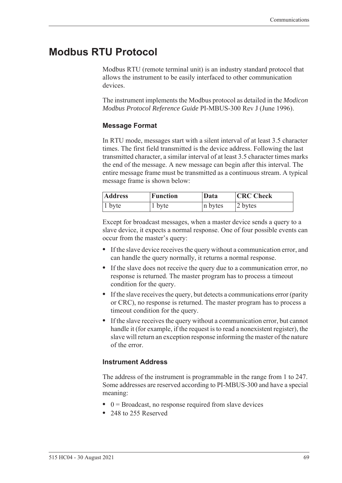# **Modbus RTU Protocol**

<span id="page-78-0"></span>Modbus RTU (remote terminal unit) is an industry standard protocol that allows the instrument to be easily interfaced to other communication devices.

The instrument implements the Modbus protocol as detailed in the *Modicon Modbus Protocol Reference Guide* PI-MBUS-300 Rev J (June 1996).

### **Message Format**

In RTU mode, messages start with a silent interval of at least 3.5 character times. The first field transmitted is the device address. Following the last transmitted character, a similar interval of at least 3.5 character times marks the end of the message. A new message can begin after this interval. The entire message frame must be transmitted as a continuous stream. A typical message frame is shown below:

| <b>Address</b> | <b>Function</b> | Data    | <b>CRC</b> Check |  |  |  |  |
|----------------|-----------------|---------|------------------|--|--|--|--|
| $ 1$ byte      | 1 byte          | n bytes | 2 bytes          |  |  |  |  |

Except for broadcast messages, when a master device sends a query to a slave device, it expects a normal response. One of four possible events can occur from the master's query:

- **•** If the slave device receives the query without a communication error, and can handle the query normally, it returns a normal response.
- **•** If the slave does not receive the query due to a communication error, no response is returned. The master program has to process a timeout condition for the query.
- **•** If the slave receives the query, but detects a communications error (parity or CRC), no response is returned. The master program has to process a timeout condition for the query.
- **•** If the slave receives the query without a communication error, but cannot handle it (for example, if the request is to read a nonexistent register), the slave will return an exception response informing the master of the nature of the error.

## **Instrument Address**

The address of the instrument is programmable in the range from 1 to 247. Some addresses are reserved according to PI-MBUS-300 and have a special meaning:

- 0 = Broadcast, no response required from slave devices
- **•** 248 to 255 Reserved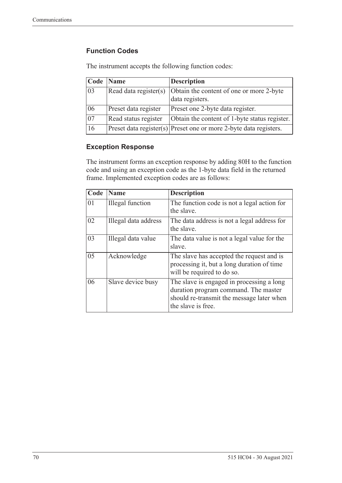## **Function Codes**

| Code            | <b>Name</b>           | <b>Description</b>                                                    |
|-----------------|-----------------------|-----------------------------------------------------------------------|
| 03              | Read data register(s) | Obtain the content of one or more 2-byte<br>data registers.           |
| 06              | Preset data register  | Preset one 2-byte data register.                                      |
| $\overline{07}$ | Read status register  | Obtain the content of 1-byte status register.                         |
| 16              |                       | $ $ Preset data register(s) Preset one or more 2-byte data registers. |

The instrument accepts the following function codes:

### **Exception Response**

The instrument forms an exception response by adding 80H to the function code and using an exception code as the 1-byte data field in the returned frame. Implemented exception codes are as follows:

| Code | <b>Name</b>             | <b>Description</b>                                                                                                                                   |
|------|-------------------------|------------------------------------------------------------------------------------------------------------------------------------------------------|
| 01   | <b>Illegal</b> function | The function code is not a legal action for<br>the slave.                                                                                            |
| 02   | Illegal data address    | The data address is not a legal address for<br>the slave.                                                                                            |
| 03   | Illegal data value      | The data value is not a legal value for the<br>slave.                                                                                                |
| 05   | Acknowledge             | The slave has accepted the request and is<br>processing it, but a long duration of time<br>will be required to do so.                                |
| 06   | Slave device busy       | The slave is engaged in processing a long<br>duration program command. The master<br>should re-transmit the message later when<br>the slave is free. |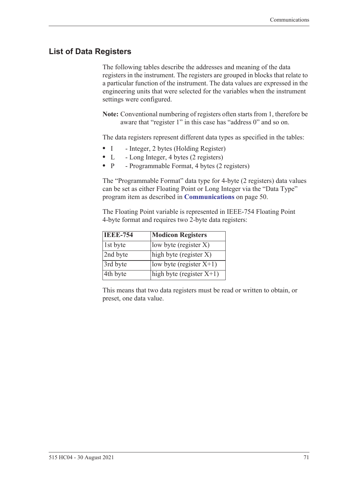# **List of Data Registers**

The following tables describe the addresses and meaning of the data registers in the instrument. The registers are grouped in blocks that relate to a particular function of the instrument. The data values are expressed in the engineering units that were selected for the variables when the instrument settings were configured.

**Note:** Conventional numbering of registers often starts from 1, therefore be aware that "register 1" in this case has "address 0" and so on.

The data registers represent different data types as specified in the tables:

- I Integer, 2 bytes (Holding Register)
- L Long Integer, 4 bytes (2 registers)
- P Programmable Format, 4 bytes (2 registers)

The "Programmable Format" data type for 4-byte (2 registers) data values can be set as either Floating Point or Long Integer via the "Data Type" program item as described in **[Communications](#page-59-0)** on page 50.

The Floating Point variable is represented in IEEE-754 Floating Point 4-byte format and requires two 2-byte data registers:

| <b>IEEE-754</b> | <b>Modicon Registers</b>    |
|-----------------|-----------------------------|
| 1st byte        | low byte (register $X$ )    |
| 2nd byte        | high byte (register X)      |
| 3rd byte        | $ low byte (register X+1) $ |
| 4th byte        | high byte (register $X+1$ ) |

This means that two data registers must be read or written to obtain, or preset, one data value.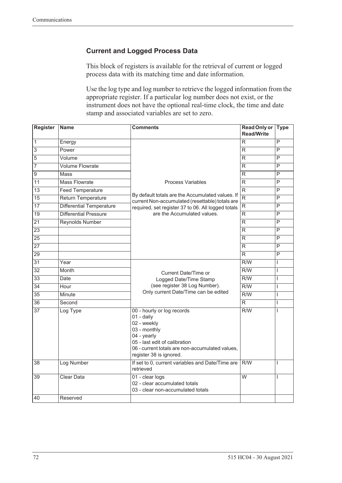## **Current and Logged Process Data**

This block of registers is available for the retrieval of current or logged process data with its matching time and date information.

Use the log type and log number to retrieve the logged information from the appropriate register. If a particular log number does not exist, or the instrument does not have the optional real-time clock, the time and date stamp and associated variables are set to zero.

| <b>Register</b> | <b>Name</b>                     | <b>Comments</b>                                                                                                                                                                                       | <b>Read Only or</b><br><b>Read/Write</b> | <b>Type</b>             |
|-----------------|---------------------------------|-------------------------------------------------------------------------------------------------------------------------------------------------------------------------------------------------------|------------------------------------------|-------------------------|
| $\overline{1}$  | Energy                          |                                                                                                                                                                                                       | R                                        | P                       |
| $\overline{3}$  | Power                           |                                                                                                                                                                                                       | R.                                       | P                       |
| 5               | Volume                          |                                                                                                                                                                                                       | R                                        | $\overline{\mathsf{P}}$ |
| 7               | <b>Volume Flowrate</b>          |                                                                                                                                                                                                       | R.                                       | P                       |
| $\overline{9}$  | Mass                            |                                                                                                                                                                                                       | R                                        | P                       |
| $\overline{11}$ | <b>Mass Flowrate</b>            | <b>Process Variables</b>                                                                                                                                                                              | R                                        | $\overline{\mathsf{P}}$ |
| $\overline{13}$ | <b>Feed Temperature</b>         |                                                                                                                                                                                                       | $\overline{\mathsf{R}}$                  | $\overline{P}$          |
| $\overline{15}$ | Return Temperature              | By default totals are the Accumulated values. If<br>current Non-accumulated (resettable) totals are                                                                                                   | $\overline{\mathsf{R}}$                  | $\overline{P}$          |
| $\overline{17}$ | <b>Differential Temperature</b> | required, set register 37 to 06. All logged totals                                                                                                                                                    | $\overline{\mathsf{R}}$                  | P                       |
| 19              | <b>Differential Pressure</b>    | are the Accumulated values.                                                                                                                                                                           | R.                                       | $\overline{P}$          |
| $\overline{21}$ | <b>Reynolds Number</b>          |                                                                                                                                                                                                       | $\overline{\mathsf{R}}$                  | P                       |
| $\overline{23}$ |                                 |                                                                                                                                                                                                       | R.                                       | P                       |
| $\overline{25}$ |                                 |                                                                                                                                                                                                       | R                                        | P                       |
| 27              |                                 |                                                                                                                                                                                                       | R                                        | P                       |
| 29              |                                 |                                                                                                                                                                                                       | R.                                       | $\overline{P}$          |
| 31              | Year                            |                                                                                                                                                                                                       | R/W                                      | T                       |
| $\overline{32}$ | Month                           | Current Date/Time or                                                                                                                                                                                  | $\overline{R/W}$                         | L                       |
| $\overline{33}$ | Date                            | Logged Date/Time Stamp                                                                                                                                                                                | $\overline{R/W}$                         | T                       |
| $\overline{34}$ | Hour                            | (see register 38 Log Number).                                                                                                                                                                         | $\overline{R/W}$                         | I                       |
| $\overline{35}$ | Minute                          | Only current Date/Time can be edited                                                                                                                                                                  | $\overline{R/W}$                         | $\mathsf{I}$            |
| $\overline{36}$ | Second                          |                                                                                                                                                                                                       | $\overline{\mathsf{R}}$                  | $\mathsf{I}$            |
| $\overline{37}$ | Log Type                        | 00 - hourly or log records<br>01 - daily<br>02 - weekly<br>03 - monthly<br>04 - yearly<br>05 - last edit of calibration<br>06 - current totals are non-accumulated values,<br>register 38 is ignored. | R/W                                      | I                       |
| $\overline{38}$ | Log Number                      | If set to 0, current variables and Date/Time are<br>retrieved                                                                                                                                         | R/W                                      | I                       |
| 39              | <b>Clear Data</b>               | 01 - clear logs<br>02 - clear accumulated totals<br>03 - clear non-accumulated totals                                                                                                                 | $\overline{W}$                           | T                       |
| 40              | Reserved                        |                                                                                                                                                                                                       |                                          |                         |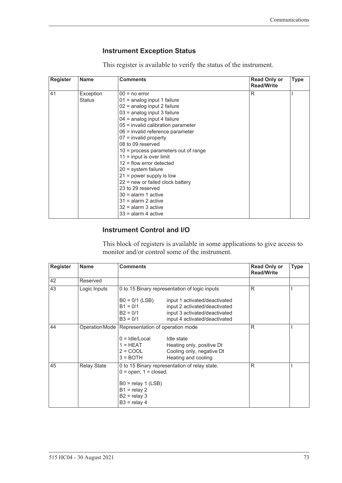## <span id="page-82-1"></span><span id="page-82-0"></span>**Instrument Exception Status**

This register is available to verify the status of the instrument.

| <b>Register</b> | <b>Name</b> | <b>Comments</b>                        | <b>Read Only or</b><br><b>Read/Write</b> | <b>Type</b> |
|-----------------|-------------|----------------------------------------|------------------------------------------|-------------|
| 41              | Exception   | $00 = no error$                        | R                                        |             |
|                 | Status      | $01$ = analog input 1 failure          |                                          |             |
|                 |             | 02 = analog input 2 failure            |                                          |             |
|                 |             | 03 = analog input 3 failure            |                                          |             |
|                 |             | $04$ = analog input 4 failure          |                                          |             |
|                 |             | 05 = invalid calibration parameter     |                                          |             |
|                 |             | 06 = invalid reference parameter       |                                          |             |
|                 |             | $07$ = invalid property                |                                          |             |
|                 |             | 08 to 09 reserved                      |                                          |             |
|                 |             | $10$ = process parameters out of range |                                          |             |
|                 |             | $11 =$ input is over limit             |                                          |             |
|                 |             | $12$ = flow error detected             |                                          |             |
|                 |             | $20 =$ system failure                  |                                          |             |
|                 |             | $21$ = power supply is low             |                                          |             |
|                 |             | $22$ = new or failed clock battery     |                                          |             |
|                 |             | 23 to 29 reserved                      |                                          |             |
|                 |             | $30 =$ alarm 1 active                  |                                          |             |
|                 |             | $31$ = alarm 2 active                  |                                          |             |
|                 |             | $32$ = alarm 3 active                  |                                          |             |
|                 |             | $33$ = alarm 4 active                  |                                          |             |

### **Instrument Control and I/O**

This block of registers is available in some applications to give access to monitor and/or control some of the instrument.

| <b>Register</b> | <b>Name</b>        | <b>Comments</b>                                                                                                 |                                                                                                                                  | <b>Read Only or</b><br><b>Read/Write</b> | <b>Type</b> |
|-----------------|--------------------|-----------------------------------------------------------------------------------------------------------------|----------------------------------------------------------------------------------------------------------------------------------|------------------------------------------|-------------|
| 42              | Reserved           |                                                                                                                 |                                                                                                                                  |                                          |             |
| 43              | Logic Inputs       |                                                                                                                 | 0 to 15 Binary representation of logic inputs                                                                                    | R                                        |             |
|                 |                    | $B0 = 0/1$ (LSB)<br>$B1 = 0/1$<br>$B2 = 0/1$<br>$B3 = 0/1$                                                      | input 1 activated/deactivated<br>input 2 activated/deactivated<br>input 3 activated/deactivated<br>input 4 activated/deactivated |                                          |             |
| 44              |                    | Operation Mode   Representation of operation mode<br>$0 =$ Idle/Local<br>$1 = HEAT$<br>$2 = COOL$<br>$3 =$ BOTH | Idle state<br>Heating only, positive Dt<br>Cooling only, negative Dt<br>Heating and cooling                                      | R                                        |             |
| 45              | <b>Relay State</b> | $0 =$ open; $1 =$ closed.<br>$B0 =$ relay 1 (LSB)<br>$B1 =$ relay 2<br>$B2 =$ relay 3<br>$B3 =$ relay 4         | 0 to 15 Binary representation of relay state.                                                                                    | R                                        |             |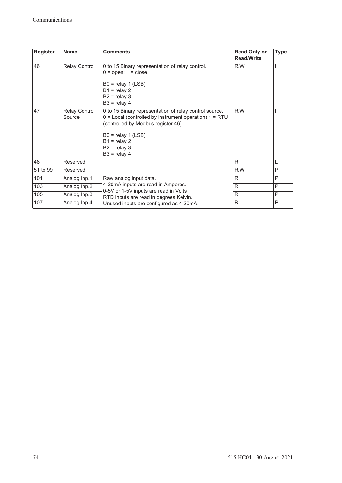| Register | <b>Name</b>                    | <b>Comments</b>                                                                                                                                                                                                                           | <b>Read Only or</b><br><b>Read/Write</b> | <b>Type</b> |
|----------|--------------------------------|-------------------------------------------------------------------------------------------------------------------------------------------------------------------------------------------------------------------------------------------|------------------------------------------|-------------|
| 46       | <b>Relay Control</b>           | 0 to 15 Binary representation of relay control.<br>$0 =$ open; $1 =$ close.<br>$B0 =$ relay 1 (LSB)<br>$B1 =$ relay 2<br>$B2 =$ relay 3<br>$B3 =$ relay 4                                                                                 | R/W                                      |             |
| 47       | <b>Relay Control</b><br>Source | 0 to 15 Binary representation of relay control source.<br>$0 =$ Local (controlled by instrument operation) $1 = RTU$<br>(controlled by Modbus register 46).<br>$B0 =$ relay 1 (LSB)<br>$B1 =$ relay 2<br>$B2 =$ relay 3<br>$B3 =$ relay 4 | R/W                                      |             |
| 48       | Reserved                       |                                                                                                                                                                                                                                           | R                                        | L           |
| 51 to 99 | Reserved                       |                                                                                                                                                                                                                                           | R/W                                      | P           |
| 101      | Analog Inp.1                   | Raw analog input data.                                                                                                                                                                                                                    | $\mathsf{R}$                             | P           |
| 103      | Analog Inp.2                   | 4-20mA inputs are read in Amperes.                                                                                                                                                                                                        | $\mathsf{R}$                             | P           |
| 105      | Analog Inp.3                   | 0-5V or 1-5V inputs are read in Volts<br>RTD inputs are read in degrees Kelvin.                                                                                                                                                           | R                                        | P           |
| 107      | Analog Inp.4                   | Unused inputs are configured as 4-20mA.                                                                                                                                                                                                   | $\mathsf{R}$                             | P           |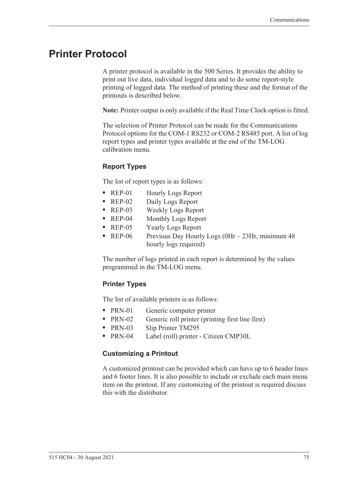# <span id="page-84-0"></span>**Printer Protocol**

<span id="page-84-2"></span>A printer protocol is available in the 500 Series. It provides the ability to print out live data, individual logged data and to do some report-style printing of logged data. The method of printing these and the format of the printouts is described below.

**Note:** Printer output is only available if the Real Time Clock option is fitted.

The selection of Printer Protocol can be made for the Communications Protocol options for the COM-1 RS232 or COM-2 RS485 port. A list of log report types and printer types available at the end of the TM-LOG calibration menu.

## <span id="page-84-3"></span>**Report Types**

The list of report types is as follows:

- REP-01 Hourly Logs Report
- **•** REP-02 Daily Logs Report
- **•** REP-03 Weekly Logs Report
- **•** REP-04 Monthly Logs Report
- **•** REP-05 Yearly Logs Report
- REP-06 Previous Day Hourly Logs (0Hr 23Hr, minimum 48 hourly logs required)

The number of logs printed in each report is determined by the values programmed in the TM-LOG menu.

### <span id="page-84-4"></span>**Printer Types**

The list of available printers is as follows:

- PRN-01 Generic computer printer
- PRN-02 Generic roll printer (printing first line first)
- **•** PRN-03 Slip Printer TM295
- **•** PRN-04 Label (roll) printer Citizen CMP30L

### <span id="page-84-1"></span>**Customizing a Printout**

A customized printout can be provided which can have up to 6 header lines and 6 footer lines. It is also possible to include or exclude each main menu item on the printout. If any customizing of the printout is required discuss this with the distributor.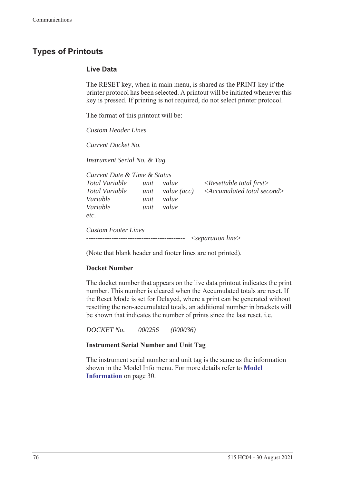# <span id="page-85-1"></span>**Types of Printouts**

### <span id="page-85-0"></span>**Live Data**

The RESET key, when in main menu, is shared as the PRINT key if the printer protocol has been selected. A printout will be initiated whenever this key is pressed. If printing is not required, do not select printer protocol.

The format of this printout will be:

*Custom Header Lines*

*Current Docket No.* 

*Instrument Serial No. & Tag*

| Current Date & Time & Status                 |                      |                               |                                                                                   |
|----------------------------------------------|----------------------|-------------------------------|-----------------------------------------------------------------------------------|
| Total Variable<br>Total Variable<br>Variable | unit<br>unit<br>unit | value<br>value (acc)<br>value | $\langle$ Resettable total first $\rangle$<br>$\leq$ Accumulated total second $>$ |
| Variable<br>etc.                             | unit                 | value                         |                                                                                   |
| <b>Custom Footer Lines</b>                   |                      |                               | $\leq$ separation line $>$                                                        |

(Note that blank header and footer lines are not printed).

### **Docket Number**

The docket number that appears on the live data printout indicates the print number. This number is cleared when the Accumulated totals are reset. If the Reset Mode is set for Delayed, where a print can be generated without resetting the non-accumulated totals, an additional number in brackets will be shown that indicates the number of prints since the last reset. i.e.

*DOCKET No. 000256 (000036)*

### **Instrument Serial Number and Unit Tag**

The instrument serial number and unit tag is the same as the information shown in the Model Info menu. For more details refer to **[Model](#page-39-0)  [Information](#page-39-0)** on page 30.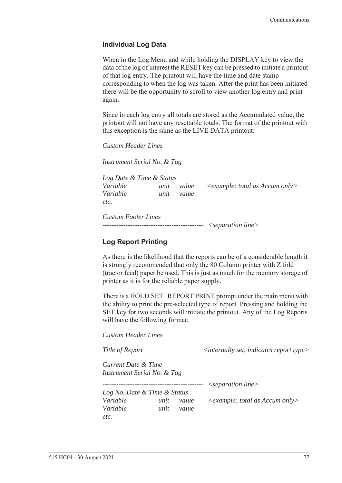### <span id="page-86-0"></span>**Individual Log Data**

When in the Log Menu and while holding the DISPLAY key to view the data of the log of interest the RESET key can be pressed to initiate a printout of that log entry. The printout will have the time and date stamp corresponding to when the log was taken. After the print has been initiated there will be the opportunity to scroll to view another log entry and print again.

Since in each log entry all totals are stored as the Accumulated value, the printout will not have any resettable totals. The format of the printout with this exception is the same as the LIVE DATA printout:

*Custom Header Lines*

*Instrument Serial No. & Tag*

*Log Date & Time & Status Variable unit value <example: total as Accum only> Variable unit value etc.*

*Custom Footer Lines -------------------------------------------- <separation line>*

### <span id="page-86-1"></span>**Log Report Printing**

As there is the likelihood that the reports can be of a considerable length it is strongly recommended that only the 80 Column printer with Z fold (tractor feed) paper be used. This is just as much for the memory storage of printer as it is for the reliable paper supply.

There is a HOLD.SET REPORT PRINT prompt under the main menu with the ability to print the pre-selected type of report. Pressing and holding the SET key for two seconds will initiate the printout. Any of the Log Reports will have the following format:

*Custom Header Lines*

*Title of Report*  $\langle$  *internally set, indicates report type>* 

*Current Date & Time Instrument Serial No. & Tag*

*-------------------------------------------- <separation line>*

*Log No. Date & Time & Status Variable unit value <example: total as Accum only> Variable unit value etc.*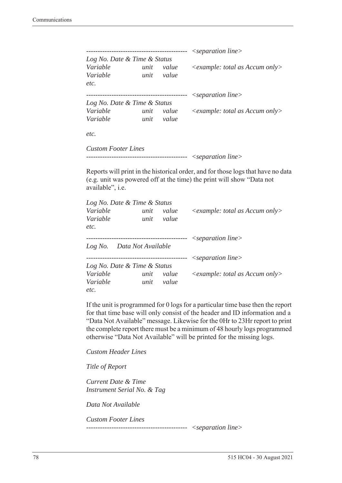|                              |      |           | $\leq$ separation line $>$              |
|------------------------------|------|-----------|-----------------------------------------|
| Log No. Date & Time & Status |      |           |                                         |
| Variable                     | unit | value     | $\leq$ example: total as Accum only $>$ |
| Variable                     | unit | value     |                                         |
| etc.                         |      |           |                                         |
|                              |      | --------- | $\leq$ separation line $>$              |
| Log No. Date & Time & Status |      |           |                                         |
| Variable                     | unit | value     | $\leq$ example: total as Accum only $>$ |
| Variable                     | unit | value     |                                         |
| etc.                         |      |           |                                         |
| <b>Custom Footer Lines</b>   |      |           |                                         |

```
-------------------------------------------- <separation line>
```
Reports will print in the historical order, and for those logs that have no data (e.g. unit was powered off at the time) the print will show "Data not available", i.e.

| Log No. Date & Time & Status |                                      |           |                                      |
|------------------------------|--------------------------------------|-----------|--------------------------------------|
| Variable                     | unit                                 | value     | $\leq$ example: total as Accum only> |
| Variable                     | unit                                 | value     |                                      |
| etc.                         |                                      |           |                                      |
|                              | ------------------------------------ |           | $\leq$ separation line $>$           |
| Log No. Data Not Available   |                                      |           |                                      |
|                              |                                      | --------- | $\leq$ separation line $>$           |
| Log No. Date & Time & Status |                                      |           |                                      |
| Variable                     | unit                                 | value     | $\leq$ example: total as Accum only> |
| Variable                     | unit                                 | value     |                                      |
| etc.                         |                                      |           |                                      |

If the unit is programmed for 0 logs for a particular time base then the report for that time base will only consist of the header and ID information and a "Data Not Available" message. Likewise for the 0Hr to 23Hr report to print the complete report there must be a minimum of 48 hourly logs programmed otherwise "Data Not Available" will be printed for the missing logs.

*Custom Header Lines*

*Title of Report*

*Current Date & Time Instrument Serial No. & Tag*

*Data Not Available*

*Custom Footer Lines* 

*-------------------------------------------- <separation line>*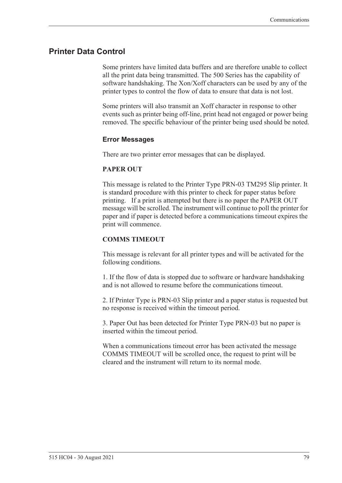## <span id="page-88-0"></span>**Printer Data Control**

Some printers have limited data buffers and are therefore unable to collect all the print data being transmitted. The 500 Series has the capability of software handshaking. The Xon/Xoff characters can be used by any of the printer types to control the flow of data to ensure that data is not lost.

Some printers will also transmit an Xoff character in response to other events such as printer being off-line, print head not engaged or power being removed. The specific behaviour of the printer being used should be noted.

### <span id="page-88-1"></span>**Error Messages**

There are two printer error messages that can be displayed.

### **PAPER OUT**

This message is related to the Printer Type PRN-03 TM295 Slip printer. It is standard procedure with this printer to check for paper status before printing. If a print is attempted but there is no paper the PAPER OUT message will be scrolled. The instrument will continue to poll the printer for paper and if paper is detected before a communications timeout expires the print will commence.

### **COMMS TIMEOUT**

This message is relevant for all printer types and will be activated for the following conditions.

1. If the flow of data is stopped due to software or hardware handshaking and is not allowed to resume before the communications timeout.

2. If Printer Type is PRN-03 Slip printer and a paper status is requested but no response is received within the timeout period.

3. Paper Out has been detected for Printer Type PRN-03 but no paper is inserted within the timeout period.

When a communications timeout error has been activated the message COMMS TIMEOUT will be scrolled once, the request to print will be cleared and the instrument will return to its normal mode.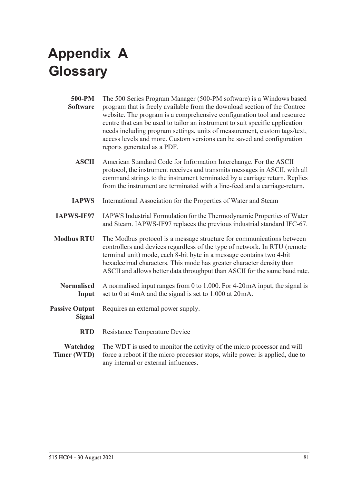# <span id="page-90-1"></span>**Appendix A Glossary**

<span id="page-90-0"></span>

| 500-PM<br><b>Software</b>              | The 500 Series Program Manager (500-PM software) is a Windows based<br>program that is freely available from the download section of the Contrec<br>website. The program is a comprehensive configuration tool and resource<br>centre that can be used to tailor an instrument to suit specific application<br>needs including program settings, units of measurement, custom tags/text,<br>access levels and more. Custom versions can be saved and configuration<br>reports generated as a PDF. |
|----------------------------------------|---------------------------------------------------------------------------------------------------------------------------------------------------------------------------------------------------------------------------------------------------------------------------------------------------------------------------------------------------------------------------------------------------------------------------------------------------------------------------------------------------|
| <b>ASCII</b>                           | American Standard Code for Information Interchange. For the ASCII<br>protocol, the instrument receives and transmits messages in ASCII, with all<br>command strings to the instrument terminated by a carriage return. Replies<br>from the instrument are terminated with a line-feed and a carriage-return.                                                                                                                                                                                      |
| <b>IAPWS</b>                           | International Association for the Properties of Water and Steam                                                                                                                                                                                                                                                                                                                                                                                                                                   |
| <b>IAPWS-IF97</b>                      | IAPWS Industrial Formulation for the Thermodynamic Properties of Water<br>and Steam. IAPWS-IF97 replaces the previous industrial standard IFC-67.                                                                                                                                                                                                                                                                                                                                                 |
| <b>Modbus RTU</b>                      | The Modbus protocol is a message structure for communications between<br>controllers and devices regardless of the type of network. In RTU (remote<br>terminal unit) mode, each 8-bit byte in a message contains two 4-bit<br>hexadecimal characters. This mode has greater character density than<br>ASCII and allows better data throughput than ASCII for the same baud rate.                                                                                                                  |
| <b>Normalised</b><br>Input             | A normalised input ranges from 0 to 1.000. For $4-20$ mA input, the signal is<br>set to 0 at 4mA and the signal is set to 1.000 at 20mA.                                                                                                                                                                                                                                                                                                                                                          |
| <b>Passive Output</b><br><b>Signal</b> | Requires an external power supply.                                                                                                                                                                                                                                                                                                                                                                                                                                                                |
| <b>RTD</b>                             | <b>Resistance Temperature Device</b>                                                                                                                                                                                                                                                                                                                                                                                                                                                              |
| Watchdog<br>Timer (WTD)                | The WDT is used to monitor the activity of the micro processor and will<br>force a reboot if the micro processor stops, while power is applied, due to<br>any internal or external influences.                                                                                                                                                                                                                                                                                                    |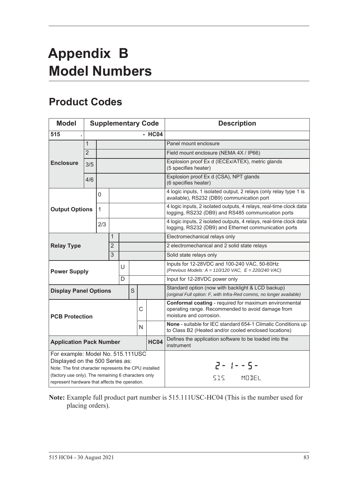# <span id="page-92-1"></span>**Appendix B Model Numbers**

# <span id="page-92-0"></span>**Product Codes**

| <b>Model</b>                                                                                                                                                                          |                |              |                |   |                                                                                                                        |   | <b>Supplementary Code</b> | <b>Description</b>                                                                                                                     |
|---------------------------------------------------------------------------------------------------------------------------------------------------------------------------------------|----------------|--------------|----------------|---|------------------------------------------------------------------------------------------------------------------------|---|---------------------------|----------------------------------------------------------------------------------------------------------------------------------------|
| 515                                                                                                                                                                                   |                |              |                |   |                                                                                                                        |   | $-$ HC04                  |                                                                                                                                        |
|                                                                                                                                                                                       | $\mathbf{1}$   |              |                |   |                                                                                                                        |   |                           | Panel mount enclosure                                                                                                                  |
|                                                                                                                                                                                       | $\overline{2}$ |              |                |   |                                                                                                                        |   |                           | Field mount enclosure (NEMA 4X / IP66)                                                                                                 |
| <b>Enclosure</b>                                                                                                                                                                      | 3/5            |              |                |   |                                                                                                                        |   |                           | Explosion proof Ex d (IECEx/ATEX), metric glands<br>(5 specifies heater)                                                               |
|                                                                                                                                                                                       | 4/6            |              |                |   |                                                                                                                        |   |                           | Explosion proof Ex d (CSA), NPT glands<br>(6 specifies heater)                                                                         |
|                                                                                                                                                                                       |                | 0            |                |   |                                                                                                                        |   |                           | 4 logic inputs, 1 isolated output, 2 relays (only relay type 1 is<br>available), RS232 (DB9) communication port                        |
| <b>Output Options</b>                                                                                                                                                                 |                | $\mathbf{1}$ |                |   |                                                                                                                        |   |                           | 4 logic inputs, 2 isolated outputs, 4 relays, real-time clock data<br>logging, RS232 (DB9) and RS485 communication ports               |
|                                                                                                                                                                                       |                | 2/3          |                |   |                                                                                                                        |   |                           | 4 logic inputs, 2 isolated outputs, 4 relays, real-time clock data<br>logging, RS232 (DB9) and Ethernet communication ports            |
|                                                                                                                                                                                       |                |              | 1              |   |                                                                                                                        |   |                           | Electromechanical relays only                                                                                                          |
| <b>Relay Type</b>                                                                                                                                                                     |                |              | $\overline{2}$ |   |                                                                                                                        |   |                           | 2 electromechanical and 2 solid state relays                                                                                           |
|                                                                                                                                                                                       |                |              | 3              |   |                                                                                                                        |   |                           | Solid state relays only                                                                                                                |
| <b>Power Supply</b>                                                                                                                                                                   |                |              |                | U |                                                                                                                        |   |                           | Inputs for 12-28VDC and 100-240 VAC, 50-60Hz<br>(Previous Models: $A = 110/120$ VAC, $E = 220/240$ VAC)                                |
|                                                                                                                                                                                       |                |              |                | D |                                                                                                                        |   |                           | Input for 12-28VDC power only                                                                                                          |
| <b>Display Panel Options</b>                                                                                                                                                          |                |              |                |   | S                                                                                                                      |   |                           | Standard option (now with backlight & LCD backup)<br>(original Full option: F, with Infra-Red comms, no longer available)              |
| <b>PCB Protection</b>                                                                                                                                                                 |                |              |                |   |                                                                                                                        | C |                           | Conformal coating - required for maximum environmental<br>operating range. Recommended to avoid damage from<br>moisture and corrosion. |
| N                                                                                                                                                                                     |                |              |                |   | None - suitable for IEC standard 654-1 Climatic Conditions up<br>to Class B2 (Heated and/or cooled enclosed locations) |   |                           |                                                                                                                                        |
| <b>HC04</b><br><b>Application Pack Number</b>                                                                                                                                         |                |              |                |   | Defines the application software to be loaded into the<br>instrument                                                   |   |                           |                                                                                                                                        |
| For example: Model No. 515.111USC<br>Displayed on the 500 Series as:<br>Note: The first character represents the CPU installed<br>(factory use only). The remaining 6 characters only |                |              |                |   |                                                                                                                        |   |                           | $2 - 1 - 5 -$<br>SIS MODEL                                                                                                             |
| represent hardware that affects the operation.                                                                                                                                        |                |              |                |   |                                                                                                                        |   |                           |                                                                                                                                        |

**Note:** Example full product part number is 515.111USC-HC04 (This is the number used for placing orders).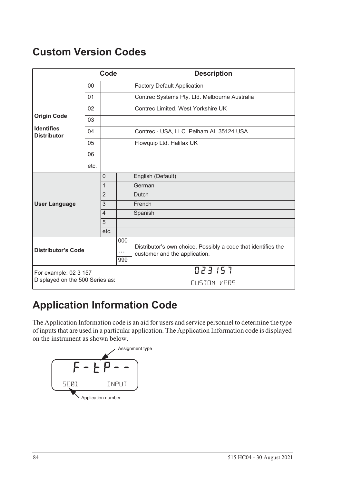# <span id="page-93-1"></span>**Custom Version Codes**

|                                         |      | Code           |          | <b>Description</b>                                            |
|-----------------------------------------|------|----------------|----------|---------------------------------------------------------------|
|                                         | 00   |                |          | <b>Factory Default Application</b>                            |
|                                         | 01   |                |          | Contrec Systems Pty. Ltd. Melbourne Australia                 |
|                                         | 02   |                |          | Contrec Limited. West Yorkshire UK                            |
| <b>Origin Code</b>                      | 03   |                |          |                                                               |
| <b>Identifies</b><br><b>Distributor</b> | 04   |                |          | Contrec - USA, LLC. Pelham AL 35124 USA                       |
|                                         | 05   |                |          | Flowquip Ltd. Halifax UK                                      |
|                                         | 06   |                |          |                                                               |
|                                         | etc. |                |          |                                                               |
|                                         |      | $\Omega$       |          | English (Default)                                             |
|                                         |      | $\mathbf{1}$   |          | German                                                        |
|                                         |      | $\overline{2}$ |          | Dutch                                                         |
| <b>User Language</b>                    |      | 3              |          | French                                                        |
|                                         |      | $\overline{4}$ |          | Spanish                                                       |
|                                         |      | 5              |          |                                                               |
|                                         |      | etc.           |          |                                                               |
|                                         |      |                | 000      | Distributor's own choice. Possibly a code that identifies the |
| <b>Distributor's Code</b>               |      |                | $\cdots$ | customer and the application.                                 |
|                                         | 999  |                |          |                                                               |
| For example: 02 3 157                   |      |                |          | 023157                                                        |
| Displayed on the 500 Series as:         |      |                |          | CUSTOM VERS                                                   |

# **Application Information Code**

The Application Information code is an aid for users and service personnel to determine the type of inputs that are used in a particular application. The Application Information code is displayed on the instrument as shown below.

<span id="page-93-0"></span>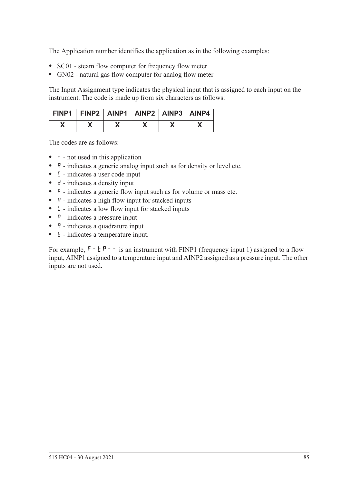The Application number identifies the application as in the following examples:

- **•** SC01 steam flow computer for frequency flow meter
- **•** GN02 natural gas flow computer for analog flow meter

The Input Assignment type indicates the physical input that is assigned to each input on the instrument. The code is made up from six characters as follows:

| FINP1   FINP2   AINP1   AINP2   AINP3   AINP4 |  |  |  |
|-----------------------------------------------|--|--|--|
|                                               |  |  |  |

The codes are as follows:

- - not used in this application
- **A** indicates a generic analog input such as for density or level etc.
- **•** C indicates a user code input
- d indicates a density input
- **•** F indicates a generic flow input such as for volume or mass etc.
- H indicates a high flow input for stacked inputs
- **•** L indicates a low flow input for stacked inputs
- **•** P indicates a pressure input
- **q** indicates a quadrature input
- *k* indicates a temperature input.

For example,  $F - tP - -$  is an instrument with FINP1 (frequency input 1) assigned to a flow input, AINP1 assigned to a temperature input and AINP2 assigned as a pressure input. The other inputs are not used.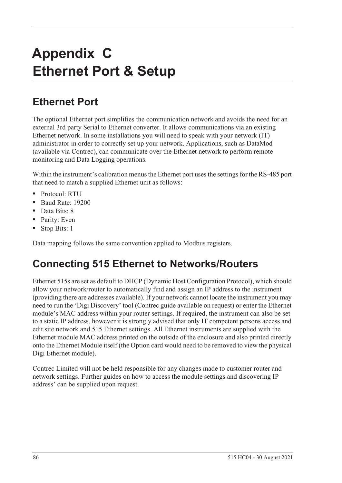# **Appendix C Ethernet Port & Setup**

# **Ethernet Port**

The optional Ethernet port simplifies the communication network and avoids the need for an external 3rd party Serial to Ethernet converter. It allows communications via an existing Ethernet network. In some installations you will need to speak with your network (IT) administrator in order to correctly set up your network. Applications, such as DataMod (available via Contrec), can communicate over the Ethernet network to perform remote monitoring and Data Logging operations.

Within the instrument's calibration menus the Ethernet port uses the settings for the RS-485 port that need to match a supplied Ethernet unit as follows:

- **•** Protocol: RTU
- **•** Baud Rate: 19200
- **•** Data Bits: 8
- **•** Parity: Even
- **•** Stop Bits: 1

Data mapping follows the same convention applied to Modbus registers.

# **Connecting 515 Ethernet to Networks/Routers**

Ethernet 515s are set as default to DHCP (Dynamic Host Configuration Protocol), which should allow your network/router to automatically find and assign an IP address to the instrument (providing there are addresses available). If your network cannot locate the instrument you may need to run the 'Digi Discovery' tool (Contrec guide available on request) or enter the Ethernet module's MAC address within your router settings. If required, the instrument can also be set to a static IP address, however it is strongly advised that only IT competent persons access and edit site network and 515 Ethernet settings. All Ethernet instruments are supplied with the Ethernet module MAC address printed on the outside of the enclosure and also printed directly onto the Ethernet Module itself (the Option card would need to be removed to view the physical Digi Ethernet module).

Contrec Limited will not be held responsible for any changes made to customer router and network settings. Further guides on how to access the module settings and discovering IP address' can be supplied upon request.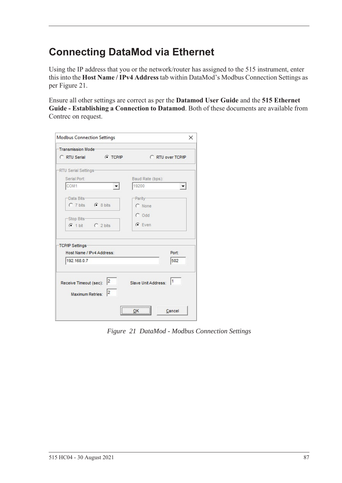# **Connecting DataMod via Ethernet**

Using the IP address that you or the network/router has assigned to the 515 instrument, enter this into the **Host Name / IPv4 Address** tab within DataMod's Modbus Connection Settings as per [Figure 21.](#page-96-0)

Ensure all other settings are correct as per the **Datamod User Guide** and the **515 Ethernet Guide - Establishing a Connection to Datamod**. Both of these documents are available from Contrec on request.

| Transmission Mode-                                   |                 |                           |                      |
|------------------------------------------------------|-----------------|---------------------------|----------------------|
| C RTU Serial                                         | <b>C</b> TCP/IP | C RTU over TCP/IP         |                      |
| -RTU Serial Settings-                                |                 |                           |                      |
| Serial Port:                                         |                 | Baud Rate (bps):          |                      |
| COM1                                                 |                 | 19200                     | $\blacktriangledown$ |
| -Data Bits-                                          |                 | -Parity-                  |                      |
| C 7 bits C 8 bits                                    |                 | C None                    |                      |
|                                                      |                 | $C$ Odd                   |                      |
| -Stop Bits-                                          |                 | $G$ Even                  |                      |
| $C$ 1 bit $C$ 2 bits                                 |                 |                           |                      |
| TCP/IP Settings                                      |                 |                           |                      |
| Host Name / IPv4 Address:                            |                 |                           | Port:                |
| 192.168.0.7                                          |                 |                           | 502                  |
| Receive Timeout (sec): $\vert^2$<br>Maximum Retries: | 2               | 11<br>Slave Unit Address: |                      |
|                                                      |                 | ,                         |                      |

<span id="page-96-0"></span>*Figure 21 DataMod - Modbus Connection Settings*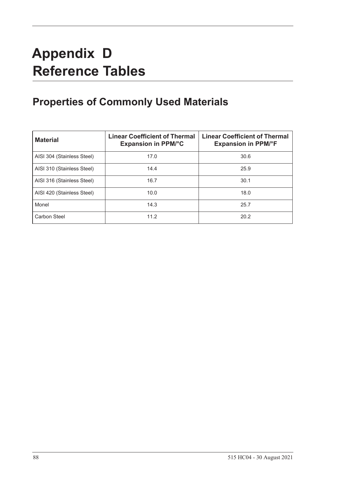# **Appendix D Reference Tables**

# **Properties of Commonly Used Materials**

<span id="page-97-0"></span>

| <b>Material</b>            | <b>Linear Coefficient of Thermal</b><br><b>Expansion in PPM/°C</b> | <b>Linear Coefficient of Thermal</b><br><b>Expansion in PPM/°F</b> |
|----------------------------|--------------------------------------------------------------------|--------------------------------------------------------------------|
| AISI 304 (Stainless Steel) | 17.0                                                               | 30.6                                                               |
| AISI 310 (Stainless Steel) | 14.4                                                               | 25.9                                                               |
| AISI 316 (Stainless Steel) | 16.7                                                               | 30.1                                                               |
| AISI 420 (Stainless Steel) | 10.0                                                               | 18.0                                                               |
| Monel                      | 14.3                                                               | 25.7                                                               |
| Carbon Steel               | 11.2                                                               | 20.2                                                               |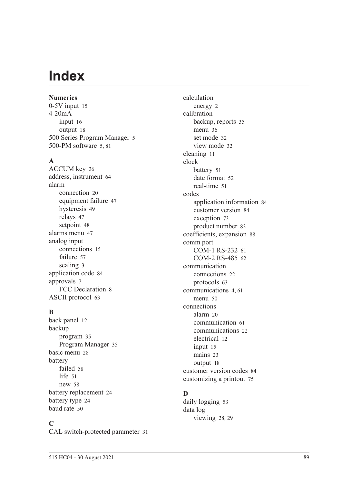# **Index**

### **Numerics** 0-5V inpu[t 15](#page-24-0) 4-20mA input [16](#page-25-0) output [18](#page-27-0) 500 Series Program Manage[r 5](#page-14-0) 500-PM software [5,](#page-14-0) [81](#page-90-0)

## **A**

ACCUM ke[y 26](#page-35-0) address, instrumen[t 64](#page-73-0) alarm connection [20](#page-29-0) equipment failur[e 47](#page-56-0) hysteresi[s 49](#page-58-0) relays [47](#page-56-1) setpoin[t 48](#page-57-0) alarms menu [47](#page-56-2) analog input connection[s 15](#page-24-1) failur[e 57](#page-66-0) scalin[g 3](#page-12-0) application cod[e 84](#page-93-0) approvals [7](#page-16-0) FCC Declaration [8](#page-17-0) ASCII protoco[l 63](#page-72-0)

# **B**

back panel [12](#page-21-0) backup program [35](#page-44-0) Program Manage[r 35](#page-44-1) basic men[u 28](#page-37-0) battery faile[d 58](#page-67-0) lif[e 51](#page-60-1) ne[w 58](#page-67-0) battery replacemen[t 24](#page-33-0) battery typ[e 24](#page-33-1) baud rat[e 50](#page-59-1)

# **C**

CAL switch-protected parameter [31](#page-40-0)

calculation energy [2](#page-11-0) calibration backup, reports [35](#page-44-0) menu [36](#page-45-0) set mode [32](#page-41-0) view mode [32](#page-41-1) cleaning [11](#page-20-0) clock batter[y 51](#page-60-1) date format [52](#page-61-0) real-tim[e 51](#page-60-2) codes application information [84](#page-93-0) customer versio[n 84](#page-93-1) exception [73](#page-82-1) product numbe[r 83](#page-92-0) coefficients, expansion [88](#page-97-0) comm port COM-1 RS-232 [61](#page-70-0) COM-2 RS-485 [62](#page-71-0) communication connection[s 22](#page-31-0) protocols [63](#page-72-1) communication[s 4,](#page-13-1) [61](#page-70-1) menu [50](#page-59-2) connections alar[m 20](#page-29-0) communication [61](#page-70-2) communication[s 22](#page-31-0) electrical [12](#page-21-1) input [15](#page-24-2) mains [23](#page-32-0) output [18](#page-27-1) customer version codes [84](#page-93-1) customizing a printout [75](#page-84-1)

# **D**

daily logging [53](#page-62-0) data log viewing [28,](#page-37-1) [29](#page-38-0)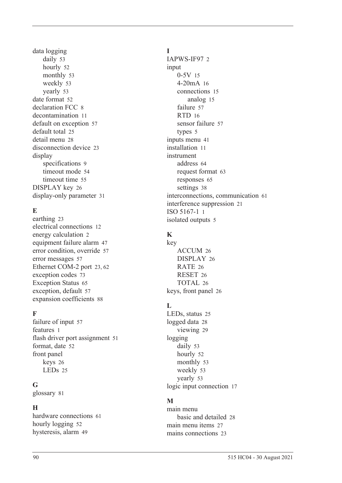data logging daily [53](#page-62-0) hourl[y 52](#page-61-1) monthly [53](#page-62-1) weekl[y 53](#page-62-2) yearly [53](#page-62-3) date format [52](#page-61-0) declaration FCC [8](#page-17-0) decontamination [11](#page-20-0) default on exception [57](#page-66-1) default tota[l 25](#page-34-0) detail men[u 28](#page-37-0) disconnection device [23](#page-32-1) display specifications [9](#page-18-0) timeout mod[e 54](#page-63-0) timeout time [55](#page-64-0) DISPLAY key [26](#page-35-1) display-only parameter [31](#page-40-1)

# **E**

earthin[g 23](#page-32-2) electrical connections [12](#page-21-1) energy calculation [2](#page-11-0) equipment failure alarm [47](#page-56-0) error condition, overrid[e 57](#page-66-2) error message[s 57](#page-66-3) Ethernet COM-2 por[t 23,](#page-32-3) [62](#page-71-1) exception codes [73](#page-82-1) Exception Status [65](#page-74-0) exception, default [57](#page-66-1) expansion coefficient[s 88](#page-97-0)

# **F**

failure of input [57](#page-66-0) features [1](#page-10-0) flash driver port assignmen[t 51](#page-60-3) format, date [52](#page-61-0) front panel keys [26](#page-35-2) LEDs [25](#page-34-1)

## **G**

glossary [81](#page-90-1)

# **H**

hardware connections [61](#page-70-2) hourly logging [52](#page-61-1) hysteresis, alar[m 49](#page-58-0)

## **I**

IAPWS-IF97 [2](#page-11-0) input 0-5[V 15](#page-24-0) 4-20mA [16](#page-25-0) connections [15](#page-24-2) analog [15](#page-24-1) failure [57](#page-66-0) RTD [16](#page-25-1) sensor failure [57](#page-66-0) types [5](#page-14-1) inputs menu [41](#page-50-0) installation [11](#page-20-1) instrument address [64](#page-73-0) request forma[t 63](#page-72-2) response[s 65](#page-74-1) setting[s 38](#page-47-0) interconnections, communication [61](#page-70-2) interference suppression [21](#page-30-0) ISO 5167-1 [1](#page-10-1) isolated output[s 5](#page-14-2)

# **K**

key ACCUM [26](#page-35-0) DISPLA[Y 26](#page-35-1) RATE [26](#page-35-3) RESE[T 26](#page-35-4) TOTAL [26](#page-35-5) keys, front panel [26](#page-35-2)

# **L**

LEDs, status [25](#page-34-1) logged dat[a 28](#page-37-1) viewin[g 29](#page-38-0) logging daily [53](#page-62-0) hourly [52](#page-61-1) monthly [53](#page-62-1) weekl[y 53](#page-62-2) yearly [53](#page-62-3) logic input connection [17](#page-26-0)

# **M**

main menu basic and detailed [28](#page-37-0) main menu item[s 27](#page-36-0) mains connections [23](#page-32-0)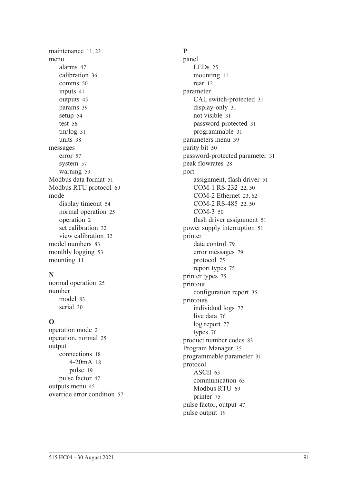maintenance [11,](#page-20-1) [23](#page-32-4) menu alarm[s 47](#page-56-2) calibratio[n 36](#page-45-0) comms [50](#page-59-2) input[s 41](#page-50-0) output[s 45](#page-54-0) params [39](#page-48-0) setu[p 54](#page-63-1) test [56](#page-65-0) tm/lo[g 51](#page-60-4) unit[s 38](#page-47-1) messages erro[r 57](#page-66-3) syste[m 57](#page-66-4) warnin[g 59](#page-68-0) Modbus data forma[t 51](#page-60-5) Modbus RTU protoco[l 69](#page-78-0) mode display timeou[t 54](#page-63-0) normal operatio[n 25](#page-34-2) operatio[n 2](#page-11-1) set calibration [32](#page-41-0) view calibration [32](#page-41-1) model number[s 83](#page-92-1) monthly logging [53](#page-62-1) mountin[g 11](#page-20-2)

## **N**

normal operatio[n 25](#page-34-2) number mode[l 83](#page-92-1) seria[l 30](#page-39-1)

# **O**

operation mod[e 2](#page-11-1) operation, norma[l 25](#page-34-2) output connection[s 18](#page-27-1) 4-20m[A 18](#page-27-0) puls[e 19](#page-28-0) pulse facto[r 47](#page-56-3) outputs men[u 45](#page-54-0) override error condition [57](#page-66-2)

# **P**

panel LEDs [25](#page-34-1) mounting [11](#page-20-2) rear [12](#page-21-0) parameter CAL switch-protected [31](#page-40-0) display-only [31](#page-40-1) not visibl[e 31](#page-40-2) password-protected [31](#page-40-3) programmable [31](#page-40-4) parameters men[u 39](#page-48-0) parity bit [50](#page-59-3) password-protected parameter [31](#page-40-3) peak flowrate[s 28](#page-37-2) port assignment, flash driver [51](#page-60-3) COM-1 RS-232 [22,](#page-31-1) [50](#page-59-4) COM-2 Ethernet [23,](#page-32-3) [62](#page-71-1) COM-2 RS-485 [22,](#page-31-2) [50](#page-59-5) COM-[3 50](#page-59-6) flash driver assignment [51](#page-60-3) power supply interruption [51](#page-60-1) printer data control [79](#page-88-0) error messages [79](#page-88-1) protocol [75](#page-84-2) report types [75](#page-84-3) printer type[s 75](#page-84-4) printout configuration repor[t 35](#page-44-2) printouts individual logs [77](#page-86-0) live data [76](#page-85-0) log report [77](#page-86-1) type[s 76](#page-85-1) product number codes [83](#page-92-0) Program Manager [35](#page-44-1) programmable parameter [31](#page-40-4) protocol ASCI[I 63](#page-72-0) communication [63](#page-72-1) Modbus RT[U 69](#page-78-0) printer [75](#page-84-2) pulse factor, output [47](#page-56-3) pulse output [19](#page-28-0)